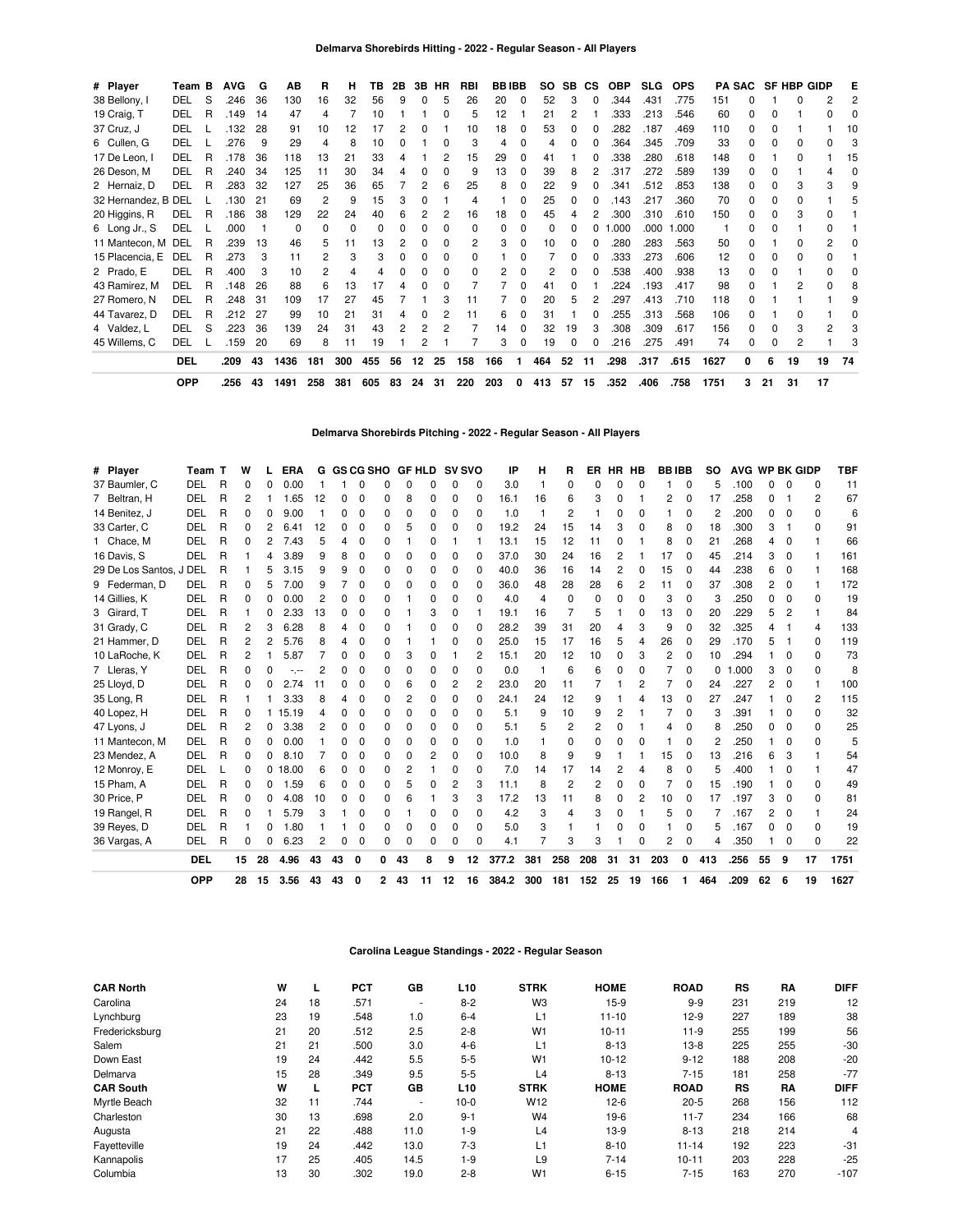| # Player            | Team B     |   | <b>AVG</b> | G   | AB   | R   | н   | ΤВ  | 2В | 3В | <b>HR</b>    | RBI          | <b>BBIBB</b> |          | SO. | SB. | <b>CS</b> | <b>OBP</b> | <b>SLG</b> | <b>OPS</b> | PА   | <b>SAC</b>   |              | <b>SF HBP GIDP</b> |              | Е  |
|---------------------|------------|---|------------|-----|------|-----|-----|-----|----|----|--------------|--------------|--------------|----------|-----|-----|-----------|------------|------------|------------|------|--------------|--------------|--------------------|--------------|----|
| 38 Bellony, I       | DEL        | S | .246       | 36  | 130  | 16  | 32  | 56  | 9  |    | 5            | 26           | 20           | $\Omega$ | 52  | 3   | 0         | .344       | .431       | .775       | 151  | O            |              |                    |              |    |
| 19 Craig, T         | DEL        | R | .149       | 14  | 47   |     |     | 10  |    |    | 0            | 5            | 12           |          | 21  | 2   |           | .333       | .213       | .546       | 60   | 0            | O            |                    |              |    |
| 37 Cruz, J          | DEL        |   | .132       | 28  | 91   | 10  | 12  | 17  |    |    |              | 10           | 18           | 0        | 53  | 0   | 0         | .282       | .187       | .469       | 110  | 0            | 0            |                    |              | 10 |
| 6 Cullen, G         | DEL        |   | .276       | 9   | 29   |     | 8   | 10  |    |    | <sup>0</sup> |              | 4            | n        |     | O.  |           | .364       | .345       | .709       | 33   | <sup>0</sup> | O            |                    |              |    |
| 17 De Leon, I       | DEL        | R | .178       | 36  | 118  | 13  | 21  | 33  |    |    | 2            | 15           | 29           | 0        | 41  |     |           | .338       | .280       | .618       | 148  | 0            |              | <sup>0</sup>       |              | 15 |
| 26 Deson, M         | <b>DEL</b> | R | .240       | 34  | 125  | 11  | 30  | 34  | 4  | o  | <sup>0</sup> | 9            | 13           | 0        | 39  | 8   | 2         | .317       | .272       | .589       | 139  | <sup>0</sup> | 0            |                    |              |    |
| 2 Hernaiz, D        | DEL        | R | .283       | 32  | 127  | 25  | 36  | 65  |    |    | 6            | 25           | 8            | 0        | 22  | 9   | 0         | .341       | .512       | .853       | 138  | 0            | 0            |                    | з            |    |
| 32 Hernandez, B DEL |            |   | .130       | 21  | 69   | 2   | 9   | 15  | 3  | Ω  |              | 4            |              | n        | 25  | U   |           | .143       | .217       | .360       | 70   | 0            | 0            | <sup>0</sup>       |              |    |
| 20 Higgins, R       | DEL        | R | .186       | 38  | 129  | 22  | 24  | 40  | 6  |    |              | 16           | 18           | 0        | 45  | 4   | 2         | .300       | .310       | .610       | 150  | 0            | <sup>0</sup> | 3                  | <sup>0</sup> |    |
| 6 Long Jr., S       | DEL        |   | .000       |     | 0    |     | 0   | 0   |    |    | 0            | <sup>0</sup> | ი            | 0        |     |     | 0         | .000       | .000       | 1.000      |      | ŋ            | O            |                    |              |    |
| 11 Mantecon, M      | DEL        | R | .239       | 13  | 46   | 5   | 11  | 13  |    |    | $\Omega$     | 2            | 3            | 0        | 10  | O.  | 0         | .280       | .283       | .563       | 50   | O            |              | 0                  | 2            |    |
| 15 Placencia, E     | DEL        | R | .273       |     | 11   |     | 3   | 3   |    | ŋ  | 0            |              |              | n        |     | n.  | O         | .333       | .273       | .606       | 12   | <sup>0</sup> | 0            | 0                  |              |    |
| 2 Prado, E          | DEL        | R | .400       | 3   | 10   | 2   | 4   | 4   |    |    | 0            |              |              | 0        |     | 0   | 0         | .538       | .400       | .938       | 13   | 0            | 0            |                    |              |    |
| 43 Ramirez, M       | <b>DEL</b> | R | .148       | -26 | 88   | 6   | 13  | 17  |    |    | 0            |              |              | 0        | 41  | O.  |           | .224       | .193       | .417       | 98   | O            |              |                    |              |    |
| 27 Romero, N        | DEL        | R | .248       | -31 | 109  | 17  | 27  | 45  |    |    | 3            |              |              |          | 20  | 5   |           | .297       | .413       | .710       | 118  |              |              |                    |              |    |
| 44 Tavarez, D       | DEL        | R | .212       | -27 | 99   | 10  | 21  | 31  |    |    |              | 11           | 6            | 0        | 31  |     | 0         | .255       | .313       | .568       | 106  | <sup>0</sup> |              |                    |              |    |
| 4 Valdez, L         | DEL        | S | .223       | 36  | 139  | 24  | 31  | 43  |    |    |              |              | 14           | 0        | 32  | 19  | 3         | .308       | .309       | .617       | 156  | 0            | <sup>0</sup> | 3                  | 2            |    |
| 45 Willems, C       | DEL        |   | 159        | 20  | 69   | 8   | 11  | 19  |    |    |              |              | 3            | 0        | 19  | 0   |           | .216       | .275       | .491       | 74   | 0            | 0            | 2                  |              |    |
|                     | <b>DEL</b> |   | .209       | 43  | 1436 | 181 | 300 | 455 | 56 | 12 | 25           | 158          | 166          | 1        | 464 | 52  | 11        | .298       | .317       | .615       | 1627 | 0            | 6            | 19                 | 19           | 74 |
|                     | <b>OPP</b> |   | .256       | 43  | 1491 | 258 | 381 | 605 | 83 | 24 | 31           | 220          | 203          | 0        | 413 | 57  | 15        | .352       | .406       | .758       | 1751 | 3            | 21           | 31                 | 17           |    |

### **Delmarva Shorebirds Pitching - 2022 - Regular Season - All Players**

| # Player                | Team T     |   | w        |    | <b>ERA</b> | G  |    |   | <b>GS CG SHO</b> |    | <b>GF HLD</b> |          | <b>SV SVO</b> | ΙP    | н              | R              | ER       | <b>HR</b> | HB | <b>BBIBB</b> |          | so  | AVG WP BK GIDP |    |              |                | TBF  |
|-------------------------|------------|---|----------|----|------------|----|----|---|------------------|----|---------------|----------|---------------|-------|----------------|----------------|----------|-----------|----|--------------|----------|-----|----------------|----|--------------|----------------|------|
| 37 Baumler, C           | DEL        | R | 0        |    | 0.00       |    |    |   |                  |    |               |          | n             | 3.0   |                | $\Omega$       | 0        |           | O  |              | $\Omega$ |     | .100           |    |              | $\Omega$       | 11   |
| 7 Beltran, H            | DEL        | R | 2        |    | 1.65       | 12 | 0  |   |                  | 8  | 0             | 0        | 0             | 16.1  | 16             | 6              | 3        | 0         |    | 2            | $\Omega$ | 17  | .258           | 0  |              | $\overline{2}$ | 67   |
| 14 Benitez, J           | DEL        | R | 0        | O  | 9.00       |    | O  | O |                  | 0  | 0             | 0        | O             | 1.0   |                | 2              |          | O         | 0  |              | 0        | 2   | .200           | U  |              | <sup>0</sup>   | 6    |
| 33 Carter, C            | DEL        | R | 0        | 2  | 6.41       | 12 | 0  | 0 | ŋ                | 5  | 0             | $\Omega$ | <sup>0</sup>  | 19.2  | 24             | 15             | 14       | 3         | 0  | 8            | 0        | 18  | .300           | 3  |              | $\Omega$       | 91   |
| 1 Chace, M              | DEL        | R | 0        |    | 7.43       | 5  | 4  | 0 |                  |    | 0             |          |               | 13.1  | 15             | 12             | 11       | Ω         |    | 8            | 0        | 21  | .268           | 4  | 0            |                | 66   |
| 16 Davis, S             | DEL        | R |          | 4  | 3.89       | 9  | 8  | 0 |                  | 0  | 0             | 0        | n             | 37.0  | 30             | 24             | 16       | 2         |    | 17           | $\Omega$ | 45  | .214           | 3  | 0            |                | 161  |
| 29 De Los Santos, J DEL |            | R |          |    | 3.15       | 9  | 9  | 0 |                  | 0  | 0             | 0        | 0             | 40.0  | 36             | 16             | 14       | 2         | 0  | 15           | 0        | 44  | .238           | 6  | 0            |                | 168  |
| 9 Federman, D           | DEL        | R | 0        | 5  | 7.00       | 9  |    | 0 |                  | O  | 0             | 0        | O             | 36.0  | 48             | 28             | 28       | 6         | 2  | 11           | 0        | 37  | .308           | 2  | <sup>0</sup> |                | 172  |
| 14 Gillies, K           | DEL        | R | 0        | O  | 0.00       | 2  | O  | 0 |                  |    | 0             | 0        | O             | 4.0   | $\overline{4}$ | $\Omega$       | $\Omega$ | O         | 0  | 3            | 0        | 3   | .250           | 0  | <sup>0</sup> | O              | 19   |
| 3 Girard, T             | DEL        | R |          | O  | 2.33       | 13 | 0  | 0 |                  |    | 3             | 0        |               | 19.1  | 16             |                | 5        |           | 0  | 13           | 0        | 20  | .229           | 5  | 2            |                | 84   |
| 31 Grady, C             | DEL        | R | 2        | 3  | 6.28       | 8  | 4  | 0 |                  |    | ŋ             | 0        | <sup>0</sup>  | 28.2  | 39             | 31             | 20       | 4         | 3  | 9            | 0        | 32  | .325           | 4  |              | 4              | 133  |
| 21 Hammer, D            | DEL        | R | 2        | 2  | 5.76       | 8  | 4  | 0 |                  |    |               | 0        | ŋ             | 25.0  | 15             | 17             | 16       | 5         | 4  | 26           | 0        | 29  | .170           | 5  |              | <sup>0</sup>   | 119  |
| 10 LaRoche, K           | <b>DEL</b> | R | 2        |    | 5.87       |    | O  | 0 |                  | 3  | ŋ             |          | 2             | 15.1  | 20             | 12             | 10       | 0         | 3  | 2            | 0        | 10  | .294           |    |              | ŋ              | 73   |
| 7 Lleras, Y             | DEL        | R | 0        |    |            | 2  | n  | O |                  | O  | 0             | 0        | O             | 0.0   |                | 6              | 6        | 0         | 0  |              | 0        | 0   | .000           | 3  | O            | <sup>0</sup>   | 8    |
| 25 Lloyd, D             | DEL        | R | 0        | O  | 2.74       | 11 | O  | O |                  | 6  | 0             | 2        | 2             | 23.0  | 20             | 11             |          |           | 2  | 7            | $\Omega$ | 24  | .227           | 2  | <sup>0</sup> |                | 100  |
| 35 Long, R              | DEL        | R |          |    | 3.33       | 8  | 4  | O |                  | 2  | ŋ             | $\Omega$ | n             | 24.1  | 24             | 12             | 9        |           |    | 13           | 0        | 27  | .247           |    |              | 2              | 115  |
| 40 Lopez, H             | DEL        | R | 0        |    | 15.19      | 4  | O  | 0 |                  | 0  | 0             | 0        | O             | 5.1   | 9              | 10             | 9        | 2         |    |              | 0        | 3   | .391           |    | <sup>0</sup> | <sup>0</sup>   | 32   |
| 47 Lyons, J             | DEL        | R | 2        | 0  | 3.38       | 2  | n  | 0 |                  | 0  | 0             | 0        | O             | 5.1   | 5              | 2              | 2        | $\Omega$  |    | Δ            | 0        | 8   | .250           | n  |              | <sup>0</sup>   | 25   |
| 11 Mantecon, M          | <b>DEL</b> | R | 0        | 0  | 0.00       |    | O  | 0 | ŋ                | 0  | 0             | $\Omega$ | $\Omega$      | 1.0   |                | 0              | 0        | Ω         | 0  |              | $\Omega$ | 2   | .250           |    |              | <sup>0</sup>   | 5    |
| 23 Mendez, A            | DEL        | R | 0        | 0  | 8.10       |    | n  | 0 |                  | 0  | 2             | $\Omega$ | O             | 10.0  | 8              | 9              | 9        |           |    | 15           | $\Omega$ | 13  | .216           | 6  |              |                | 54   |
| 12 Monroy, E            | DEL        |   | 0        | 0  | 18.00      | 6  | O  | 0 |                  | 2  |               | $\Omega$ | <sup>0</sup>  | 7.0   | 14             | 17             | 14       | 2         | 4  | 8            | 0        | 5   | .400           |    |              |                | 47   |
| 15 Pham, A              | DEL        | R | $\Omega$ | 0  | 1.59       | 6  | O  | 0 | n                | 5  | 0             | 2        | 3             | 11.1  | 8              | $\overline{c}$ | 2        | 0         | 0  |              | $\Omega$ | 15  | .190           |    |              | <sup>0</sup>   | 49   |
| 30 Price, P             | DEL        | R | 0        | 0  | 4.08       | 10 | ŋ  | 0 | ŋ                | 6  |               | З        | 3             | 17.2  | 13             | 11             | 8        | 0         | 2  | 10           | 0        | 17  | .197           | 3  | <sup>0</sup> | <sup>0</sup>   | 81   |
| 19 Rangel, R            | DEL        | R | 0        |    | 5.79       | 3  |    | 0 |                  |    | ŋ             | $\Omega$ | n             | 4.2   | 3              | 4              | 3        | 0         |    | 5            | $\Omega$ |     | .167           | 2  | <sup>0</sup> |                | 24   |
| 39 Reyes, D             | DEL        | R |          | 0  | 1.80       |    |    |   |                  | 0  | 0             | 0        | 0             | 5.0   | 3              |                |          | 0         | 0  |              | 0        | 5   | .167           | 0  | 0            | 0              | 19   |
| 36 Vargas, A            | <b>DEL</b> | R | O        | O  | 6.23       | 2  | n  | O | n                | O  | O             | O        | $\Omega$      | 4.1   | 7              | 3              | 3        |           | 0  | 2            | $\Omega$ | 4   | .350           |    | <sup>0</sup> | $\Omega$       | 22   |
|                         | <b>DEL</b> |   | 15       | 28 | 4.96       | 43 | 43 | 0 | 0                | 43 | 8             | 9        | 12            | 377.2 | 381            | 258            | 208      | 31        | 31 | 203          | 0        | 413 | .256           | 55 | 9            | 17             | 1751 |
|                         | OPP        |   | 28       | 15 | 3.56       | 43 | 43 | 0 | 2                | 43 | 11            | 12       | 16            | 384.2 | 300            | 181            | 152      | 25        | 19 | 166          |          | 464 | .209           | 62 | 6            | 19             | 1627 |

## **Carolina League Standings - 2022 - Regular Season**

| <b>CAR North</b> | W  | ь. | <b>PCT</b> | GB   | L <sub>10</sub> | <b>STRK</b>     | <b>HOME</b> | <b>ROAD</b> | <b>RS</b> | RA  | <b>DIFF</b> |
|------------------|----|----|------------|------|-----------------|-----------------|-------------|-------------|-----------|-----|-------------|
| Carolina         | 24 | 18 | .571       | ۰    | $8 - 2$         | W <sub>3</sub>  | $15-9$      | $9 - 9$     | 231       | 219 | 12          |
| Lynchburg        | 23 | 19 | .548       | 1.0  | $6 - 4$         | L1              | $11 - 10$   | $12-9$      | 227       | 189 | 38          |
| Fredericksburg   | 21 | 20 | .512       | 2.5  | $2 - 8$         | W <sub>1</sub>  | $10 - 11$   | $11-9$      | 255       | 199 | 56          |
| Salem            | 21 | 21 | .500       | 3.0  | $4 - 6$         | L1              | $8 - 13$    | $13-8$      | 225       | 255 | $-30$       |
| Down East        | 19 | 24 | .442       | 5.5  | $5 - 5$         | W <sub>1</sub>  | $10 - 12$   | $9 - 12$    | 188       | 208 | $-20$       |
| Delmarva         | 15 | 28 | .349       | 9.5  | $5 - 5$         | L4              | $8 - 13$    | $7 - 15$    | 181       | 258 | $-77$       |
| <b>CAR South</b> | W  | ┖  | <b>PCT</b> | GB   | L <sub>10</sub> | <b>STRK</b>     | <b>HOME</b> | <b>ROAD</b> | <b>RS</b> | RA  | <b>DIFF</b> |
| Myrtle Beach     | 32 | 11 | .744       | ۰    | $10-0$          | W <sub>12</sub> | $12-6$      | $20 - 5$    | 268       | 156 | 112         |
| Charleston       | 30 | 13 | .698       | 2.0  | $9 - 1$         | W <sub>4</sub>  | $19-6$      | $11 - 7$    | 234       | 166 | 68          |
| Augusta          | 21 | 22 | .488       | 11.0 | $1 - 9$         | L4              | $13-9$      | $8 - 13$    | 218       | 214 | 4           |
| Fayetteville     | 19 | 24 | .442       | 13.0 | $7-3$           | L1              | $8 - 10$    | $11 - 14$   | 192       | 223 | $-31$       |
| Kannapolis       | 17 | 25 | .405       | 14.5 | $1 - 9$         | L <sub>9</sub>  | $7 - 14$    | $10 - 11$   | 203       | 228 | $-25$       |
| Columbia         | 13 | 30 | .302       | 19.0 | $2 - 8$         | W <sub>1</sub>  | $6 - 15$    | $7 - 15$    | 163       | 270 | $-107$      |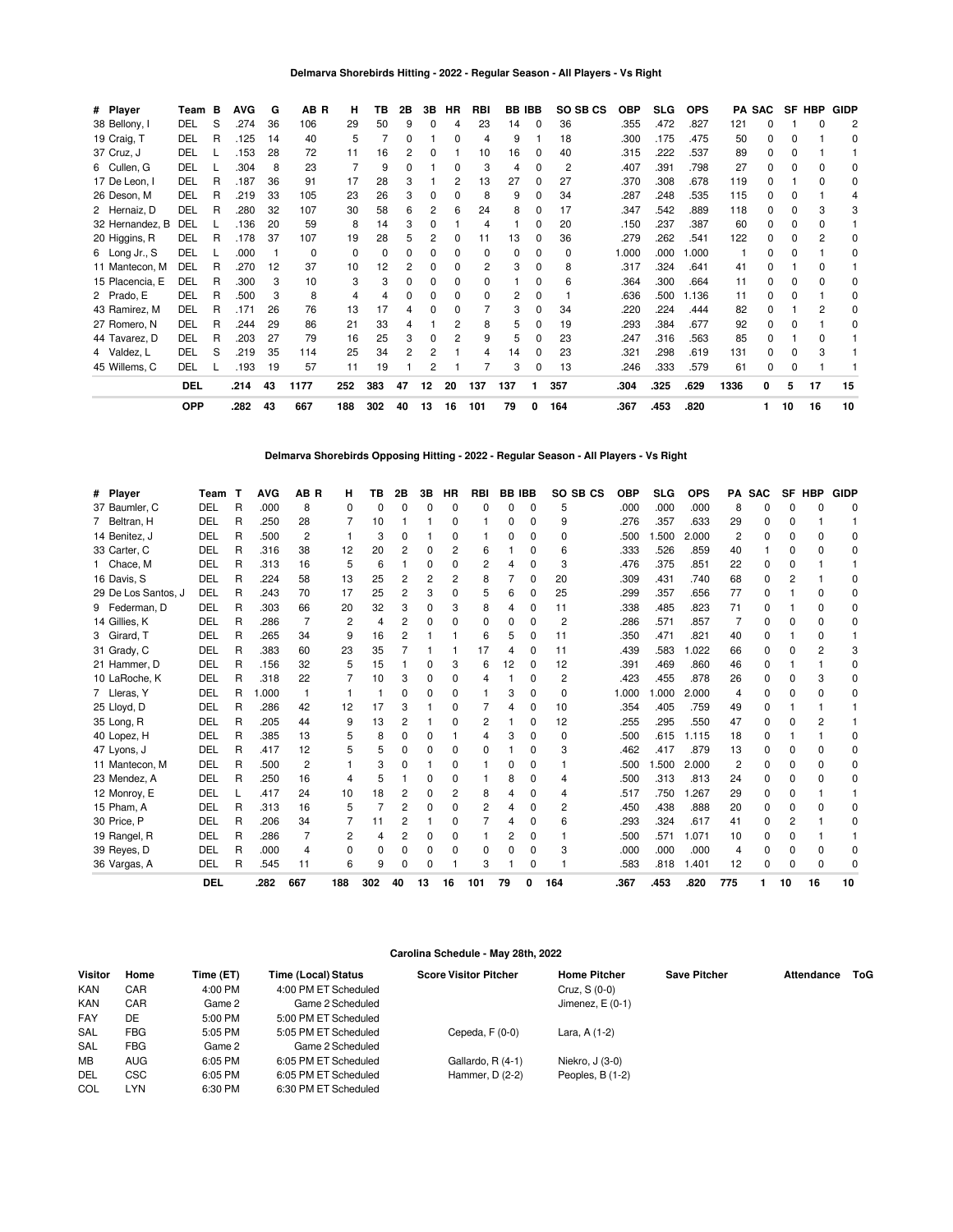### **Delmarva Shorebirds Hitting - 2022 - Regular Season - All Players - Vs Right**

| # Player        | Team       | B | <b>AVG</b> | G  | AB R         | н        | ΤВ       | 2Β | 3В           | HR           | RBI      |              | BB IBB   | SO SB CS       | OBP   | <b>SLG</b> | <b>OPS</b> | PA   | <b>SAC</b> | SF | HBP | <b>GIDP</b>  |
|-----------------|------------|---|------------|----|--------------|----------|----------|----|--------------|--------------|----------|--------------|----------|----------------|-------|------------|------------|------|------------|----|-----|--------------|
| 38 Bellony, I   | DEL        | S | .274       | 36 | 106          | 29       | 50       | 9  | <sup>0</sup> | 4            | 23       | 14           | $\Omega$ | 36             | .355  | .472       | .827       | 121  |            |    |     |              |
| 19 Craig, T     | DEL        | R | .125       | 14 | 40           | 5        |          |    |              | 0            | 4        | 9            |          | 18             | .300  | .175       | .475       | 50   | 0          |    |     | 0            |
| 37 Cruz, J      | DEL        |   | .153       | 28 | 72           | 11       | 16       |    | <sup>0</sup> |              | 10       | 16           | 0        | 40             | .315  | .222       | .537       | 89   | 0          |    |     |              |
| 6 Cullen, G     | DEL        |   | .304       | 8  | 23           |          | 9        |    |              | O            | 3        |              | 0        | $\overline{c}$ | .407  | .391       | .798       | 27   | 0          |    |     | O            |
| 17 De Leon, I   | <b>DEL</b> | R | .187       | 36 | 91           | 17       | 28       |    |              | 2            | 13       | 27           | 0        | 27             | .370  | .308       | .678       | 119  | O.         |    | ŋ   | 0            |
| 26 Deson, M     | <b>DEL</b> | R | .219       | 33 | 105          | 23       | 26       |    | <sup>0</sup> | O            | 8        | 9            | 0        | 34             | .287  | .248       | .535       | 115  | n.         |    |     |              |
| 2 Hernaiz, D    | DEL        | R | .280       | 32 | 107          | 30       | 58       | 6  | 2            | 6            | 24       | 8            | 0        | 17             | .347  | .542       | .889       | 118  | 0          |    | 3   |              |
| 32 Hernandez, B | DEL        |   | .136       | 20 | 59           | 8        | 14       | з  | $\Omega$     |              | 4        |              | 0        | 20             | .150  | .237       | .387       | 60   | 0          | ŋ  | n   |              |
| 20 Higgins, R   | DEL        | R | .178       | 37 | 107          | 19       | 28       |    | 2            | n            | 11       | 13           | 0        | 36             | .279  | .262       | .541       | 122  | 0          |    | 2   |              |
| 6 Long Jr., S   | <b>DEL</b> |   | .000       |    | <sup>0</sup> | $\Omega$ | $\Omega$ |    | <sup>0</sup> | ŋ            | $\Omega$ | <sup>0</sup> | 0        | $\Omega$       | 1.000 | .000       | 1.000      |      | 0          |    |     | <sup>0</sup> |
| 11 Mantecon, M  | DEL        | R | .270       | 12 | 37           | 10       | 12       |    | <sup>0</sup> |              | 2        | 3            | 0        | 8              | .317  | .324       | .641       | 41   | n.         |    |     |              |
| 15 Placencia, E | DEL        | R | .300       | 3  | 10           | 3        | 3        |    | 0            | <sup>0</sup> | 0        |              | 0        | 6              | .364  | .300       | .664       | 11   | 0          |    |     | O            |
| 2 Prado, E      | DEL        | R | .500       | 3  | 8            | 4        | 4        | o  | 0            | <sup>0</sup> | $\Omega$ | 2            | 0        |                | .636  | .500       | 1.136      | 11   | 0          | n  |     | 0            |
| 43 Ramirez, M   | <b>DEL</b> | R | .171       | 26 | 76           | 13       | 17       |    | 0            |              |          | 3            | 0        | 34             | .220  | .224       | .444       | 82   | 0          |    | 2   | O            |
| 27 Romero, N    | <b>DEL</b> | R | .244       | 29 | 86           | 21       | 33       |    |              | 2            | 8        | 5            | 0        | 19             | .293  | .384       | .677       | 92   | 0          |    |     | <sup>0</sup> |
| 44 Tavarez, D   | <b>DEL</b> | R | .203       | 27 | 79           | 16       | 25       | з  | <sup>0</sup> | 2            | 9        | 5            | $\Omega$ | 23             | .247  | .316       | .563       | 85   | n.         |    | n   |              |
| 4 Valdez, L     | DEL        | S | .219       | 35 | 114          | 25       | 34       | 2  | 2            |              | 4        | 14           | 0        | 23             | .321  | .298       | .619       | 131  | 0          |    | 3   |              |
| 45 Willems, C   | DEL        |   | .193       | 19 | 57           | 11       | 19       |    | 2            |              |          | 3            | 0        | 13             | .246  | .333       | .579       | 61   | 0          | 0  |     |              |
|                 | <b>DEL</b> |   | .214       | 43 | 1177         | 252      | 383      | 47 | 12           | 20           | 137      | 137          | 1        | 357            | .304  | .325       | .629       | 1336 | 0          | 5  | 17  | 15           |
|                 | <b>OPP</b> |   | .282       | 43 | 667          | 188      | 302      | 40 | 13           | 16           | 101      | 79           | 0        | 164            | .367  | .453       | .820       |      |            | 10 | 16  | 10           |

**Delmarva Shorebirds Opposing Hitting - 2022 - Regular Season - All Players - Vs Right**

| # Player            | Team       | т | <b>AVG</b> | AB <sub>R</sub> | н              | ΤВ             | 2Β           | 3В       | НR           | <b>RBI</b>     | <b>BB IBB</b> |          | SO SB CS | <b>OBP</b> | <b>SLG</b> | <b>OPS</b> |     | PA SAC   |                | SF HBP | <b>GIDP</b> |
|---------------------|------------|---|------------|-----------------|----------------|----------------|--------------|----------|--------------|----------------|---------------|----------|----------|------------|------------|------------|-----|----------|----------------|--------|-------------|
| 37 Baumler, C       | DEL        | R | .000       | 8               | $\Omega$       | $\Omega$       | 0            | 0        | $\Omega$     | 0              | <sup>0</sup>  | $\Omega$ | 5        | .000       | .000       | .000       | 8   | O        | 0              |        | O           |
| 7 Beltran, H        | DEL        | R | .250       | 28              |                | 10             |              |          | 0            |                | 0             | 0        | 9        | .276       | .357       | .633       | 29  | O        | 0              |        |             |
| 14 Benitez, J       | DEL        | R | .500       | 2               |                | 3              | <sup>0</sup> |          | <sup>0</sup> |                | 0             | $\Omega$ | 0        | .500       | .500       | 2.000      | 2   | O        | 0              |        | U           |
| 33 Carter, C        | DEL        | R | .316       | 38              | 12             | 20             | 2            | 0        | 2            | 6              |               | 0        | 6        | .333       | .526       | .859       | 40  |          | 0              |        |             |
| 1 Chace, M          | DEL        | R | .313       | 16              | 5              | 6              |              | 0        | $\Omega$     | 2              | 4             | 0        | 3        | .476       | .375       | .851       | 22  | 0        | 0              |        |             |
| 16 Davis, S         | DEL        | R | .224       | 58              | 13             | 25             | 2            | 2        |              | 8              |               | $\Omega$ | 20       | .309       | .431       | .740       | 68  | 0        | $\overline{c}$ |        | U           |
| 29 De Los Santos, J | DEL        | R | .243       | 70              | 17             | 25             | 2            | 3        | O            | 5              | 6             | 0        | 25       | .299       | .357       | .656       | 77  | 0        |                |        |             |
| 9 Federman, D       | DEL        | R | .303       | 66              | 20             | 32             | 3            | 0        | 3            | 8              | 4             | 0        | 11       | .338       | .485       | .823       | 71  | 0        |                |        | n           |
| 14 Gillies, K       | DEL        | R | .286       | 7               | $\overline{2}$ | 4              | 2            | 0        | U            | 0              | 0             | $\Omega$ | 2        | .286       | .571       | .857       |     | O        | O              |        | O           |
| 3 Girard, T         | DEL        | R | .265       | 34              | 9              | 16             | 2            |          |              | 6              | 5             | 0        | 11       | .350       | .471       | .821       | 40  | O        |                |        |             |
| 31 Grady, C         | DEL        | R | .383       | 60              | 23             | 35             |              |          |              | 17             | 4             | 0        | 11       | .439       | .583       | 1.022      | 66  | 0        | 0              |        |             |
| 21 Hammer, D        | DEL        | R | .156       | 32              | 5              | 15             |              | 0        | 3            | 6              | 12            | $\Omega$ | 12       | .391       | .469       | .860       | 46  | O        |                |        | n           |
| 10 LaRoche, K       | DEL        | R | .318       | 22              | 7              | 10             | 3            | 0        | 0            | 4              |               | $\Omega$ | 2        | .423       | .455       | .878       | 26  | 0        | 0              |        |             |
| 7 Lleras, Y         | DEL        | R | 000.1      |                 |                |                | 0            | 0        | <sup>0</sup> |                |               | 0        | 0        | 1.000      | .000       | 2.000      | 4   | $\Omega$ | <sup>0</sup>   |        | O           |
| 25 Lloyd, D         | DEL        | R | .286       | 42              | 12             | 17             | 3            |          | 0            | 7              | 4             | 0        | 10       | .354       | .405       | .759       | 49  | 0        |                |        |             |
| 35 Long, R          | DEL        | R | .205       | 44              | 9              | 13             | 2            |          | O            | 2              |               | $\Omega$ | 12       | .255       | .295       | .550       | 47  | $\Omega$ | O              |        |             |
| 40 Lopez, H         | DEL        | R | .385       | 13              | 5              | 8              | 0            | 0        |              | 4              |               | $\Omega$ | 0        | .500       | .615       | 1.115      | 18  | O        |                |        | U           |
| 47 Lyons, J         | DEL        | R | .417       | 12              | 5              | 5              | 0            | 0        | $\Omega$     | $\Omega$       |               | 0        | 3        | .462       | .417       | .879       | 13  | 0        | 0              |        |             |
| 11 Mantecon, M      | DEL        | R | .500       | 2               |                | 3              | ŋ            |          | <sup>0</sup> |                |               | 0        |          | .500       | .500       | 2.000      | 2   | 0        | <sup>0</sup>   |        | U           |
| 23 Mendez, A        | DEL        | R | .250       | 16              | 4              | 5              |              | 0        | <sup>0</sup> |                | 8             | 0        | 4        | .500       | .313       | .813       | 24  | 0        | 0              |        | 0           |
| 12 Monroy, E        | DEL        | L | .417       | 24              | 10             | 18             | 2            | 0        | 2            | 8              | 4             | 0        | 4        | .517       | .750       | 1.267      | 29  | 0        | $\Omega$       |        |             |
| 15 Pham, A          | DEL        | R | .313       | 16              | 5              | $\overline{7}$ | 2            | 0        | O            | $\overline{c}$ | 4             | $\Omega$ | 2        | .450       | .438       | .888       | 20  | 0        | <sup>0</sup>   |        | U           |
| 30 Price, P         | DEL        | R | .206       | 34              |                | 11             | 2            |          | <sup>0</sup> |                | 4             | 0        | 6        | .293       | .324       | .617       | 41  | 0        | 2              |        | n           |
| 19 Rangel, R        | DEL        | R | .286       |                 | $\overline{2}$ | $\overline{4}$ | 2            | $\Omega$ | $\Omega$     |                | 2             | $\Omega$ |          | .500       | .571       | 1.071      | 10  | 0        | $\Omega$       |        |             |
| 39 Reyes, D         | DEL        | R | .000       | 4               | $\Omega$       | $\Omega$       | o            | 0        | <sup>0</sup> | 0              |               | 0        | 3        | .000       | .000       | .000       | 4   | O        | $\Omega$       |        |             |
| 36 Vargas, A        | DEL        | R | .545       | 11              | 6              | 9              | 0            | 0        |              | 3              |               | $\Omega$ |          | .583       | .818       | 1.401      | 12  | $\Omega$ | O              | ŋ      | C           |
|                     | <b>DEL</b> |   | .282       | 667             | 188            | 302            | 40           | 13       | 16           | 101            | 79            | 0        | 164      | .367       | .453       | .820       | 775 |          | 10             | 16     | 10          |

#### **Carolina Schedule - May 28th, 2022**

| Visitor    | Home       | Time (ET) | <b>Time (Local) Status</b> | <b>Score Visitor Pitcher</b> | <b>Home Pitcher</b> | <b>Save Pitcher</b> | Attendance | ToG |
|------------|------------|-----------|----------------------------|------------------------------|---------------------|---------------------|------------|-----|
| <b>KAN</b> | CAR        | 4:00 PM   | 4:00 PM ET Scheduled       |                              | Cruz, S (0-0)       |                     |            |     |
| <b>KAN</b> | CAR        | Game 2    | Game 2 Scheduled           |                              | Jimenez, $E(0-1)$   |                     |            |     |
| <b>FAY</b> | DE         | 5:00 PM   | 5:00 PM ET Scheduled       |                              |                     |                     |            |     |
| <b>SAL</b> | FBG.       | 5:05 PM   | 5:05 PM ET Scheduled       | Cepeda, $F(0-0)$             | Lara, A (1-2)       |                     |            |     |
| <b>SAL</b> | FBG.       | Game 2    | Game 2 Scheduled           |                              |                     |                     |            |     |
| MВ         | <b>AUG</b> | 6:05 PM   | 6:05 PM ET Scheduled       | Gallardo, R (4-1)            | Niekro, J (3-0)     |                     |            |     |
| DEL        | CSC        | 6:05 PM   | 6:05 PM ET Scheduled       | Hammer, $D(2-2)$             | Peoples, B (1-2)    |                     |            |     |
| COL        | LYN.       | 6:30 PM   | 6:30 PM ET Scheduled       |                              |                     |                     |            |     |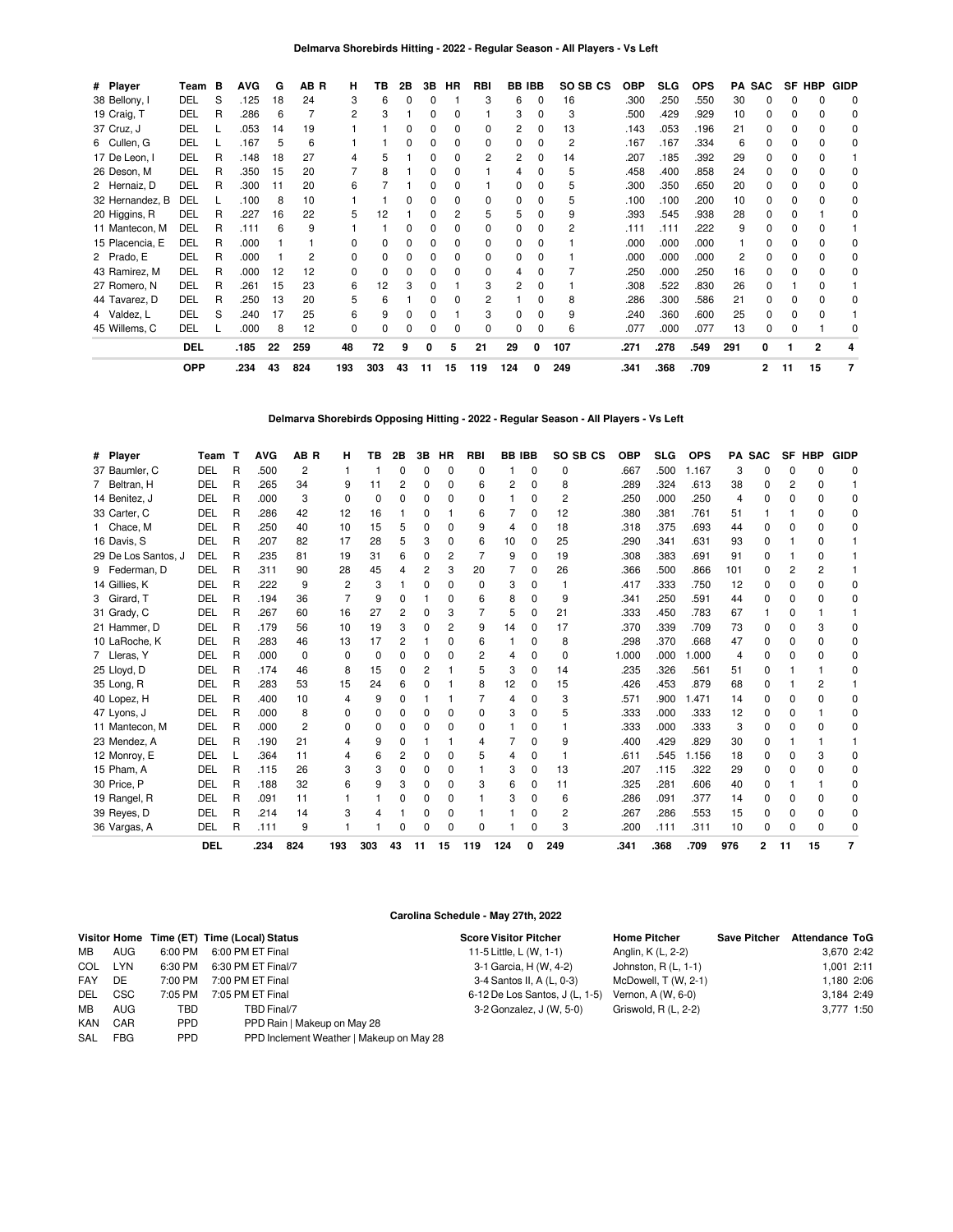| # Player        | Team       | в | <b>AVG</b> | G  | AB R | н              | ΤВ  | 2Β | 3В | HR           | RBI | <b>BB IBB</b> |          | SO SB CS | ОВР  | <b>SLG</b> | <b>OPS</b> |     | <b>PA SAC</b> | SF | HBP | GIDP         |
|-----------------|------------|---|------------|----|------|----------------|-----|----|----|--------------|-----|---------------|----------|----------|------|------------|------------|-----|---------------|----|-----|--------------|
| 38 Bellony, I   | DEL        | S | .125       | 18 | 24   | 3              | 6   |    | 0  |              | 3   | 6             | 0        | 16       | .300 | .250       | .550       | 30  |               |    |     | 0            |
| 19 Craig, T     | DEL        | R | .286       | 6  |      | $\overline{c}$ | 3   |    | 0  | 0            |     | 3             | 0        | 3        | .500 | .429       | .929       | 10  | 0             | o  | ი   | 0            |
| 37 Cruz, J      | DEL        |   | .053       | 14 | 19   |                |     |    |    | 0            | 0   | 2             |          | 13       | .143 | .053       | .196       | 21  |               |    |     | 0            |
| 6 Cullen, G     | DEL        |   | .167       | 5  | 6    |                |     |    | 0  | 0            | 0   | 0             | O        | 2        | .167 | .167       | .334       | 6   |               | O  | n   | $\Omega$     |
| 17 De Leon, I   | DEL        | R | .148       | 18 | 27   |                | 5   |    |    | 0            | 2   | 2             |          | 14       | .207 | .185       | .392       | 29  |               |    |     |              |
| 26 Deson, M     | <b>DEL</b> | R | .350       | 15 | 20   |                | 8   |    | 0  | ŋ            |     |               |          | 5        | .458 | .400       | .858       | 24  | 0             |    |     | 0            |
| 2 Hernaiz, D    | DEL        | R | .300       | 11 | 20   | 6              |     |    |    | 0            |     | 0             |          | 5        | .300 | .350       | .650       | 20  |               |    |     | 0            |
| 32 Hernandez, B | DEL        |   | .100       | 8  | 10   |                |     |    | 0  | ŋ            | 0   | <sup>0</sup>  | O        | 5        | .100 | .100       | .200       | 10  | 0             |    | n   | 0            |
| 20 Higgins, R   | DEL        | R | .227       | 16 | 22   | 5              | 12  |    |    | 2            | 5   | 5             |          | 9        | .393 | .545       | .938       | 28  |               |    |     | 0            |
| 11 Mantecon, M  | DEL        | R | .111       | 6  | 9    |                |     |    | O  | ŋ            | 0   | U             |          | 2        | .111 | .111       | .222       | 9   |               |    |     |              |
| 15 Placencia, E | DEL        | R | .000       |    |      | 0              | 0   |    | 0  | 0            | 0   | 0             |          |          | .000 | .000       | .000       |     |               |    |     | 0            |
| 2 Prado, E      | DEL        | R | .000       |    |      | 0              | ŋ   |    | O  | ŋ            | 0   | U             |          |          | .000 | .000       | .000       | 2   |               |    |     | <sup>0</sup> |
| 43 Ramirez, M   | <b>DEL</b> | R | .000       | 12 | 12   | 0              | 0   |    | 0  | ŋ            | 0   | 4             | O        |          | .250 | .000       | .250       | 16  | 0             |    | n   | 0            |
| 27 Romero, N    | DEL        | R | .261       | 15 | 23   | 6              | 12  |    |    |              | 3   | 2             |          |          | .308 | .522       | .830       | 26  |               |    |     |              |
| 44 Tavarez, D   | <b>DEL</b> | R | .250       | 13 | 20   | 5              | 6   |    | 0  | ŋ            | 2   |               |          | 8        | .286 | .300       | .586       | 21  | 0             |    |     | 0            |
| 4 Valdez, L     | DEL        | S | .240       | 17 | 25   | 6              | 9   |    |    |              | 3   | U             |          | 9        | .240 | .360       | .600       | 25  | 0             |    |     |              |
| 45 Willems, C   | DEL        |   | .000       | 8  | 12   | $\Omega$       | 0   |    | O  | <sup>0</sup> | 0   | 0             | $\Omega$ | 6        | .077 | .000       | .077       | 13  | 0             | O  |     | O            |
|                 | <b>DEL</b> |   | .185       | 22 | 259  | 48             | 72  | 9  | O  | 5            | 21  | 29            | 0        | 107      | .271 | .278       | .549       | 291 | 0             |    | 2   |              |
|                 | <b>OPP</b> |   | .234       | 43 | 824  | 193            | 303 | 43 | 11 | 15           | 119 | 124           | 0        | 249      | .341 | .368       | .709       |     | 2             | 11 | 15  | 7            |

**Delmarva Shorebirds Opposing Hitting - 2022 - Regular Season - All Players - Vs Left**

| # Player            | Team       |   | <b>AVG</b> | AB <sub>R</sub> | н        | ΤВ       | 2Β             | 3В | HR           | <b>RBI</b> | <b>BB IBB</b> |          | SO SB CS       | <b>OBP</b> | <b>SLG</b> | <b>OPS</b> | PA SAC |              |              | SF HBP       | <b>GIDP</b> |
|---------------------|------------|---|------------|-----------------|----------|----------|----------------|----|--------------|------------|---------------|----------|----------------|------------|------------|------------|--------|--------------|--------------|--------------|-------------|
| 37 Baumler, C       | DEL        | R | .500       | $\overline{2}$  |          |          | $\Omega$       | 0  | $\Omega$     | 0          |               | $\Omega$ | 0              | .667       | .500       | 1.167      | 3      | $\Omega$     | ი            | $\Omega$     | 0           |
| 7 Beltran, H        | <b>DEL</b> | R | .265       | 34              | 9        | 11       | 2              | 0  | 0            | 6          | 2             | 0        | 8              | .289       | .324       | .613       | 38     | 0            | 2            | 0            |             |
| 14 Benitez, J       | DEL        | R | .000       | 3               | $\Omega$ | $\Omega$ | $\Omega$       | 0  | $\Omega$     | O          |               | $\Omega$ | $\overline{2}$ | .250       | .000       | .250       | 4      | $\Omega$     | 0            | $\Omega$     | 0           |
| 33 Carter, C        | DEL        | R | .286       | 42              | 12       | 16       |                | 0  |              | 6          |               | $\Omega$ | 12             | .380       | .381       | .761       | 51     |              |              | <sup>0</sup> | 0           |
| 1 Chace, M          | DEL        | R | .250       | 40              | 10       | 15       | 5              | 0  | O            | 9          | 4             | $\Omega$ | 18             | .318       | .375       | .693       | 44     | 0            | 0            | <sup>0</sup> | 0           |
| 16 Davis, S         | <b>DEL</b> | R | .207       | 82              | 17       | 28       | 5              | 3  | 0            | 6          | 10            | $\Omega$ | 25             | .290       | .341       | .631       | 93     | <sup>0</sup> |              | <sup>0</sup> |             |
| 29 De Los Santos, J | DEL        | R | .235       | 81              | 19       | 31       | 6              | 0  | 2            |            | 9             | $\Omega$ | 19             | .308       | .383       | .691       | 91     | 0            |              | 0            |             |
| 9 Federman, D       | <b>DEL</b> | R | .311       | 90              | 28       | 45       | 4              | 2  | 3            | 20         |               | 0        | 26             | .366       | .500       | .866       | 101    | 0            | 2            |              |             |
| 14 Gillies, K       | DEL        | R | .222       | 9               | 2        | 3        |                | O  | <sup>0</sup> | 0          | 3             | $\Omega$ |                | .417       | .333       | .750       | 12     | 0            | 0            | <sup>0</sup> | U           |
| 3 Girard, T         | DEL        | R | .194       | 36              |          | 9        | $\Omega$       |    | 0            | 6          | 8             | $\Omega$ | 9              | .341       | .250       | .591       | 44     | $\Omega$     | O            | O            | U           |
| 31 Grady, C         | DEL        | R | .267       | 60              | 16       | 27       | 2              | 0  | 3            |            | 5             | $\Omega$ | 21             | .333       | .450       | .783       | 67     |              | 0            |              |             |
| 21 Hammer, D        | DEL        | R | .179       | 56              | 10       | 19       | 3              | 0  | 2            | 9          | 14            | $\Omega$ | 17             | .370       | .339       | .709       | 73     | 0            | 0            | 3            | 0           |
| 10 LaRoche, K       | DEL        | R | .283       | 46              | 13       | 17       | $\overline{c}$ |    | 0            | 6          |               | $\Omega$ | 8              | .298       | .370       | .668       | 47     | 0            | 0            | 0            | U           |
| 7 Lleras, Y         | DEL        | R | .000       | $\Omega$        | 0        | $\Omega$ | $\Omega$       | 0  | 0            |            | 4             | $\Omega$ | $\Omega$       | 1.000      | .000       | 000.1      | 4      | 0            | 0            | <sup>0</sup> | 0           |
| 25 Lloyd, D         | DEL        | R | .174       | 46              | 8        | 15       | $\Omega$       | 2  |              | 5          | 3             | $\Omega$ | 14             | .235       | .326       | .561       | 51     | 0            |              |              | 0           |
| 35 Long, R          | DEL        | R | .283       | 53              | 15       | 24       | 6              | U  |              | 8          | 12            | $\Omega$ | 15             | .426       | .453       | .879       | 68     | <sup>0</sup> |              |              |             |
| 40 Lopez, H         | DEL        | R | .400       | 10              | 4        | 9        | 0              |    |              |            | 4             | $\Omega$ | 3              | .571       | .900       | .471       | 14     | 0            | 0            | <sup>0</sup> | 0           |
| 47 Lyons, J         | DEL        | R | .000       | 8               | 0        | 0        | 0              | 0  | $\Omega$     | 0          | 3             | 0        | 5              | .333       | .000       | .333       | 12     | 0            | $\Omega$     |              | 0           |
| 11 Mantecon, M      | DEL        | R | .000       | 2               | O        | O        | 0              | U  | 0            | 0          |               | 0        |                | .333       | .000       | .333       | 3      | 0            | O            | O            | U           |
| 23 Mendez, A        | DEL        | R | .190       | 21              | 4        | 9        | 0              |    |              | 4          |               | $\Omega$ | 9              | .400       | .429       | .829       | 30     | 0            |              |              |             |
| 12 Monroy, E        | DEL        |   | .364       | 11              | 4        | 6        | 2              | 0  | 0            | 5          | 4             | $\Omega$ |                | .611       | .545       | 1.156      | 18     | 0            | 0            | 3            | 0           |
| 15 Pham. A          | DEL        | R | .115       | 26              | 3        | 3        | $\Omega$       | 0  | 0            |            | 3             | $\Omega$ | 13             | .207       | .115       | .322       | 29     | 0            | O            | <sup>0</sup> | 0           |
| 30 Price, P         | DEL        | R | .188       | 32              | 6        | 9        | 3              | 0  | O            | 3          | 6             | $\Omega$ | 11             | .325       | .281       | .606       | 40     | 0            |              |              | 0           |
| 19 Rangel, R        | DEL        | R | .091       | 11              |          |          | $\Omega$       | 0  | $\Omega$     |            | 3             | $\Omega$ | 6              | .286       | .091       | .377       | 14     | 0            | <sup>0</sup> | <sup>0</sup> | 0           |
| 39 Reyes, D         | DEL        | R | .214       | 14              | 3        | Δ        |                | 0  | $\Omega$     |            |               | $\Omega$ | $\overline{2}$ | .267       | .286       | .553       | 15     | $\Omega$     | 0            | $\Omega$     | 0           |
| 36 Vargas, A        | DEL        | R | .111       | 9               |          |          | n              | ŋ  | 0            | O          |               | 0        | 3              | .200       | .111       | .311       | 10     | 0            |              | $\Omega$     | 0           |
|                     | <b>DEL</b> |   | .234       | 824             | 193      | 303      | 43             | 11 | 15           | 119        | 124           | 0        | 249            | .341       | .368       | .709       | 976    | 2            | 11           | 15           | 7           |

### **Carolina Schedule - May 27th, 2022**

|            |            |            | Visitor Home Time (ET) Time (Local) Status | <b>Score Visitor Pitcher</b>   | <b>Home Pitcher</b>   | <b>Save Pitcher</b> | <b>Attendance ToG</b> |
|------------|------------|------------|--------------------------------------------|--------------------------------|-----------------------|---------------------|-----------------------|
| MВ         | AUG        | 6:00 PM    | 6:00 PM ET Final                           | 11-5 Little, L (W, 1-1)        | Anglin, K (L, 2-2)    |                     | 3,670 2:42            |
| COL LYN    |            | 6:30 PM    | 6:30 PM ET Final/7                         | 3-1 Garcia, H (W, 4-2)         | Johnston, $R(L, 1-1)$ |                     | 1,001 2:11            |
| FAY        | DE         | 7:00 PM    | 7:00 PM ET Final                           | 3-4 Santos II, A (L, 0-3)      | McDowell, T (W, 2-1)  |                     | 1.180 2:06            |
| <b>DEL</b> | <b>CSC</b> | 7:05 PM    | 7:05 PM ET Final                           | 6-12 De Los Santos, J (L, 1-5) | Vernon, A (W, 6-0)    |                     | 3.184 2:49            |
| MB         | <b>AUG</b> | TBD        | TBD Final/7                                | 3-2 Gonzalez, J (W, 5-0)       | Griswold, R (L, 2-2)  |                     | 3,777 1:50            |
| <b>KAN</b> | CAR        | <b>PPD</b> | PPD Rain   Makeup on May 28                |                                |                       |                     |                       |
| SAL        | <b>FBG</b> | <b>PPD</b> | PPD Inclement Weather   Makeup on May 28   |                                |                       |                     |                       |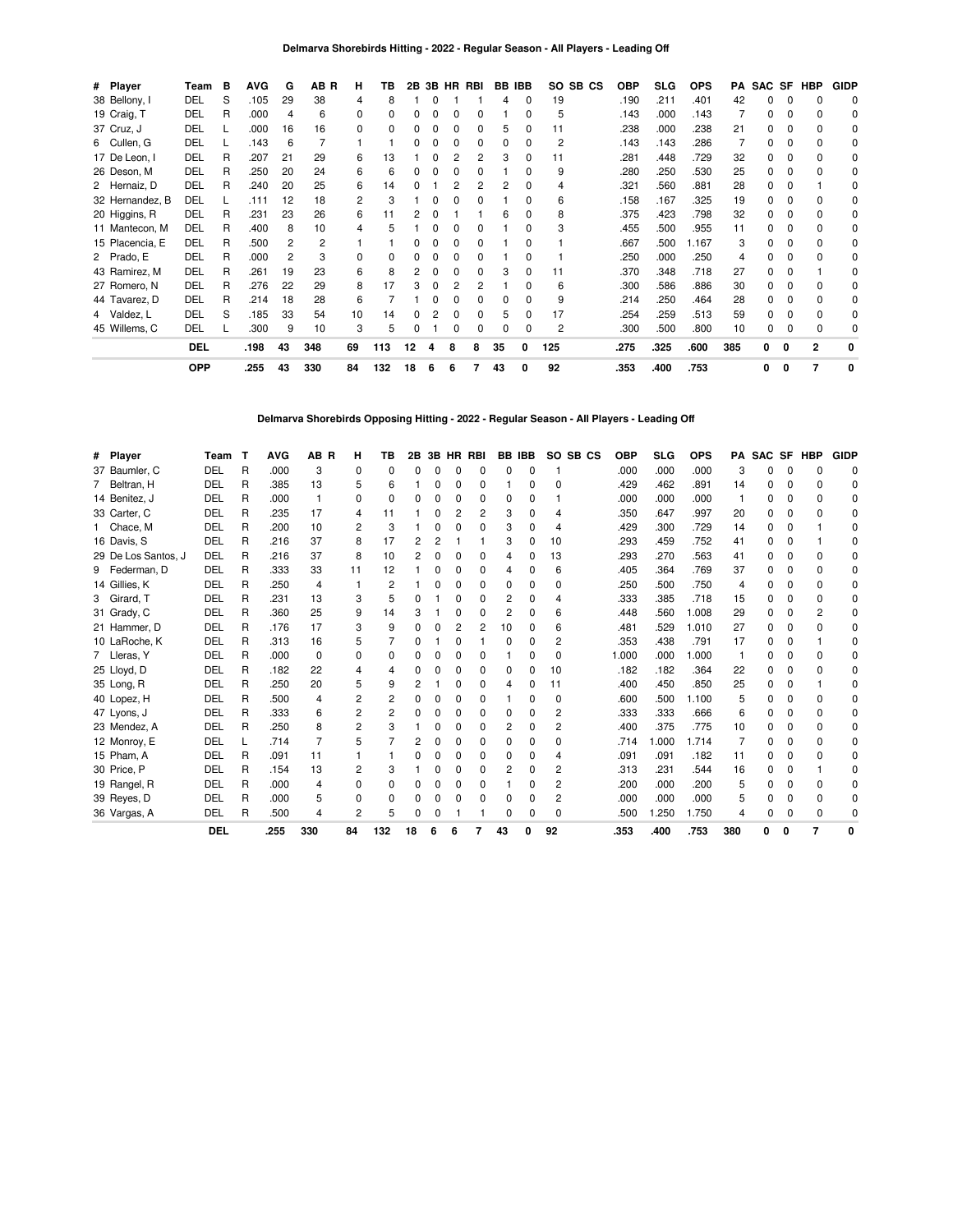| # Player        | Team       | в | <b>AVG</b> | G  | AB R | н  | ΤВ  |    | 2B 3B |   | HR RBI |              | BB IBB       | SO SB CS       | <b>OBP</b> | SLG. | <b>OPS</b> | PA  | SAC SF |              | HBP            | <b>GIDP</b>  |
|-----------------|------------|---|------------|----|------|----|-----|----|-------|---|--------|--------------|--------------|----------------|------------|------|------------|-----|--------|--------------|----------------|--------------|
| 38 Bellony, I   | DEL        | S | .105       | 29 | 38   |    | 8   |    |       |   |        |              | 0            | 19             | .190       | .211 | .401       | 42  |        |              |                | 0            |
| 19 Craig, T     | DEL        | R | .000       | 4  | 6    | 0  |     |    |       |   |        |              | 0            | 5              | .143       | .000 | .143       |     | 0      | 0            | 0              | $\Omega$     |
| 37 Cruz, J      | DEL        |   | .000       | 16 | 16   | 0  |     |    |       |   |        | 5            | 0            | 11             | .238       | .000 | .238       | 21  | 0      |              |                | 0            |
| 6 Cullen, G     | DEL        |   | .143       | 6  |      |    |     |    |       |   |        | <sup>0</sup> | <sup>0</sup> | 2              | .143       | .143 | .286       |     | O.     | <sup>0</sup> |                | <sup>0</sup> |
| 17 De Leon, I   | DEL        | R | .207       | 21 | 29   | 6  | 13  |    |       |   |        | 3            |              | 11             | .281       | .448 | .729       | 32  | 0      |              |                | 0            |
| 26 Deson, M     | DEL        | R | .250       | 20 | 24   | 6  | ค   |    |       |   |        |              |              | 9              | .280       | .250 | .530       | 25  | 0      |              |                | <sup>0</sup> |
| 2 Hernaiz, D    | DEL        | R | .240       | 20 | 25   | 6  | 14  |    |       |   |        | 2            | 0            | 4              | .321       | .560 | .881       | 28  | 0      |              |                | 0            |
| 32 Hernandez, B | DEL        |   | .111       | 12 | 18   | 2  | 3   |    |       |   |        |              | <sup>0</sup> | 6              | .158       | .167 | .325       | 19  | n.     |              |                | <sup>0</sup> |
| 20 Higgins, R   | DEL        | R | .231       | 23 | 26   | 6  | 11  |    |       |   |        | 6            | 0            | 8              | .375       | .423 | .798       | 32  | 0      | 0            | U              | 0            |
| 11 Mantecon, M  | DEL        | R | .400       | 8  | 10   |    |     |    |       |   |        |              | O            | 3              | .455       | .500 | .955       | 11  | 0      |              |                | 0            |
| 15 Placencia, E | DEL        | R | .500       |    | 2    |    |     |    |       |   |        |              | <sup>0</sup> |                | .667       | .500 | 1.167      | 3   | O.     |              |                | 0            |
| 2 Prado, E      | DEL        | R | .000       | 2  | 3    | U  |     |    |       |   |        |              | <sup>0</sup> |                | .250       | .000 | .250       |     |        |              |                | 0            |
| 43 Ramirez, M   | DEL        | R | .261       | 19 | 23   | 6  | я   |    |       | n | 0      | 3            | $\Omega$     | 11             | .370       | .348 | .718       | 27  | O.     | <sup>0</sup> |                | 0            |
| 27 Romero, N    | DEL        | R | .276       | 22 | 29   | 8  | 17  |    |       |   |        |              | 0            | 6              | .300       | .586 | .886       | 30  | 0      |              |                | 0            |
| 44 Tavarez, D   | DEL        | R | .214       | 18 | 28   | 6  |     |    |       |   |        |              |              | 9              | .214       | .250 | .464       | 28  | n.     |              |                | <sup>0</sup> |
| 4 Valdez, L     | DEL        | S | .185       | 33 | 54   | 10 | 14  |    |       |   |        | 5            | 0            | 17             | .254       | .259 | .513       | 59  | 0      |              |                | 0            |
| 45 Willems, C   | DEL        |   | .300       | 9  | 10   | 3  | 5   | ŋ  |       |   |        |              | 0            | $\overline{c}$ | .300       | .500 | .800       | 10  | 0      |              | $\Omega$       |              |
|                 | <b>DEL</b> |   | .198       | 43 | 348  | 69 | 113 | 12 | Δ     | 8 | 8      | 35           | 0            | 125            | .275       | .325 | .600       | 385 | 0      | $\Omega$     | $\mathbf{2}$   | 0            |
|                 | <b>OPP</b> |   | .255       | 43 | 330  | 84 | 132 | 18 | 6     | 6 |        | 43           | 0            | 92             | .353       | .400 | .753       |     | 0      | 0            | $\overline{7}$ | 0            |

**Delmarva Shorebirds Opposing Hitting - 2022 - Regular Season - All Players - Leading Off**

| # Player            | Team T     |   | <b>AVG</b> | AB R           | н            | ΤВ             | 2В |   |          | 3B HR RBI |    | <b>BB IBB</b> | SO SB CS       | <b>OBP</b> | <b>SLG</b> | <b>OPS</b> |     | <b>PA SAC SF HBP</b> |              |              | <b>GIDP</b> |
|---------------------|------------|---|------------|----------------|--------------|----------------|----|---|----------|-----------|----|---------------|----------------|------------|------------|------------|-----|----------------------|--------------|--------------|-------------|
| 37 Baumler, C       | <b>DEL</b> | R | .000       | 3              | 0            | ŋ              | O  | O | $\Omega$ | $\Omega$  | 0  | $\Omega$      |                | .000       | .000       | .000       | 3   | n                    | <sup>0</sup> | O            | 0           |
| 7 Beltran, H        | DEL        | R | .385       | 13             | 5            | 6              |    | 0 | 0        | 0         |    | 0             | 0              | .429       | .462       | .891       | 14  | n                    |              | <sup>0</sup> | O           |
| 14 Benitez, J       | DEL        | R | .000       |                | $\Omega$     | ŋ              |    | 0 | 0        | 0         | 0  | $\Omega$      |                | .000       | .000       | .000       |     | n                    | n            | <sup>0</sup> |             |
| 33 Carter, C        | DEL        | R | .235       | 17             | 4            | 11             |    | O | 2        | 2         | 3  | 0             |                | .350       | .647       | .997       | 20  | n                    |              |              |             |
| 1 Chace, M          | DEL        | R | .200       | 10             | 2            | 3              |    | O | O        | O         | 3  | 0             | 4              | .429       | .300       | .729       | 14  | n.                   | 0            |              |             |
| 16 Davis, S         | DEL        | R | .216       | 37             | 8            | 17             | 2  | 2 |          |           | 3  | 0             | 10             | .293       | .459       | .752       | 41  | n                    | 0            |              |             |
| 29 De Los Santos, J | DEL        | R | .216       | 37             | 8            | 10             | 2  | 0 | 0        | 0         | 4  | 0             | 13             | .293       | .270       | .563       | 41  | n                    |              | 0            | n           |
| 9 Federman, D       | DEL        | R | .333       | 33             | 11           | 12             |    | O | O        | 0         | 4  | 0             | 6              | .405       | .364       | .769       | 37  | n.                   |              | <sup>0</sup> | U           |
| 14 Gillies, K       | DEL        | R | .250       | 4              |              | 2              |    | O | O        | 0         | 0  | 0             | 0              | .250       | .500       | .750       | 4   | n                    |              | <sup>0</sup> |             |
| 3 Girard, T         | DEL        | R | .231       | 13             | 3            | 5              | 0  |   | 0        | 0         | 2  | 0             | 4              | .333       | .385       | .718       | 15  | 0                    |              | 0            |             |
| 31 Grady, C         | DEL        | R | .360       | 25             | 9            | 14             | З  |   | O        | 0         | 2  | 0             | 6              | .448       | .560       | 1.008      | 29  |                      |              | 2            | n           |
| 21 Hammer, D        | DEL        | R | .176       | 17             | 3            | 9              | O  | 0 | 2        | 2         | 10 | 0             | 6              | .481       | .529       | 1.010      | 27  | n.                   |              | <sup>n</sup> |             |
| 10 LaRoche, K       | DEL        | R | .313       | 16             | 5            |                | 0  |   | $\Omega$ |           | 0  | $\Omega$      | 2              | .353       | .438       | .791       | 17  | 0                    |              |              |             |
| 7 Lleras, Y         | DEL        | R | .000       | $\Omega$       | <sup>0</sup> | ŋ              | O  | O | 0        | 0         |    | ŋ             | 0              | 1.000      | .000       | 1.000      |     | n                    | O            | <sup>0</sup> |             |
| 25 Lloyd, D         | DEL        | R | .182       | 22             |              |                |    | O | O        | 0         | 0  | 0             | 10             | .182       | .182       | .364       | 22  | n                    |              |              |             |
| 35 Long, R          | DEL        | R | .250       | 20             | 5            | 9              | 2  |   | O        | 0         | 4  | 0             | 11             | .400       | .450       | .850       | 25  | 0                    |              |              |             |
| 40 Lopez, H         | DEL        | R | .500       | 4              |              | $\overline{c}$ | O  | O | 0        | 0         |    | 0             | 0              | .600       | .500       | 1.100      | 5   | n                    |              | <sup>0</sup> |             |
| 47 Lyons, J         | DEL        | R | .333       | 6              | 2            | 2              |    | O | 0        | 0         | 0  | 0             | 2              | .333       | .333       | .666       | 6   |                      |              | 0            | n           |
| 23 Mendez, A        | DEL        | R | .250       | 8              | 2            | 3              |    | O | 0        | 0         | 2  | 0             | 2              | .400       | .375       | .775       | 10  | 0                    |              | <sup>n</sup> | n           |
| 12 Monroy, E        | DEL        |   | .714       | $\overline{7}$ | 5            |                |    | O | O        | 0         | 0  | ŋ             | 0              | .714       | 1.000      | 1.714      | 7   | n                    |              | <sup>0</sup> |             |
| 15 Pham, A          | DEL        | R | .091       | 11             |              |                | O  | 0 | 0        | 0         | 0  | 0             | 4              | .091       | .091       | .182       | 11  | n                    |              |              |             |
| 30 Price, P         | DEL        | R | .154       | 13             | 2            | 3              |    | O | 0        | 0         | 2  | 0             | 2              | .313       | .231       | .544       | 16  | n                    |              |              | n           |
| 19 Rangel, R        | DEL        | R | .000       | 4              | <sup>0</sup> | o              |    | O | O        | 0         |    | 0             | 2              | .200       | .000       | .200       | 5   | O.                   |              | 0            | O           |
| 39 Reyes, D         | DEL        | R | .000       | 5              | 0            | ŋ              | 0  | O | 0        | $\Omega$  | 0  | $\Omega$      | $\overline{c}$ | .000       | .000       | .000       | 5   | 0                    |              | 0            | O           |
| 36 Vargas, A        | DEL        | R | .500       | 4              | 2            | 5              | 0  | O |          |           | 0  | 0             | 0              | .500       | 1.250      | 1.750      | 4   | 0                    |              | $\Omega$     |             |
|                     | <b>DEL</b> |   | .255       | 330            | 84           | 132            | 18 | 6 | 6        |           | 43 |               | 92             | .353       | .400       | .753       | 380 | 0                    | 0            | 7            | 0           |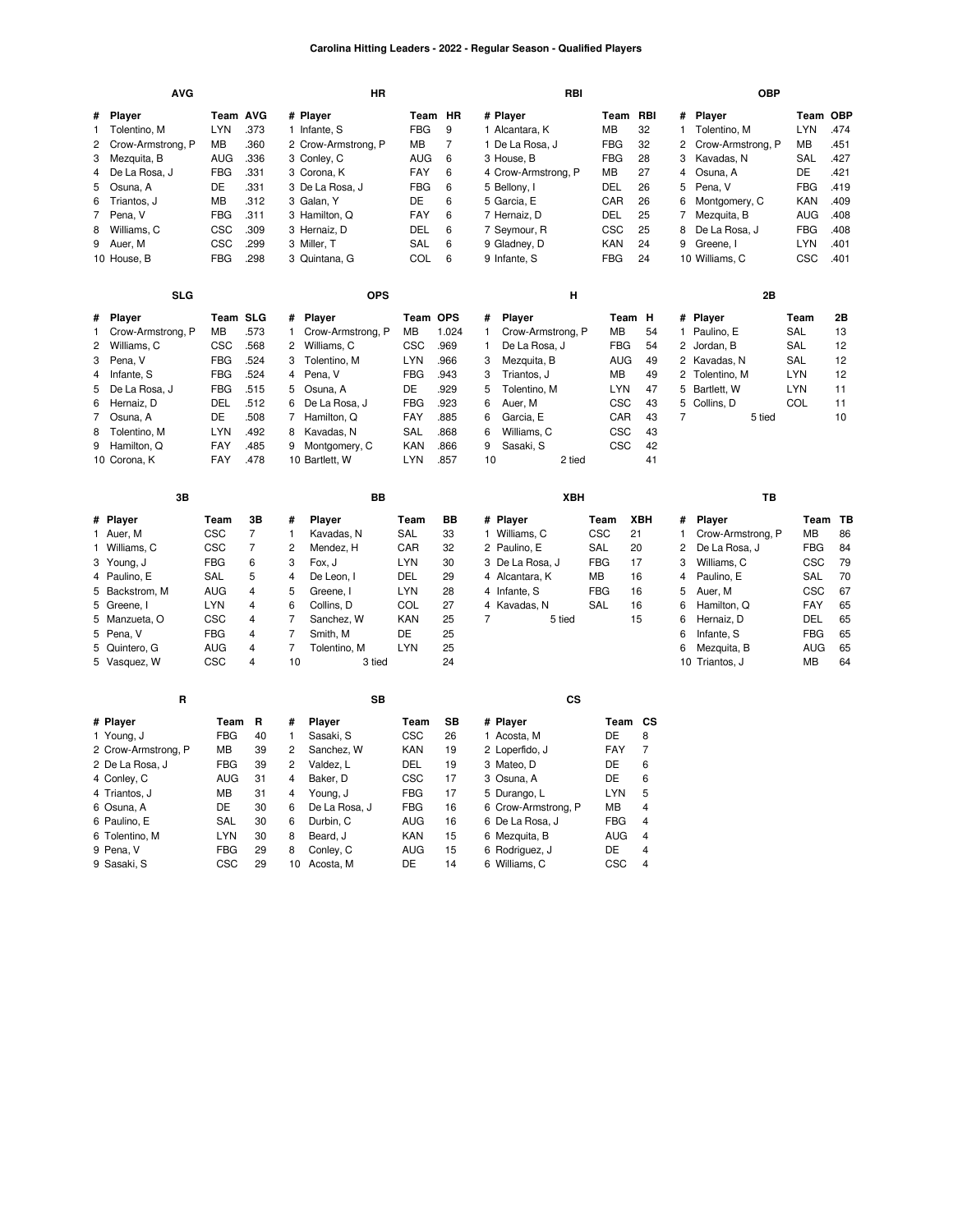#### **Carolina Hitting Leaders - 2022 - Regular Season - Qualified Players**

|   | <b>AVG</b>          |                 |                |                | ΗR                  |            |       |                | RBI                 |            |                |              | <b>OBP</b>        |            |         |
|---|---------------------|-----------------|----------------|----------------|---------------------|------------|-------|----------------|---------------------|------------|----------------|--------------|-------------------|------------|---------|
| # | Player              | Team AVG        |                |                | # Player            | Team HR    |       |                | # Player            | Team       | RBI            | #            | Player            | Team OBP   |         |
| 1 | Tolentino, M        | <b>LYN</b>      | .373           |                | 1 Infante, S        | <b>FBG</b> | 9     |                | 1 Alcantara, K      | МB         | 32             | $\mathbf{1}$ | Tolentino, M      | <b>LYN</b> | .474    |
| 2 | Crow-Armstrong, P   | MВ              | .360           |                | 2 Crow-Armstrong, P | МB         | 7     |                | 1 De La Rosa, J     | <b>FBG</b> | 32             | 2            | Crow-Armstrong, P | MВ         | .451    |
| 3 | Mezquita, B         | <b>AUG</b>      | .336           |                | 3 Conley, C         | <b>AUG</b> | 6     |                | 3 House, B          | <b>FBG</b> | 28             | 3            | Kavadas, N        | SAL        | .427    |
| 4 | De La Rosa, J       | <b>FBG</b>      | .331           |                | 3 Corona, K         | <b>FAY</b> | 6     |                | 4 Crow-Armstrong, P | МB         | 27             | 4            | Osuna, A          | DE         | .421    |
| 5 | Osuna, A            | DE              | .331           |                | 3 De La Rosa, J     | <b>FBG</b> | 6     |                | 5 Bellony, I        | DEL        | 26             | 5            | Pena, V           | <b>FBG</b> | .419    |
| 6 | Triantos, J         | MB              | .312           |                | 3 Galan, Y          | DE         | 6     |                | 5 Garcia, E         | <b>CAR</b> | 26             | 6            | Montgomery, C     | <b>KAN</b> | .409    |
| 7 | Pena, V             | <b>FBG</b>      | .311           |                | 3 Hamilton, Q       | FAY        | 6     |                | 7 Hernaiz, D        | DEL        | 25             | 7            | Mezquita, B       | <b>AUG</b> | .408    |
| 8 | Williams, C         | CSC             | .309           |                | 3 Hernaiz, D        | DEL        | 6     |                | 7 Seymour, R        | <b>CSC</b> | 25             | 8            | De La Rosa, J     | <b>FBG</b> | .408    |
| 9 | Auer, M             | CSC             | .299           |                | 3 Miller, T         | SAL        | 6     |                | 9 Gladney, D        | <b>KAN</b> | 24             | 9            | Greene, I         | <b>LYN</b> | .401    |
|   | 10 House, B         | <b>FBG</b>      | .298           |                | 3 Quintana, G       | COL        | 6     |                | 9 Infante, S        | <b>FBG</b> | 24             |              | 10 Williams, C    | <b>CSC</b> | .401    |
|   | <b>SLG</b>          |                 |                |                | <b>OPS</b>          |            |       |                | н                   |            |                |              | 2B                |            |         |
| # | Player              | <b>Team SLG</b> |                | #              | Player              | Team OPS   |       | #              | Player              |            | Team H         |              | # Player          | Team       | 2В      |
| 1 | Crow-Armstrong, P   | MB              | .573           | 1              | Crow-Armstrong, P   | MВ         | 1.024 | $\mathbf{1}$   | Crow-Armstrong, P   | MВ         | 54             |              | 1 Paulino, E      | SAL        | 13      |
| 2 | Williams, C         | CSC             | .568           | 2              | Williams, C         | <b>CSC</b> | .969  | $\mathbf{1}$   | De La Rosa, J       | <b>FBG</b> | 54             | 2            | Jordan, B         | SAL        | 12      |
| 3 | Pena, V             | <b>FBG</b>      | .524           | 3              | Tolentino, M        | <b>LYN</b> | .966  | 3              | Mezquita, B         | <b>AUG</b> | 49             |              | 2 Kavadas, N      | SAL        | 12      |
| 4 | Infante, S          | <b>FBG</b>      | .524           | $\overline{4}$ | Pena. V             | <b>FBG</b> | .943  | 3              | Triantos, J         | MВ         | 49             | 2            | Tolentino, M      | <b>LYN</b> | 12      |
| 5 | De La Rosa, J       | <b>FBG</b>      | .515           | 5              | Osuna, A            | DE         | .929  | 5              | Tolentino, M        | <b>LYN</b> | 47             | 5            | Bartlett, W       | <b>LYN</b> | 11      |
| 6 | Hernaiz, D          | DEL             | .512           | 6              | De La Rosa, J       | <b>FBG</b> | .923  | 6              | Auer, M             | CSC        | 43             | 5            | Collins, D        | COL        | 11      |
| 7 | Osuna, A            | DE              | .508           | $\overline{7}$ | Hamilton, Q         | <b>FAY</b> | .885  | 6              | Garcia, E           | CAR        | 43             | 7            | 5 tied            |            | 10      |
| 8 | Tolentino, M        | <b>LYN</b>      | .492           | 8              | Kavadas, N          | <b>SAL</b> | 868.  | 6              | Williams, C         | <b>CSC</b> | 43             |              |                   |            |         |
| 9 | Hamilton, Q         | <b>FAY</b>      | .485           | 9              | Montgomery, C       | KAN        | .866  | 9              | Sasaki, S           | CSC        | 42             |              |                   |            |         |
|   | 10 Corona, K        | FAY             | .478           |                | 10 Bartlett, W      | <b>LYN</b> | .857  | 10             | 2 tied              |            | 41             |              |                   |            |         |
|   |                     |                 |                |                |                     |            |       |                |                     |            |                |              |                   |            |         |
|   |                     |                 |                |                |                     |            |       |                |                     |            |                |              |                   |            |         |
|   | 3B                  |                 |                |                | BB                  |            |       |                | XBH                 |            |                |              | TB                |            |         |
|   | # Player            | Team            | 3B             | #              | Player              | Team       | BB    |                | # Player            | Team       | <b>XBH</b>     | #            | Player            |            | Team TB |
|   | 1 Auer, M           | CSC             | $\overline{7}$ | 1              | Kavadas, N          | <b>SAL</b> | 33    |                | 1 Williams, C       | CSC        | 21             | 1            | Crow-Armstrong, P | MB         | 86      |
|   | 1 Williams, C       | CSC             | $\overline{7}$ | $\overline{c}$ | Mendez, H           | CAR        | 32    |                | 2 Paulino, E        | <b>SAL</b> | 20             | 2            | De La Rosa, J     | <b>FBG</b> | 84      |
|   | 3 Young, J          | <b>FBG</b>      | 6              | 3              | Fox, J              | <b>LYN</b> | 30    |                | 3 De La Rosa, J     | <b>FBG</b> | 17             | 3            | Williams, C       | CSC        | 79      |
|   | 4 Paulino, E        | SAL             | 5              | 4              | De Leon, I          | DEL        | 29    |                | 4 Alcantara, K      | МB         | 16             | 4            | Paulino, E        | SAL        | 70      |
|   | 5 Backstrom, M      | AUG             | 4              | 5              | Greene, I           | <b>LYN</b> | 28    |                | 4 Infante, S        | <b>FBG</b> | 16             | 5            | Auer, M           | <b>CSC</b> | 67      |
|   | 5 Greene, I         | LYN             | $\overline{4}$ | 6              | Collins, D          | COL        | 27    |                | 4 Kavadas, N        | SAL        | 16             | 6            | Hamilton, Q       | FAY        | 65      |
|   | 5 Manzueta, O       | CSC             | $\overline{4}$ | $\overline{7}$ | Sanchez, W          | <b>KAN</b> | 25    | $\overline{7}$ | 5 tied              |            | 15             | 6            | Hernaiz, D        | DEL        | 65      |
|   | 5 Pena, V           | <b>FBG</b>      | $\overline{4}$ | $\overline{7}$ | Smith, M            | DE         | 25    |                |                     |            |                | 6            | Infante, S        | <b>FBG</b> | 65      |
|   | 5 Quintero, G       | <b>AUG</b>      | $\overline{4}$ | $\overline{7}$ | Tolentino, M        | <b>LYN</b> | 25    |                |                     |            |                | 6            | Mezquita, B       | <b>AUG</b> | 65      |
|   | 5 Vasquez, W        | CSC             | $\overline{4}$ | 10             | 3 tied              |            | 24    |                |                     |            |                |              | 10 Triantos, J    | MB         | 64      |
|   | R                   |                 |                |                | <b>SB</b>           |            |       |                | CS                  |            |                |              |                   |            |         |
|   | # Player            | Team            | R              | #              | Player              | Team       | SB    |                | # Player            |            | Team CS        |              |                   |            |         |
|   | 1 Young, J          | <b>FBG</b>      | 40             | 1              | Sasaki, S           | <b>CSC</b> | 26    |                | 1 Acosta, M         | DE         | 8              |              |                   |            |         |
|   | 2 Crow-Armstrong, P | MВ              | 39             | 2              | Sanchez, W          | <b>KAN</b> | 19    |                | 2 Loperfido, J      | FAY        | 7              |              |                   |            |         |
|   | 2 De La Rosa, J     | <b>FBG</b>      | 39             | $\overline{c}$ | Valdez, L           | DEL        | 19    |                | 3 Mateo, D          | DE         | 6              |              |                   |            |         |
|   | 4 Conley, C         | <b>AUG</b>      | 31             | 4              | Baker, D            | CSC        | 17    |                | 3 Osuna, A          | DE         | 6              |              |                   |            |         |
|   | 4 Triantos, J       | MВ              | 31             | 4              | Young, J            | <b>FBG</b> | 17    |                | 5 Durango, L        | <b>LYN</b> | 5              |              |                   |            |         |
|   | 6 Osuna, A          | DE              | 30             | 6              | De La Rosa, J       | <b>FBG</b> | 16    |                | 6 Crow-Armstrong, P | ΜВ         | 4              |              |                   |            |         |
|   | 6 Paulino, E        | <b>SAL</b>      | 30             | 6              | Durbin, C           | <b>AUG</b> | 16    |                | 6 De La Rosa, J     | FBG        | $\overline{4}$ |              |                   |            |         |
|   | 6 Tolentino, M      | <b>LYN</b>      | 30             | 8              | Beard, J            | KAN        | 15    |                | 6 Mezquita, B       | AUG        | 4              |              |                   |            |         |
|   | 9 Pena, V           | <b>FBG</b>      | 29             | 8              | Conley, C           | <b>AUG</b> | 15    |                | 6 Rodriguez, J      | DE         | $\overline{4}$ |              |                   |            |         |

[Sasaki,](https://research.mlb.com/players/687071/stats#orgId=122) S [CSC](https://research.mlb.com/teams/233/stats#timeframe=2022) 29

[DE](https://research.mlb.com/teams/485/stats#timeframe=2022) 14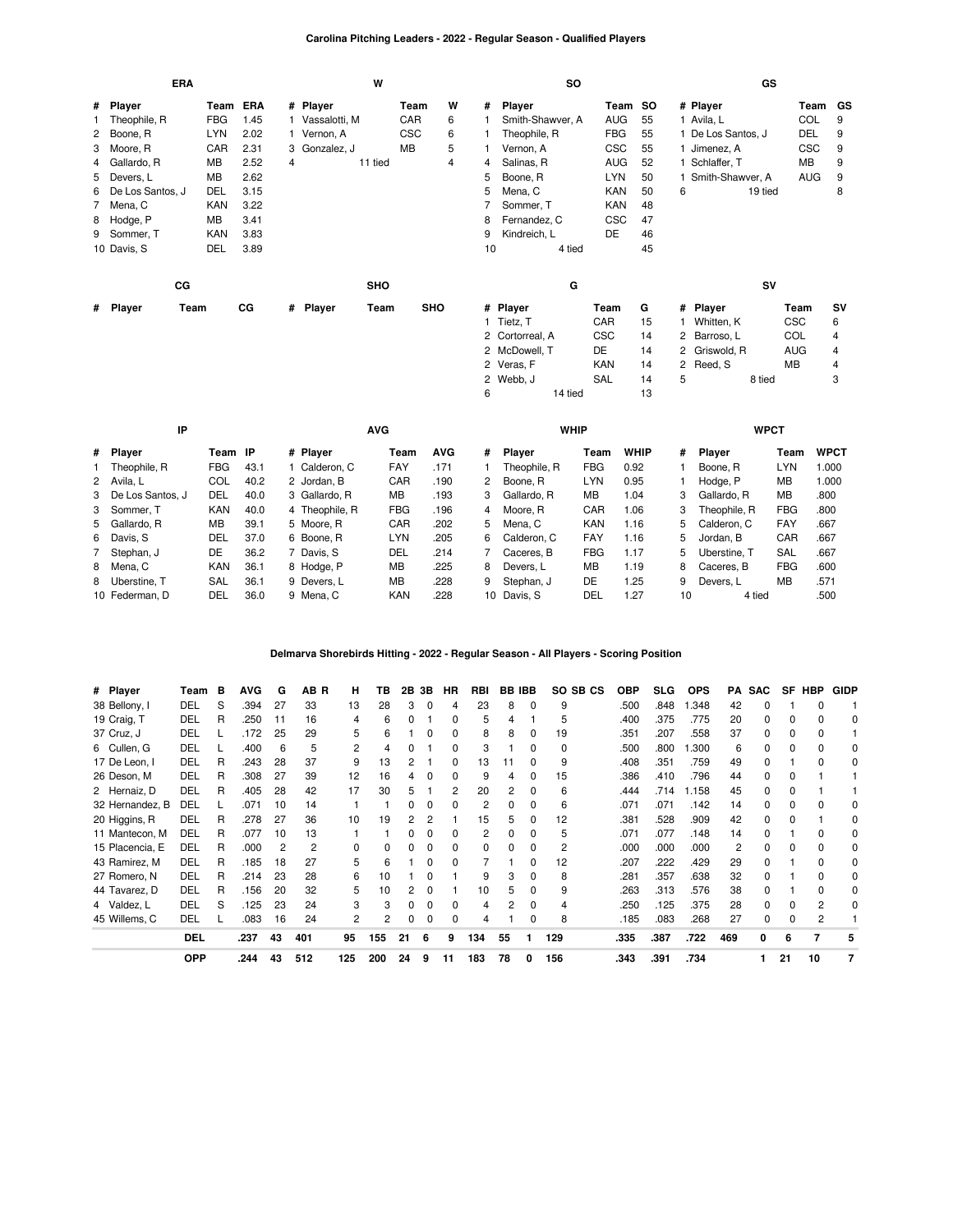### **Carolina Pitching Leaders - 2022 - Regular Season - Qualified Players**

|   | <b>ERA</b>       |            |      |   | W                |            |   |    |                  | <b>SO</b> |            |    |   |                    | GS      |            |           |
|---|------------------|------------|------|---|------------------|------------|---|----|------------------|-----------|------------|----|---|--------------------|---------|------------|-----------|
|   | # Player         | Team ERA   |      |   | # Player         | Team       | W | #  | Player           |           | Team SO    |    |   | # Player           |         | Team GS    |           |
|   | 1 Theophile, R   | <b>FBG</b> | 1.45 |   | Vassalotti, M    | CAR        | 6 |    | Smith-Shawver, A |           | <b>AUG</b> | 55 |   | 1 Avila, L         |         | COL        | 9         |
|   | 2 Boone, R       | <b>LYN</b> | 2.02 |   | 1 Vernon, A      | <b>CSC</b> | 6 |    | Theophile, R     |           | <b>FBG</b> | 55 |   | 1 De Los Santos, J |         | DEL        | 9         |
|   | 3 Moore, R       | CAR        | 2.31 | 3 | Gonzalez, J      | MB         | 5 |    | Vernon, A        |           | <b>CSC</b> | 55 |   | Jimenez, A         |         | <b>CSC</b> | 9         |
|   | 4 Gallardo, R    | МB         | 2.52 | 4 | 11 tied          |            | 4 | 4  | Salinas, R       |           | <b>AUG</b> | 52 |   | Schlaffer, T       |         | МB         | 9         |
|   | 5 Devers, L      | MB         | 2.62 |   |                  |            |   | 5  | Boone, R         |           | <b>LYN</b> | 50 |   | Smith-Shawver, A   |         | <b>AUG</b> | 9         |
| 6 | De Los Santos, J | DEL        | 3.15 |   |                  |            |   | 5  | Mena, C          |           | <b>KAN</b> | 50 | 6 |                    | 19 tied |            | 8         |
|   | 7 Mena, C        | <b>KAN</b> | 3.22 |   |                  |            |   |    | Sommer, T        |           | <b>KAN</b> | 48 |   |                    |         |            |           |
|   | 8 Hodge, P       | MB         | 3.41 |   |                  |            |   | 8  | Fernandez, C     |           | <b>CSC</b> | 47 |   |                    |         |            |           |
|   | 9 Sommer, T      | <b>KAN</b> | 3.83 |   |                  |            |   | 9  | Kindreich, L     |           | DE         | 46 |   |                    |         |            |           |
|   | 10 Davis, S      | DEL        | 3.89 |   |                  |            |   | 10 |                  | 4 tied    |            | 45 |   |                    |         |            |           |
|   |                  |            |      |   |                  |            |   |    |                  |           |            |    |   |                    |         |            |           |
|   | cc               |            |      |   | <b>SHO</b>       |            |   |    |                  | G         |            |    |   |                    | SV      |            |           |
|   | # Player<br>Team |            | CG   |   | # Player<br>Team | <b>SHO</b> |   |    | # Player         |           | Team       | G  |   | # Player           |         | Team       | <b>SV</b> |
|   |                  |            |      |   |                  |            |   |    | 1 Tietz, T       |           | <b>CAR</b> | 15 |   | Whitten, K         |         | <b>CSC</b> | 6         |
|   |                  |            |      |   |                  |            |   |    | 2 Cortorreal, A  |           | CSC        | 14 |   | 2 Barroso, L       |         | <b>COL</b> | 4         |
|   |                  |            |      |   |                  |            |   |    | 2 McDowell, T    |           | DE         | 14 |   | 2 Griswold, R      |         | AUG        | 4         |
|   |                  |            |      |   |                  |            |   |    | 2 Veras, F       |           | <b>KAN</b> | 14 |   | 2 Reed, S          |         | MB         | 4         |
|   |                  |            |      |   |                  |            |   |    | 2 Webb, J        |           | SAL        | 14 | 5 |                    | 8 tied  |            | 3         |
|   |                  |            |      |   |                  |            |   | 6  |                  | 14 tied   |            | 13 |   |                    |         |            |           |

| IP                 |            |      | <b>AVG</b>     |            |            |                 | <b>WHIP</b>   |            |             |    | <b>WPCT</b>  |            |             |
|--------------------|------------|------|----------------|------------|------------|-----------------|---------------|------------|-------------|----|--------------|------------|-------------|
| # Player           | Team IP    |      | # Plaver       | Team       | <b>AVG</b> | #               | <b>Plaver</b> | Team       | <b>WHIP</b> | #  | Plaver       | Team       | <b>WPCT</b> |
| Theophile, R       | <b>FBG</b> | 43.1 | Calderon, C    | <b>FAY</b> | .171       |                 | Theophile, R  | <b>FBG</b> | 0.92        |    | Boone, R     | LYN        | .000        |
| 2 Avila, L         | COL        | 40.2 | 2 Jordan, B    | CAR        | .190       | 2               | Boone, R      | <b>LYN</b> | 0.95        |    | Hodge, P     | МB         | 1.000       |
| 3 De Los Santos. J | DEL        | 40.0 | 3 Gallardo, R  | MB         | .193       | 3               | Gallardo, R   | MВ         | 1.04        | 3  | Gallardo, R  | MB         | .800        |
| 3 Sommer, T        | <b>KAN</b> | 40.0 | 4 Theophile, R | <b>FBG</b> | .196       | 4               | Moore. R      | CAR        | 1.06        | 3  | Theophile, R | FBG        | .800        |
| 5 Gallardo, R      | <b>MB</b>  | 39.1 | 5 Moore, R     | CAR        | .202       | 5.              | Mena. C       | <b>KAN</b> | 1.16        | 5  | Calderon. C  | <b>FAY</b> | .667        |
| 6 Davis, S         | DEL        | 37.0 | 6 Boone, R     | <b>LYN</b> | .205       | 6.              | Calderon, C   | FAY        | 1.16        | 5  | Jordan, B    | CAR        | .667        |
| 7 Stephan, J       | DE         | 36.2 | 7 Davis, S     | DEL        | .214       |                 | Caceres. B    | <b>FBG</b> | 1.17        | 5. | Uberstine. T | SAL        | .667        |
| 8 Mena, C          | <b>KAN</b> | 36.1 | 8 Hodge, P     | MB         | .225       | 8               | Devers. L     | MВ         | 1.19        | 8  | Caceres, B   | FBG        | .600        |
| 8 Uberstine, T     | <b>SAL</b> | 36.1 | 9 Devers, L    | MB         | .228       | 9               | Stephan, J    | DE         | 1.25        | 9  | Devers. L    | <b>MB</b>  | .571        |
| 10 Federman, D     | DEL        | 36.0 | 9 Mena, C      | <b>KAN</b> | .228       | 10 <sup>1</sup> | Davis, S      | DEL        | 1.27        | 10 | 4 tied       |            | .500        |

#### **Delmarva Shorebirds Hitting - 2022 - Regular Season - All Players - Scoring Position**

| # Player        | Team       | в | AVG  | G  | AB R | н        | ΤВ  | 2В | 3В | HR | <b>RBI</b> |    | <b>BB IBB</b> | SO SB CS | OBP  | SLG. | <b>OPS</b> | PA  | <b>SAC</b> | <b>SF</b> | HBP | <b>GIDP</b> |
|-----------------|------------|---|------|----|------|----------|-----|----|----|----|------------|----|---------------|----------|------|------|------------|-----|------------|-----------|-----|-------------|
| 38 Bellony, I   | DEL        | S | .394 | 27 | 33   | 13       | 28  | 3  | 0  | 4  | 23         | 8  | 0             | 9        | .500 | .848 | 1.348      | 42  | 0          |           |     |             |
| 19 Craig, T     | DEL        | R | .250 | 11 | 16   | 4        | 6   |    |    |    | 5          |    |               | 5        | .400 | .375 | .775       | 20  | $\Omega$   | 0         |     |             |
| 37 Cruz, J      | DEL        |   | .172 | 25 | 29   | 5        | 6   |    |    |    | 8          | 8  | 0             | 19       | .351 | .207 | .558       | 37  | $\Omega$   | 0         |     |             |
| 6 Cullen, G     | DEL        |   | .400 | 6  | 5    | 2        | 4   |    |    |    | 3          |    | 0             | 0        | .500 | .800 | .300       | 6   | $\Omega$   | 0         |     | 0           |
| 17 De Leon, I   | DEL        | R | .243 | 28 | 37   | 9        | 13  |    |    |    | 13         |    |               | 9        | .408 | .351 | .759       | 49  | $\Omega$   |           |     | 0           |
| 26 Deson, M     | DEL        | R | .308 | 27 | 39   | 12       | 16  | 4  |    |    | 9          |    | 0             | 15       | .386 | .410 | .796       | 44  | $\Omega$   | 0         |     |             |
| 2 Hernaiz, D    | DEL        | R | .405 | 28 | 42   | 17       | 30  | 5  |    |    | 20         |    | 0             | 6        | .444 | .714 | .158       | 45  | $\Omega$   |           |     |             |
| 32 Hernandez, B | DEL        |   | .071 | 10 | 14   |          |     |    |    |    | 2          |    | 0             | 6        | .071 | .071 | .142       | 14  | $\Omega$   | 0         |     |             |
| 20 Higgins, R   | DEL        | R | .278 | 27 | 36   | 10       | 19  | 2  |    |    | 15         | 5. | 0             | 12       | .381 | .528 | .909       | 42  | $\Omega$   | $\Omega$  |     |             |
| 11 Mantecon, M  | DEL        | R | .077 | 10 | 13   |          |     |    |    | 0  | 2          |    | 0             | 5        | .071 | .077 | .148       | 14  | $\Omega$   |           |     | 0           |
| 15 Placencia, E | DEL        | R | .000 | 2  | 2    | $\Omega$ | 0   | 0  | 0  |    | 0          |    | 0             | 2        | .000 | .000 | .000       | 2   | $\Omega$   | 0         |     | 0           |
| 43 Ramirez, M   | DEL        | R | .185 | 18 | 27   | 5        | 6   |    |    |    |            |    | 0             | 12       | .207 | .222 | .429       | 29  | 0          |           |     | 0           |
| 27 Romero, N    | DEL        | R | .214 | 23 | 28   | 6        | 10  |    |    |    | 9          |    | 0             | 8        | .281 | .357 | .638       | 32  | $\Omega$   |           |     | 0           |
| 44 Tavarez, D   | DEL        | R | .156 | 20 | 32   | 5        | 10  |    |    |    | 10         |    |               | 9        | .263 | .313 | .576       | 38  | $\Omega$   |           |     | 0           |
| 4 Valdez, L     | DEL        | S | .125 | 23 | 24   | 3        | з   |    | 0  |    | 4          |    | 0             | 4        | .250 | .125 | .375       | 28  | 0          | 0         |     | 0           |
| 45 Willems, C   | DEL        |   | .083 | 16 | 24   | 2        |     |    |    |    |            |    |               | 8        | .185 | .083 | .268       | 27  | $\Omega$   |           | 2   |             |
|                 | <b>DEL</b> |   | .237 | 43 | 401  | 95       | 155 | 21 | 6  | 9  | 134        | 55 |               | 129      | .335 | .387 | .722       | 469 | 0          | 6         |     | 5           |
|                 | <b>OPP</b> |   | .244 | 43 | 512  | 125      | 200 | 24 | 9  | 11 | 183        | 78 | 0             | 156      | .343 | .391 | .734       |     |            | 21        | 10  |             |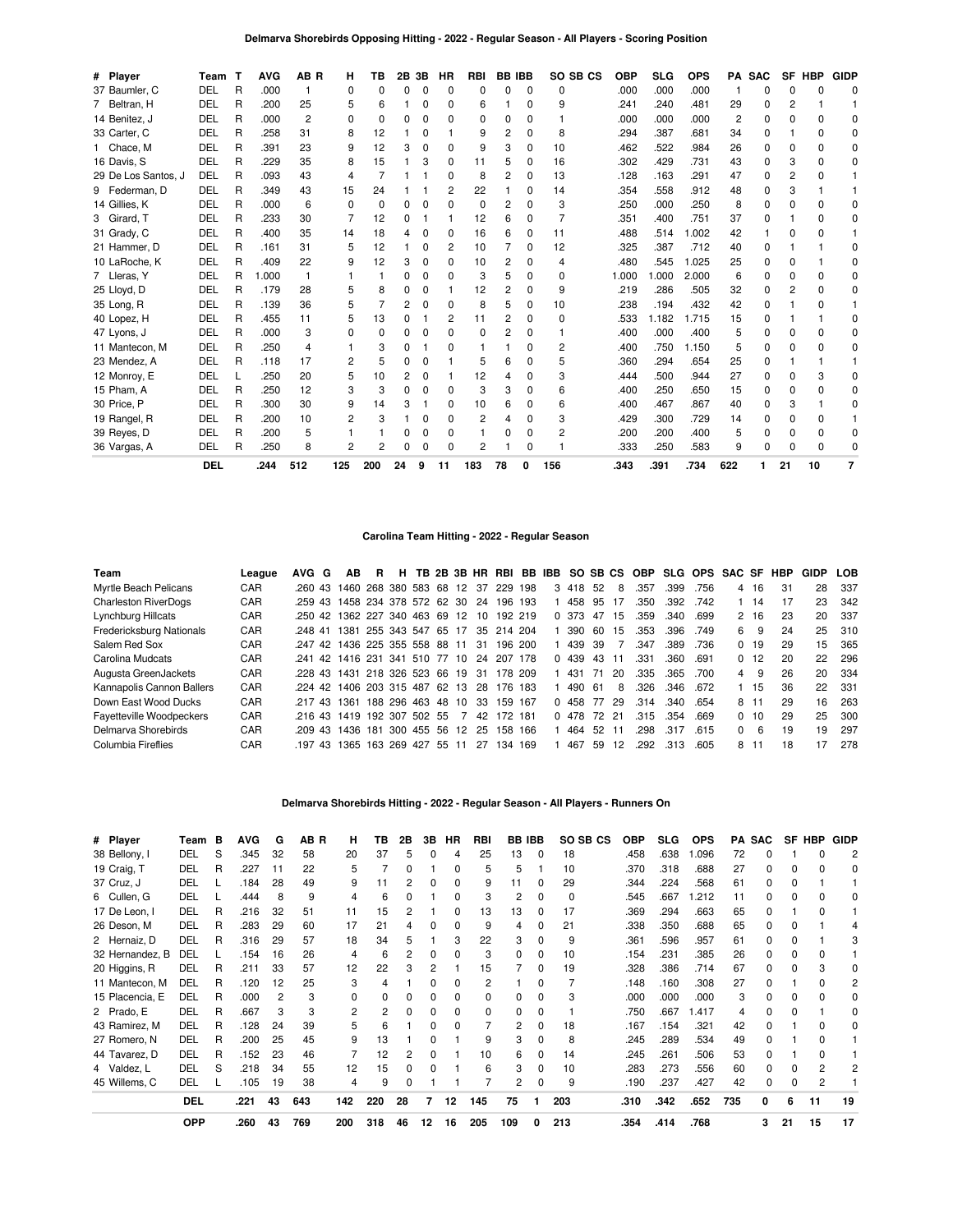| # Player            | Team       | т | <b>AVG</b> | AB <sub>R</sub> | н              | ΤВ             | 2В | 3В           | НR           | <b>RBI</b> | <b>BB IBB</b> |              | SO SB CS     | <b>OBP</b> | <b>SLG</b> | <b>OPS</b> |     | PA SAC       |                | SF HBP | <b>GIDP</b>  |
|---------------------|------------|---|------------|-----------------|----------------|----------------|----|--------------|--------------|------------|---------------|--------------|--------------|------------|------------|------------|-----|--------------|----------------|--------|--------------|
| 37 Baumler, C       | DEL        | R | .000       |                 | 0              | $\Omega$       | U  | 0            | $\Omega$     | 0          | 0             | $\Omega$     | $\Omega$     | .000       | .000       | .000       |     | O            | O              |        | n            |
| 7 Beltran, H        | <b>DEL</b> | R | .200       | 25              | 5              | 6              |    | 0            | 0            | 6          |               | $\Omega$     | 9            | .241       | .240       | .481       | 29  |              | 2              |        |              |
| 14 Benitez, J       | <b>DEL</b> | R | .000       | $\overline{c}$  | $\Omega$       | $\Omega$       | n  | 0            | ŋ            | 0          | <sup>0</sup>  | $\Omega$     |              | .000       | .000       | .000       | 2   | O            | $\Omega$       |        | n            |
| 33 Carter, C        | DEL        | R | .258       | 31              | 8              | 12             |    | 0            |              | 9          | 2             | $\Omega$     | 8            | .294       | .387       | .681       | 34  | <sup>0</sup> |                |        |              |
| 1 Chace, M          | <b>DEL</b> | R | .391       | 23              | 9              | 12             | з  | 0            | ŋ            | 9          | 3             | <sup>0</sup> | 10           | .462       | .522       | .984       | 26  | <sup>0</sup> | O              |        | O            |
| 16 Davis, S         | <b>DEL</b> | R | .229       | 35              | 8              | 15             |    | 3            | 0            | 11         | 5             | <sup>0</sup> | 16           | .302       | .429       | .731       | 43  | O            | 3              |        | O            |
| 29 De Los Santos, J | <b>DEL</b> | R | .093       | 43              | $\overline{4}$ | 7              |    |              | 0            | 8          | 2             | 0            | 13           | .128       | .163       | .291       | 47  | O            | $\overline{c}$ |        |              |
| 9 Federman, D       | <b>DEL</b> | R | .349       | 43              | 15             | 24             |    |              | 2            | 22         |               | <sup>0</sup> | 14           | .354       | .558       | .912       | 48  | O            | 3              |        |              |
| 14 Gillies, K       | <b>DEL</b> | R | .000       | 6               | $\Omega$       | $\Omega$       | n  | <sup>0</sup> | $\Omega$     | 0          | 2             | $\Omega$     | 3            | .250       | .000       | .250       | 8   | O            | O              |        |              |
| 3 Girard, T         | <b>DEL</b> | R | .233       | 30              | 7              | 12             |    |              |              | 12         | 6             | 0            |              | .351       | .400       | .751       | 37  | O            |                |        |              |
| 31 Grady, C         | <b>DEL</b> | R | .400       | 35              | 14             | 18             |    | ŋ            | 0            | 16         | 6             | 0            | 11           | .488       | .514       | 1.002      | 42  |              | O              |        |              |
| 21 Hammer, D        | DEL        | R | .161       | 31              | 5              | 12             |    | 0            | 2            | 10         |               | 0            | 12           | .325       | .387       | .712       | 40  | $\Omega$     |                |        |              |
| 10 LaRoche, K       | DEL        | R | .409       | 22              | 9              | 12             |    | <sup>0</sup> | $\Omega$     | 10         | 2             | <sup>0</sup> | 4            | .480       | .545       | 1.025      | 25  | O            | O              |        |              |
| 7 Lleras, Y         | <b>DEL</b> | R | 1.000      |                 |                | 1              | O  | 0            | $\Omega$     | 3          | 5             | <sup>0</sup> | $\Omega$     | 1.000      | .000       | 2.000      | 6   | O            | O              |        | <sup>0</sup> |
| 25 Lloyd, D         | DEL        | R | .179       | 28              | 5              | 8              |    | 0            |              | 12         | 2             | 0            | 9            | .219       | .286       | .505       | 32  | 0            | 2              |        | U            |
| 35 Long, R          | <b>DEL</b> | R | .139       | 36              | 5              | $\overline{7}$ |    | 0            | <sup>0</sup> | 8          | 5             | O            | 10           | .238       | .194       | .432       | 42  | O            |                |        |              |
| 40 Lopez, H         | <b>DEL</b> | R | .455       | 11              | 5              | 13             |    |              | 2            | 11         | 2             | <sup>0</sup> | <sup>0</sup> | .533       | 1.182      | 1.715      | 15  | n            |                |        | n            |
| 47 Lyons, J         | <b>DEL</b> | R | .000       | 3               | 0              | 0              | O  | 0            | $\Omega$     | 0          | 2             | $\Omega$     |              | .400       | .000       | .400       | 5   | 0            | $\Omega$       |        | n            |
| 11 Mantecon, M      | <b>DEL</b> | R | .250       | 4               |                | 3              |    |              | ŋ            |            |               | U            | 2            | .400       | .750       | 1.150      | 5   | O            | O              |        | n            |
| 23 Mendez, A        | <b>DEL</b> | R | .118       | 17              | 2              | 5              |    | O            |              | 5          | 6             | <sup>0</sup> | 5            | .360       | .294       | .654       | 25  | O            |                |        |              |
| 12 Monroy, E        | <b>DEL</b> | L | .250       | 20              | 5              | 10             |    | 0            |              | 12         |               | 0            | 3            | .444       | .500       | .944       | 27  | $\Omega$     | 0              |        | C            |
| 15 Pham, A          | <b>DEL</b> | R | .250       | 12              | 3              | 3              | O  | O            | <sup>0</sup> | 3          | 3             | O            | 6            | .400       | .250       | .650       | 15  | $\Omega$     | 0              |        | O            |
| 30 Price, P         | <b>DEL</b> | R | .300       | 30              | 9              | 14             |    |              | 0            | 10         | 6             | O            | 6            | .400       | .467       | .867       | 40  | O            | 3              |        |              |
| 19 Rangel, R        | <b>DEL</b> | R | .200       | 10              | 2              | 3              |    | 0            | <sup>0</sup> | 2          |               | <sup>0</sup> | 3            | .429       | .300       | .729       | 14  | O            | <sup>0</sup>   |        |              |
| 39 Reyes, D         | DEL        | R | .200       | 5               |                |                |    | 0            | n            |            | 0             | $\Omega$     | 2            | .200       | .200       | .400       | 5   | O            | 0              |        | n            |
| 36 Vargas, A        | DEL        | R | .250       | 8               | $\overline{c}$ | $\overline{c}$ |    |              |              | 2          |               | 0            |              | .333       | .250       | .583       | 9   | O            |                | n      |              |
|                     | <b>DEL</b> |   | .244       | 512             | 125            | 200            | 24 | 9            | 11           | 183        | 78            | 0            | 156          | .343       | .391       | .734       | 622 |              | 21             | 10     |              |

### **Carolina Team Hitting - 2022 - Regular Season**

| Team                        | League | AVG G | AB                                | - R |            |       |                |     |            |     |         |     |       | H TB 2B 3B HR RBI BB IBB SO SB CS OBP SLG OPS SAC SF HBP |      |      |          |          |    | GIDP | <b>LOB</b> |
|-----------------------------|--------|-------|-----------------------------------|-----|------------|-------|----------------|-----|------------|-----|---------|-----|-------|----------------------------------------------------------|------|------|----------|----------|----|------|------------|
| Myrtle Beach Pelicans       | CAR    |       | .260 43 1460 268 380 583 68 12 37 |     |            |       |                |     | 229        | 198 | 3 4 1 8 | -52 | 8     | .357                                                     | .399 | .756 | 4        | 16       | 31 | 28   | 337        |
| <b>Charleston RiverDogs</b> | CAR    |       | .259 43 1458 234 378 572 62 30 24 |     |            |       |                |     | 196 193    |     | 458     | 95  | 17    | .350                                                     | .392 | .742 |          | $1 \t14$ | 17 | 23   | 342        |
| Lynchburg Hillcats          | CAR    |       | .250 42 1362 227 340 463 69 12 10 |     |            |       |                |     | 192 219    |     | 0 373   | 47  | 15    | .359                                                     | .340 | .699 |          | 2 16     | 23 | 20   | 337        |
| Fredericksburg Nationals    | CAR    |       | .248 41 1381 255 343 547 65 17    |     |            |       |                |     | 35 214 204 |     | 390     | 60  | 15    | .353                                                     | .396 | .749 | 6.       | 9        | 24 | 25   | 310        |
| Salem Red Sox               | CAR    |       | .247 42 1436 225 355 558 88 11    |     |            |       |                | -31 | 196 200    |     | 439     | 39  |       | .347                                                     | .389 | .736 |          | 0, 19    | 29 | 15   | 365        |
| Carolina Mudcats            | CAR    |       | 241 42 1416 231 341 510 77 10     |     |            |       |                | 24  | 207        | 178 | 0 439   | 43  | 11    | .331                                                     | .360 | .691 |          | 0, 12    | 20 | 22   | 296        |
| Augusta GreenJackets        | CAR    |       | 228 43 1431 218 326 523 66 19 31  |     |            |       |                |     | 178 209    |     | 431     | -71 | 20    | .335                                                     | .365 | .700 | 4        | 9        | 26 | 20   | -334       |
| Kannapolis Cannon Ballers   | CAR    |       | .224 42 1406 203 315 487 62 13    |     |            |       |                | -28 | 176 183    |     | 490     | -61 | 8     | .326                                                     | .346 | .672 |          | 1 15     | 36 | 22   | -331       |
| Down East Wood Ducks        | CAR    |       | 217 43 1361 188 296 463 48 10     |     |            |       |                | -33 | 159 167    |     | 0 458   | 77  | 29    | .314                                                     | .340 | .654 |          | 8 11     | 29 | 16   | 263        |
| Fayetteville Woodpeckers    | CAR    |       | 216 43 1419 192 307 502 55        |     |            |       | $\overline{7}$ | 42  | 172        | 181 | 0 478   |     | 72 21 | .315                                                     | .354 | .669 |          | 0, 10    | 29 | 25   | 300        |
| Delmarva Shorebirds         | CAR    |       | 209 43 1436 181                   |     | 300 455 56 |       | 12             | 25  | 158 166    |     | 464     | 52  |       | .298                                                     | .317 | .615 | $\Omega$ | 6        | 19 | 19   | 297        |
| Columbia Fireflies          | CAR    |       | .197 43 1365 163 269 427          |     |            | 55 11 |                | 27  | 34         | 169 | 467     | 59  | 12    | .292                                                     | .313 | .605 |          | 8 11     | 18 | 17   | 278        |

## **Delmarva Shorebirds Hitting - 2022 - Regular Season - All Players - Runners On**

| # Player        | Team       | в | <b>AVG</b> | G  | AB R | н   | ΤВ  | 2Β | 3В           | HR | RBI      | BB  | <b>IBB</b>   | SO SB CS | OBP  | <b>SLG</b> | <b>OPS</b> | PA  | <b>SAC</b> | SF | <b>HBP</b> | <b>GIDP</b> |
|-----------------|------------|---|------------|----|------|-----|-----|----|--------------|----|----------|-----|--------------|----------|------|------------|------------|-----|------------|----|------------|-------------|
| 38 Bellony, I   | DEL        | S | .345       | 32 | 58   | 20  | 37  |    | 0            | 4  | 25       | 13  | $\Omega$     | 18       | .458 | .638       | 1.096      | 72  |            |    |            |             |
| 19 Craig, T     | DEL        | R | .227       | 11 | 22   | 5   |     |    |              | 0  | 5        | 5   |              | 10       | .370 | .318       | .688       | 27  | 0          | ŋ  |            | 0           |
| 37 Cruz, J      | DEL        |   | .184       | 28 | 49   | 9   | 11  |    |              | O  | 9        | 11  |              | 29       | .344 | .224       | .568       | 61  | 0          |    |            |             |
| 6 Cullen, G     | DEL        |   | .444       | 8  | 9    | 4   | 6   |    |              | O  | 3        | 2   | 0            | $\Omega$ | .545 | .667       | .212       | 11  | n.         |    |            |             |
| 17 De Leon, I   | DEL        | R | .216       | 32 | 51   | 11  | 15  |    |              | 0  | 13       | 13  | 0            | 17       | .369 | .294       | .663       | 65  | 0          |    |            |             |
| 26 Deson, M     | DEL        | R | .283       | 29 | 60   | 17  | 21  |    |              |    | 9        | 4   |              | 21       | .338 | .350       | .688       | 65  | 0          |    |            |             |
| 2 Hernaiz, D    | DEL        | R | .316       | 29 | 57   | 18  | 34  |    |              | 3  | 22       | 3   | <sup>0</sup> | 9        | .361 | .596       | .957       | 61  | 0          |    |            |             |
| 32 Hernandez, B | DEL        |   | .154       | 16 | 26   | 4   | 6   |    | 0            | O  | 3        | 0   |              | 10       | .154 | .231       | .385       | 26  | 0          |    |            |             |
| 20 Higgins, R   | DEL        | R | .211       | 33 | 57   | 12  | 22  |    | 2            |    | 15       |     | <sup>0</sup> | 19       | 328  | .386       | .714       | 67  | n.         |    |            |             |
| 11 Mantecon, M  | DEL        | R | .120       | 12 | 25   | 3   | 4   |    | 0            |    | 2        |     | 0            |          | .148 | .160       | .308       | 27  | 0          |    |            | 2           |
| 15 Placencia, E | DEL        | R | .000       | 2  |      | 0   | 0   |    | 0            |    | $\Omega$ | 0   | 0            | 3        | .000 | .000       | .000       | з   |            |    |            |             |
| 2 Prado, E      | DEL        | R | .667       | 3  |      |     |     |    | $\Omega$     |    | $\Omega$ | 0   | 0            |          | .750 | .667       | 1.417      |     | n          |    |            | 0           |
| 43 Ramirez, M   | DEL        | R | .128       | 24 | 39   | 5   | 6   |    | O            |    |          | 2   |              | 18       | .167 | .154       | .321       | 42  | n.         |    |            |             |
| 27 Romero, N    | DEL        | R | .200       | 25 | 45   | 9   | 13  |    |              |    | 9        | 3   | 0            | 8        | .245 | .289       | .534       | 49  |            |    |            |             |
| 44 Tavarez, D   | DEL        | R | .152       | 23 | 46   |     | 12  |    | <sup>0</sup> |    | 10       | 6   | 0            | 14       | .245 | .261       | .506       | 53  | O.         |    |            |             |
| 4 Valdez, L     | DEL        | S | .218       | 34 | 55   | 12  | 15  |    |              |    | 6        | 3   | 0            | 10       | 283  | .273       | .556       | 60  | 0          |    |            |             |
| 45 Willems, C   | DEL        |   | .105       | 19 | 38   | 4   | 9   |    |              |    |          | 2   | 0            | 9        | .190 | .237       | .427       | 42  | 0          |    |            |             |
|                 | <b>DEL</b> |   | .221       | 43 | 643  | 142 | 220 | 28 | 7            | 12 | 145      | 75  |              | 203      | .310 | .342       | .652       | 735 | 0          | 6  | 11         | 19          |
|                 | <b>OPP</b> |   | .260       | 43 | 769  | 200 | 318 | 46 | 12           | 16 | 205      | 109 | 0            | 213      | .354 | .414       | .768       |     | 3          | 21 | 15         | 17          |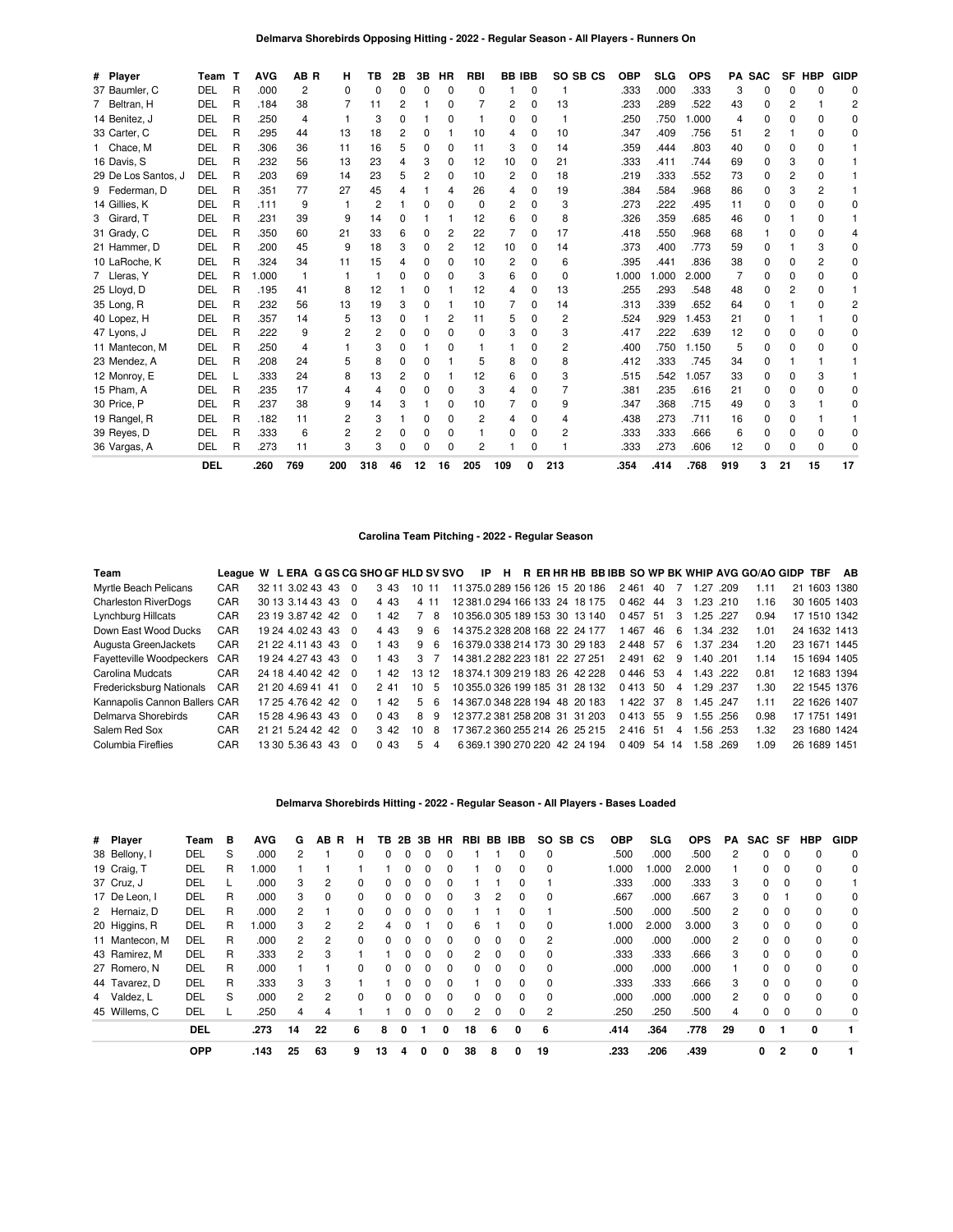|  |  | Delmarva Shorebirds Opposing Hitting - 2022 - Regular Season - All Players - Runners On |  |
|--|--|-----------------------------------------------------------------------------------------|--|
|  |  |                                                                                         |  |

| # Player            | Team       | ா | <b>AVG</b> | AB R           | н   | ΤВ       | 2В       | 3В | ΗR           | <b>RBI</b>   | <b>BB IBB</b> |          | SO SB CS | <b>OBP</b> | <b>SLG</b> | <b>OPS</b> |     | <b>PA SAC</b> |          | SF HBP         | <b>GIDP</b> |
|---------------------|------------|---|------------|----------------|-----|----------|----------|----|--------------|--------------|---------------|----------|----------|------------|------------|------------|-----|---------------|----------|----------------|-------------|
| 37 Baumler, C       | DEL        | R | .000       | $\overline{2}$ | 0   | $\Omega$ | $\Omega$ | 0  | $\Omega$     | <sup>0</sup> |               | $\Omega$ |          | .333       | .000       | .333       | 3   | $\Omega$      | O        |                | C           |
| 7 Beltran, H        | <b>DEL</b> | R | .184       | 38             |     | 11       | 2        |    | 0            |              | 2             | 0        | 13       | .233       | .289       | .522       | 43  | 0             | 2        |                |             |
| 14 Benitez, J       | DEL        | R | .250       | 4              |     | 3        | $\Omega$ |    | $\Omega$     |              | 0             | $\Omega$ |          | .250       | .750       | .000       | 4   | <sup>0</sup>  | O        |                | n           |
| 33 Carter, C        | DEL        | R | .295       | 44             | 13  | 18       | 2        | O  |              | 10           | 4             | 0        | 10       | .347       | .409       | .756       | 51  | 2             |          |                | O           |
| 1 Chace, M          | DEL        | R | .306       | 36             | 11  | 16       | 5        | 0  | 0            | 11           | 3             | $\Omega$ | 14       | .359       | .444       | .803       | 40  | 0             | O        |                |             |
| 16 Davis, S         | DEL        | R | .232       | 56             | 13  | 23       | 4        | 3  | 0            | 12           | 10            | 0        | 21       | .333       | .411       | .744       | 69  | O             | 3        |                |             |
| 29 De Los Santos, J | DEL        | R | .203       | 69             | 14  | 23       | 5        | 2  | 0            | 10           | 2             | 0        | 18       | .219       | .333       | .552       | 73  | 0             | 2        |                |             |
| 9 Federman, D       | DEL        | R | .351       | 77             | 27  | 45       | $\Delta$ |    |              | 26           | 4             | 0        | 19       | .384       | .584       | .968       | 86  | O             | 3        |                |             |
| 14 Gillies, K       | DEL        | R | .111       | 9              |     | 2        |          | 0  | $\Omega$     | $\Omega$     | 2             | $\Omega$ | 3        | .273       | .222       | .495       | 11  | O             | 0        |                | U           |
| 3 Girard, T         | DEL        | R | .231       | 39             | 9   | 14       | 0        |    |              | 12           | 6             | 0        | 8        | .326       | .359       | .685       | 46  | 0             |          |                |             |
| 31 Grady, C         | DEL        | R | .350       | 60             | 21  | 33       | 6        | 0  | 2            | 22           |               | 0        | 17       | .418       | .550       | .968       | 68  |               | n        |                |             |
| 21 Hammer, D        | DEL        | R | .200       | 45             | 9   | 18       | 3        | 0  | 2            | 12           | 10            | $\Omega$ | 14       | .373       | .400       | .773       | 59  | O             |          |                | U           |
| 10 LaRoche, K       | DEL        | R | .324       | 34             | 11  | 15       | 4        | 0  | <sup>0</sup> | 10           | 2             | $\Omega$ | 6        | .395       | .441       | .836       | 38  | 0             | O        | $\overline{c}$ | C           |
| 7 Lleras, Y         | DEL        | R | .000       | 1              |     |          | 0        | 0  | <sup>0</sup> | 3            | 6             | 0        | 0        | 1.000      | .000       | 2.000      |     | O             | 0        |                | n           |
| 25 Lloyd, D         | DEL        | R | .195       | 41             | 8   | 12       |          | 0  |              | 12           | 4             | 0        | 13       | .255       | .293       | .548       | 48  | 0             | 2        |                |             |
| 35 Long, R          | DEL        | R | .232       | 56             | 13  | 19       | 3        | 0  |              | 10           |               | 0        | 14       | .313       | .339       | .652       | 64  | O             |          |                | 2           |
| 40 Lopez, H         | DEL        | R | .357       | 14             | 5   | 13       | $\Omega$ |    | 2            | 11           | 5             | 0        | 2        | .524       | .929       | 1.453      | 21  | O             |          |                | O           |
| 47 Lyons, J         | DEL        | R | .222       | 9              | 2   | 2        | 0        | 0  | 0            | 0            | 3             | 0        | 3        | .417       | .222       | .639       | 12  | 0             | O        |                |             |
| 11 Mantecon, M      | <b>DEL</b> | R | .250       | 4              |     | 3        | 0        |    | U            |              |               | 0        | 2        | .400       | .750       | 1.150      | 5   | O             | n        |                |             |
| 23 Mendez, A        | DEL        | R | .208       | 24             |     | 8        | $\Omega$ | 0  |              | 5            | 8             | 0        | 8        | .412       | .333       | .745       | 34  | O             |          |                |             |
| 12 Monroy, E        | DEL        |   | .333       | 24             | 8   | 13       | 2        | 0  |              | 12           | 6             | 0        | 3        | .515       | .542       | 1.057      | 33  | 0             | O        |                |             |
| 15 Pham. A          | DEL        | R | .235       | 17             | 4   | 4        | $\Omega$ | O  | O            | 3            |               | 0        |          | .381       | .235       | .616       | 21  | O             | ŋ        |                | C           |
| 30 Price, P         | DEL        | R | .237       | 38             | 9   | 14       | 3        |    | <sup>0</sup> | 10           |               | 0        | 9        | .347       | .368       | .715       | 49  | O             | 3        |                | n           |
| 19 Rangel, R        | DEL        | R | .182       | 11             | 2   | 3        |          | 0  | 0            | 2            | 4             | 0        | 4        | .438       | .273       | .711       | 16  | 0             | 0        |                |             |
| 39 Reyes, D         | DEL        | R | .333       | 6              | 2   | 2        | $\Omega$ | 0  | <sup>0</sup> |              | 0             | $\Omega$ | 2        | .333       | .333       | .666       | 6   | O             | $\Omega$ |                | O           |
| 36 Vargas, A        | DEL        | R | .273       | 11             | 3   | 3        | n        | 0  | ŋ            | 2            |               | 0        |          | .333       | .273       | .606       | 12  | O             | O        | n              |             |
|                     | <b>DEL</b> |   | .260       | 769            | 200 | 318      | 46       | 12 | 16           | 205          | 109           | 0        | 213      | .354       | .414       | .768       | 919 | 3             | 21       | 15             | 17          |

## **Carolina Team Pitching - 2022 - Regular Season**

| Team                          | League W L ERA G GS CG SHO GF HLD SV SVO |  |                  |                    |                |       |       |     |       | IP                             | H |  |  |            |        |                |      |           | R ER HR HB BB IBB SO WP BK WHIP AVG GO/AO GIDP TBF |    |              | AB           |
|-------------------------------|------------------------------------------|--|------------------|--------------------|----------------|-------|-------|-----|-------|--------------------------------|---|--|--|------------|--------|----------------|------|-----------|----------------------------------------------------|----|--------------|--------------|
| Myrtle Beach Pelicans         | CAR                                      |  | 32 11 3.02 43 43 |                    | $\Omega$       |       | 3.43  | 10. | -11   | 11 375.0 289 156 126 15 20 186 |   |  |  | 2461       | -40    |                | 1.27 | .209      | 1.11                                               | 21 |              | 1603 1380    |
| <b>Charleston RiverDogs</b>   | CAR                                      |  | 30 13 3 14 43 43 |                    | $\Omega$       | 4 4 3 |       |     | 4 1 1 | 12 381 0 294 166 133 24 18 175 |   |  |  | 0462       | 44 3   |                | 1.23 | 210       | 1.16                                               |    |              | 30 1605 1403 |
| Lynchburg Hillcats            | CAR                                      |  | 23 19 3.87 42 42 |                    | - 0            |       | 1 42  |     | 8     | 10 356.0 305 189 153 30 13 140 |   |  |  | 0457 51    |        | -3             |      | 1.25 .227 | 0.94                                               |    |              | 17 1510 1342 |
| Down East Wood Ducks          | CAR                                      |  | 19 24 4.02 43 43 |                    | - 0            |       | 4 4 3 | 9   | -6    | 14 375 2 328 208 168 22 24 177 |   |  |  | 467        | -46    | 6              |      | 1.34 .232 | 1.01                                               |    |              | 24 1632 1413 |
| Augusta GreenJackets          | CAR                                      |  | 21 22 4.11 43 43 |                    | - 0            |       | 1 43  | q   | 6     | 16 379 0 338 214 173 30 29 183 |   |  |  | 2448 57    |        | 6              | 1.37 | .234      | 1.20                                               |    |              | 23 1671 1445 |
| Fayetteville Woodpeckers CAR  |                                          |  | 19 24 4 27 43 43 |                    | - 0            |       | - 43  |     | 3.7   | 14 381 2 282 223 181 22 27 251 |   |  |  | 2491       | -62    | 9              |      | 1.40 .201 | 1.14                                               |    |              | 15 1694 1405 |
| Carolina Mudcats              | CAR                                      |  | 24 18 4.40 42 42 |                    | - 0            |       | - 42  |     | 13 12 | 18 374 1 309 219 183 26 42 228 |   |  |  | 0446 53    |        | $\overline{4}$ |      | 1.43 .222 | 0.81                                               |    |              | 12 1683 1394 |
| Fredericksburg Nationals      | CAR                                      |  | 21 20 4.69 41 41 |                    | $\overline{0}$ | 241   |       | 10  | -5    | 10 355.0 326 199 185 31 28 132 |   |  |  | 0413 50    |        | $\overline{4}$ |      | 1.29 .237 | 1.30                                               |    |              | 22 1545 1376 |
| Kannapolis Cannon Ballers CAR |                                          |  |                  | 17 25 4.76 42 42 0 |                |       | 142   |     | 56    | 14 367.0 348 228 194 48 20 183 |   |  |  |            | 422 37 | 8              |      | 1.45 .247 | 1.11                                               |    |              | 22 1626 1407 |
| Delmarva Shorebirds           | CAR                                      |  | 15 28 4 96 43 43 |                    | - 0            | 0.43  |       | 8   | 9     | 12 377 2 381 258 208 31 31 203 |   |  |  | 0413 55    |        | 9              |      | 1.55 .256 | 0.98                                               |    | 17 1751 1491 |              |
| Salem Red Sox                 | CAR                                      |  | 21 21 5 24 42 42 |                    | - 0            |       | 3.42  | 10  | 8     | 17 367 2 360 255 214 26 25 215 |   |  |  | 2416 51    |        | $\overline{4}$ | .56  | .253      | 1.32                                               |    |              | 23 1680 1424 |
| Columbia Fireflies            | CAR                                      |  | 13 30 5.36 43 43 |                    | $\Omega$       |       | 0.43  | 5.  | 4     | 6 369.1 390 270 220 42 24 194  |   |  |  | 0409 54 14 |        |                |      | 1.58.269  | 1.09                                               |    | 26 1689 1451 |              |

## **Delmarva Shorebirds Hitting - 2022 - Regular Season - All Players - Bases Loaded**

| # Player       | Team       | в | <b>AVG</b> | G              | AB. | R<br>н   | ΤВ | 2B           |              | 3B HR    | RBI          | BB           | IBB          | SO.      | SB CS | <b>OBP</b> | <b>SLG</b> | <b>OPS</b> | PA             | SAC SF       |          | HBP      | <b>GIDP</b> |
|----------------|------------|---|------------|----------------|-----|----------|----|--------------|--------------|----------|--------------|--------------|--------------|----------|-------|------------|------------|------------|----------------|--------------|----------|----------|-------------|
| 38 Bellony, I  | DEL        | S | .000       | 2              |     | 0        |    | 0            | 0            |          |              |              |              | $\Omega$ |       | .500       | .000       | .500       | 2              | $\Omega$     | $\Omega$ | $\Omega$ | 0           |
| 19 Craig, T    | DEL        | R | 000.1      |                |     |          |    | 0            | 0            |          |              | 0            |              | $\Omega$ |       | 1.000      | 000.1      | 2.000      |                | 0            | $\Omega$ | $\Omega$ | 0           |
| 37 Cruz, J     | DEL        |   | .000       | 3              | 2   | $\Omega$ |    | 0            | 0            |          |              |              |              |          |       | .333       | .000       | .333       | 3              | $\Omega$     | $\Omega$ | $\Omega$ |             |
| 17 De Leon, I  | DEL        | R | .000       | 3              | 0   | 0        |    |              |              |          | 3            |              |              | 0        |       | .667       | .000       | .667       | 3              | 0            |          | $\Omega$ | 0           |
| 2 Hernaiz, D   | DEL        | R | .000       | 2              |     | 0        |    | 0            | $\Omega$     |          |              |              |              |          |       | .500       | .000       | .500       | 2              | 0            | 0        | $\Omega$ | 0           |
| 20 Higgins, R  | DEL        | R | 000.       | 3              | 2   | 2        | 4  | <sup>0</sup> |              | $\Omega$ | 6            |              | 0            | $\Omega$ |       | 000. ا     | 2.000      | 3.000      | 3              | $\Omega$     | $\Omega$ | $\Omega$ | 0           |
| 11 Mantecon, M | DEL        | R | .000       | $\overline{c}$ |     | 0        |    |              |              |          | 0            | 0            |              | 2        |       | .000       | .000       | .000       | $\overline{2}$ | 0            |          | $\Omega$ | 0           |
| 43 Ramirez, M  | DEL        | R | .333       | 2              | з   |          |    | 0            | <sup>0</sup> | $\Omega$ | 2            | 0            | <sup>0</sup> | $\Omega$ |       | .333       | .333       | .666       | 3              | 0            | $\Omega$ | $\Omega$ | 0           |
| 27 Romero, N   | DEL        | R | .000       |                |     | $\Omega$ |    | $\Omega$     |              |          | 0            | O            | 0            | $\Omega$ |       | .000       | .000       | .000       |                | <sup>0</sup> | $\Omega$ | $\Omega$ | 0           |
| 44 Tavarez, D  | DEL        | R | .333       | 3              | 3   |          |    | 0            | 0            |          |              | 0            |              | $\Omega$ |       | .333       | .333       | .666       | 3              | 0            | $\Omega$ | $\Omega$ | 0           |
| 4 Valdez, L    | DEL        | S | .000       | $\mathbf{2}$   | 2   | $\Omega$ |    | $\Omega$     | $\Omega$     | $\Omega$ | <sup>0</sup> | <sup>0</sup> | <sup>0</sup> | $\Omega$ |       | .000       | .000       | .000       | 2              | $\Omega$     | $\Omega$ | $\Omega$ | $\Omega$    |
| 45 Willems, C  | DEL        |   | .250       | 4              |     |          |    |              |              |          | 2            | 0            |              | 2        |       | .250       | .250       | .500       | 4              | 0            |          | $\Omega$ | 0           |
|                | <b>DEL</b> |   | .273       | 14             | 22  | 6        | 8  | 0            |              | 0        | 18           | 6            | 0            | 6        |       | .414       | .364       | .778       | 29             | 0            |          | O        |             |
|                | <b>OPP</b> |   | .143       | 25             | 63  | 9        | 13 | Δ            | 0            | 0        | 38           | 8            | 0            | 19       |       | .233       | .206       | .439       |                | 0            | 2        | 0        |             |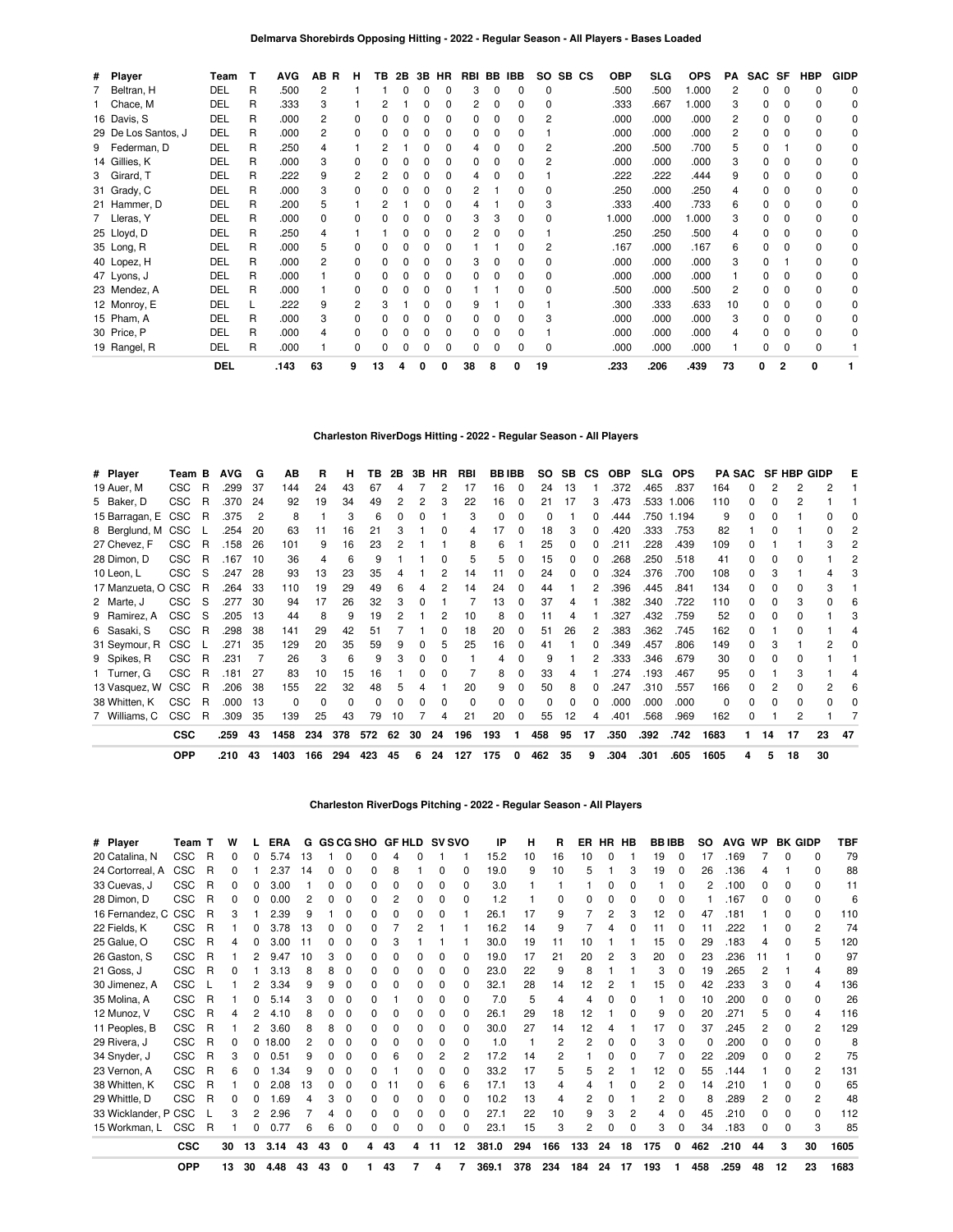| # Player            | Team       | т | <b>AVG</b> | AB R | н | ΤВ | 2B | 3B | HR           | RBI BB |   | IBB.         | SO. | SB CS | <b>OBP</b> | <b>SLG</b> | <b>OPS</b> | РA             | SAC SF |                | <b>HBP</b>   | <b>GIDP</b>  |
|---------------------|------------|---|------------|------|---|----|----|----|--------------|--------|---|--------------|-----|-------|------------|------------|------------|----------------|--------|----------------|--------------|--------------|
| Beltran, H          | DEL        | R | .500       | 2    |   |    |    |    | 0            |        |   |              | 0   |       | .500       | .500       | 1.000      | $\overline{c}$ | n      |                | <sup>0</sup> | $\Omega$     |
| Chace, M            | DEL        | R | .333       | 3    |   |    |    |    | 0            |        |   | <sup>0</sup> | 0   |       | .333       | .667       | 000.1      | 3              | ŋ      |                | <sup>0</sup> | 0            |
| 16 Davis, S         | DEL        | R | .000       | 2    |   | n  |    |    | <sup>0</sup> |        |   | <sup>0</sup> | 2   |       | .000       | .000       | .000       | 2              | ŋ      | $\Omega$       | 0            | 0            |
| 29 De Los Santos, J | DEL        | R | .000       | 2    |   | n  |    |    | O            |        |   |              |     |       | .000       | .000       | .000       | 2              |        |                | <sup>0</sup> | 0            |
| 9 Federman, D       | DEL        | R | .250       | 4    |   |    |    |    | ŋ            |        |   |              |     |       | .200       | .500       | .700       | 5              | U      |                | $\Omega$     | 0            |
| 14 Gillies, K       | DEL        | R | .000       | 3    |   | n  |    |    | O            |        |   | ŋ            | 2   |       | .000       | .000       | .000       | 3              | O      |                | $\Omega$     | 0            |
| 3 Girard, T         | DEL        | R | .222       | 9    | 2 |    |    |    | <sup>0</sup> | 4      |   | <sup>0</sup> |     |       | .222       | .222       | .444       | 9              | O      |                | 0            | 0            |
| 31 Grady, C         | DEL        | R | .000       | 3    |   |    |    |    | <sup>0</sup> |        |   |              | 0   |       | .250       | .000       | .250       | 4              |        |                | $\Omega$     | 0            |
| 21 Hammer, D        | DEL        | R | .200       | 5    |   |    |    |    |              |        |   |              |     |       | .333       | .400       | .733       | 6              | n      |                | $\Omega$     | <sup>0</sup> |
| 7 Lleras, Y         | DEL        | R | .000       | 0    |   |    |    |    | 0            |        |   | O            | 0   |       | 1.000      | .000       | 000.       | 3              | 0      |                | 0            | $\Omega$     |
| 25 Lloyd, D         | DEL        | R | .250       | 4    |   |    |    |    | <sup>0</sup> |        |   |              |     |       | .250       | .250       | .500       | 4              | n      |                | 0            | 0            |
| 35 Long, R          | DEL        | R | .000       | 5    |   |    |    |    |              |        |   |              | 2   |       | .167       | .000       | .167       | 6              | 0      |                | 0            | 0            |
| 40 Lopez, H         | DEL        | R | .000       | 2    |   |    |    |    | <sup>0</sup> |        |   |              |     |       | .000       | .000       | .000       | 3              | n      |                | $\Omega$     | <sup>0</sup> |
| 47 Lyons, J         | DEL        | R | .000       |      |   |    |    |    | O            |        |   |              |     |       | .000       | .000       | .000       |                | n      |                | $\Omega$     | 0            |
| 23 Mendez, A        | DEL        | R | .000       |      |   |    |    |    | O            |        |   |              |     |       | .500       | .000       | .500       | 2              | n      |                | $\Omega$     | 0            |
| 12 Monroy, E        | DEL        |   | .222       | 9    | 2 | 3  |    |    | O            | 9      |   |              |     |       | .300       | .333       | .633       | 10             | ŋ      |                | $\Omega$     | 0            |
| 15 Pham, A          | DEL        | R | .000       | 3    |   |    |    |    | O            |        |   |              | 3   |       | .000       | .000       | .000       | 3              | ŋ      |                | 0            | <sup>0</sup> |
| 30 Price, P         | DEL        | R | .000       | 4    |   | n  |    |    | 0            |        |   |              |     |       | .000       | .000       | .000       | 4              | O      |                | $\Omega$     | 0            |
| 19 Rangel, R        | DEL        | R | .000       |      |   | n  |    |    | n            |        |   |              | 0   |       | .000       | .000       | .000       |                | ŋ      |                | $\Omega$     |              |
|                     | <b>DEL</b> |   | .143       | 63   | 9 | 13 |    | 0  |              | 38     | 8 |              | 19  |       | .233       | .206       | .439       | 73             | 0      | $\overline{2}$ | 0            |              |

## **Charleston RiverDogs Hitting - 2022 - Regular Season - All Players**

| # Player           | Team B     |   | <b>AVG</b> | G   | ΑВ       | R        | н        | ΤВ  | 2В |          | 3B HR    | RBI | <b>BBIBB</b> |          | <b>SO</b> |          | SB CS | <b>OBP</b> | <b>SLG</b> | <b>OPS</b> |      | <b>PA SAC</b> |              |    | <b>SF HBP GIDP</b> | Е  |
|--------------------|------------|---|------------|-----|----------|----------|----------|-----|----|----------|----------|-----|--------------|----------|-----------|----------|-------|------------|------------|------------|------|---------------|--------------|----|--------------------|----|
| 19 Auer, M         | <b>CSC</b> | R | .299       | 37  | 144      | 24       | 43       | 67  | 4  |          | 2        | 17  | 16           | $\Omega$ | 24        | 13       |       | .372       | .465       | .837       | 164  | 0             |              | 2  |                    |    |
| 5 Baker, D         | CSC        | R | .370       | 24  | 92       | 19       | 34       | 49  | 2  |          | 3        | 22  | 16           |          | 21        | 17       | 3     | .473       | .533       | 1.006      | 110  | 0             |              |    |                    |    |
| 15 Barragan, E CSC |            | R | .375       | 2   | 8        |          | 3        | 6   | 0  | 0        |          | 3   | 0            | 0        | $\Omega$  |          | 0     | .444       | .750       | 1.194      | 9    | 0             | 0            |    |                    |    |
| 8 Berglund, M CSC  |            |   | .254       | -20 | 63       | 11       | 16       | 21  |    |          | 0        | 4   | 17           | 0        | 18        | 3        | 0     | .420       | .333       | .753       | 82   |               | ი            |    |                    |    |
| 27 Chevez, F       | <b>CSC</b> | R | .158       | 26  | 101      | 9        | 16       | 23  |    |          |          | 8   | 6            |          | 25        | 0        | 0     | .211       | .228       | .439       | 109  |               |              |    |                    |    |
| 28 Dimon, D        | <b>CSC</b> | R | .167       | 10  | 36       | 4        | 6        |     |    |          | 0        | 5   | 5            |          | 15        | 0        | 0     | .268       | .250       | .518       | 41   | <sup>0</sup>  | 0            |    |                    |    |
| 10 Leon, L         | <b>CSC</b> | S | .247       | 28  | 93       | 13       | 23       | 35  |    |          |          | 14  | 11           |          | 24        |          | 0     | .324       | .376       | .700       | 108  | 0             | 3            |    |                    |    |
| 17 Manzueta, O CSC |            | R | .264       | 33  | 110      | 19       | 29       | 49  | 6  | 4        | 2        | 14  | 24           | $\Omega$ | 44        |          | 2     | .396       | .445       | .841       | 134  | 0             | 0            | O. | 3                  |    |
| 2 Marte, J         | <b>CSC</b> | S | .277       | 30  | 94       | 17       | 26       | 32  | 3  |          |          |     | 13           | 0        | 37        | 4        |       | .382       | .340       | .722       | 110  | 0             | 0            |    |                    |    |
| 9 Ramirez, A       | <b>CSC</b> | S | .205       | 13  | 44       | 8        | 9        | 19  |    |          |          | 10  | 8            |          | 11        |          |       | .327       | .432       | .759       | 52   | <sup>0</sup>  |              |    |                    |    |
| 6 Sasaki, S        | <b>CSC</b> | R | .298       | 38  | 141      | 29       | 42       | 51  |    |          | 0        | 18  | 20           | 0        | 51        | 26       | 2     | .383       | .362       | .745       | 162  | 0             |              |    |                    |    |
| 31 Seymour, R      | <b>CSC</b> |   | .271       | 35  | 129      | 20       | 35       | 59  | 9  | 0        | 5        | 25  | 16           | n        | 41        |          | 0     | .349       | .457       | .806       | 149  | 0             |              |    |                    |    |
| 9 Spikes, R        | CSC        | R | .231       |     | 26       | 3        | 6        | 9   |    | $\Omega$ | $\Omega$ |     | 4            | $\Omega$ | 9         |          | 2     | .333       | .346       | .679       | 30   | $\Omega$      | <sup>0</sup> |    |                    |    |
| Turner, G          | <b>CSC</b> | R | .181       | -27 | 83       | 10       | 15       | 16  |    | 0        | 0        |     | 8            | 0        | 33        | 4        |       | .274       | .193       | .467       | 95   | 0             |              |    |                    |    |
| 13 Vasquez, W      | CSC        | R | .206       | 38  | 155      | 22       | 32       | 48  | 5  |          |          | 20  | 9            | 0        | 50        | 8        | 0     | .247       | .310       | .557       | 166  | <sup>0</sup>  |              |    |                    |    |
| 38 Whitten, K      | <b>CSC</b> | R | .000       | 13  | $\Omega$ | $\Omega$ | $\Omega$ |     | 0  | 0        | 0        | 0   |              | 0        | $\Omega$  | $\Omega$ | 0     | .000       | .000       | .000       | 0    | 0             | 0            | 0  |                    |    |
| 7 Williams, C      | <b>CSC</b> | R | .309       | 35  | 139      | 25       | 43       | 79  | 10 |          |          | 21  | 20           |          | 55        | 12       | 4     | .401       | .568       | .969       | 162  |               |              |    |                    |    |
|                    | <b>CSC</b> |   | .259       | 43  | 1458     | 234      | 378      | 572 | 62 | 30       | 24       | 196 | 193          | 1.       | 458       | 95       | 17    | .350       | .392       | .742       | 1683 |               | 14           | 17 | 23                 | 47 |
|                    | <b>OPP</b> |   | .210       | 43  | 1403     | 166      | 294      | 423 | 45 | 6        | 24       | 127 | 175          | 0        | 462       | 35       | 9     | .304       | .301       | .605       | 1605 |               | 5            | 18 | 30                 |    |

### **Charleston RiverDogs Pitching - 2022 - Regular Season - All Players**

| # Player             | Team       | т | W  |    | <b>ERA</b> | G  |    |   | <b>GS CG SHO</b> | <b>GF HLD</b> |   | <b>SV SVO</b> |    | ΙP    | н   | B   | ER  | HR. | нв           | <b>BBIBB</b> |              | <b>SO</b> | <b>AVG</b> | WP |              | <b>BK GIDP</b> | TBF  |
|----------------------|------------|---|----|----|------------|----|----|---|------------------|---------------|---|---------------|----|-------|-----|-----|-----|-----|--------------|--------------|--------------|-----------|------------|----|--------------|----------------|------|
| 20 Catalina, N       | <b>CSC</b> | R |    | n  | 5.74       | 13 |    | O | ი                | 4             |   |               |    | 15.2  | 10  | 16  | 10  | 0   |              | 19           | $\Omega$     | 17        | .169       |    | <sup>0</sup> | $\Omega$       | 79   |
| 24 Cortorreal, A     | <b>CSC</b> | R |    |    | 2.37       | 14 |    | o | n                | 8             |   | o             | o  | 19.0  | 9   | 10  | 5   |     | З            | 19           | 0            | 26        | .136       |    |              | <sup>0</sup>   | 88   |
| 33 Cuevas, J         | CSC        | R |    | 0  | 3.00       |    | n  | 0 | ŋ                |               |   | ŋ             | 0  | 3.0   |     |     |     | 0   | $\Omega$     |              |              |           | .100       | 0  | 0            | $\Omega$       | 11   |
| 28 Dimon, D          | <b>CSC</b> | R |    | n  | 0.00       |    |    | ŋ |                  |               |   | ŋ             | 0  | 1.2   |     |     |     |     |              | ი            |              |           | 167        | ŋ  | 0            | $\Omega$       | 6    |
| 16 Fernandez, C      | <b>CSC</b> | R |    |    | 2.39       | g  |    |   |                  |               |   |               |    | 26.1  | 17  | 9   |     | 2   | З            | 12           |              | 47        | .181       |    |              | $\Omega$       | 110  |
| 22 Fields, K         | <b>CSC</b> | R |    | n  | 3.78       | 13 |    | ŋ | n                |               |   |               |    | 16.2  | 14  | 9   |     | Δ   |              | 11           | 0            | 11        | .222       |    |              | 2              | 74   |
| 25 Galue, O          | CSC        | R |    | 0  | 3.00       | 11 | n  | ŋ |                  |               |   |               |    | 30.0  | 19  | 11  | 10  |     |              | 15           | 0            | 29        | .183       |    |              |                | 120  |
| 26 Gaston, S         | CSC        | R |    | 2  | 9.47       | 10 |    | 0 | n                |               |   |               | n  | 19.0  | 17  | 21  | 20  | 2   | 3            | 20           | <sup>0</sup> | 23        | .236       | 11 |              | <sup>0</sup>   | 97   |
| 21 Goss, J           | CSC        | R |    |    | 3.13       | 8  | 8  | 0 | n                | n             |   | 0             | o  | 23.0  | 22  | 9   | 8   |     |              | 3            | <sup>0</sup> | 19        | .265       | 2  |              |                | 89   |
| 30 Jimenez, A        | <b>CSC</b> |   |    |    | 3.34       | 9  | 9  | 0 |                  |               |   | o             |    | 32.1  | 28  | 14  | 12  |     |              | 15           |              | 42        | .233       | 3  |              |                | 136  |
| 35 Molina, A         | CSC        | R |    | 0  | 5.14       |    |    | ŋ |                  |               |   |               | 0  | 7.0   | 5   | 4   |     |     |              |              | 0            | 10        | .200       | 0  |              | 0              | 26   |
| 12 Munoz, V          | <b>CSC</b> | R |    |    | 4.10       |    |    | o |                  |               |   |               |    | 26.1  | 29  | 18  | 12  |     |              | 9            |              | 20        | .271       | 5  |              |                | 116  |
| 11 Peoples, B        | <b>CSC</b> | R |    |    | 3.60       | 8  | 8  | 0 | n                |               |   | ŋ             |    | 30.0  | 27  | 14  | 12  | 4   |              | 17           | 0            | 37        | .245       | 2  |              | $\overline{2}$ | 129  |
| 29 Rivera, J         | <b>CSC</b> | R |    | 0  | 8.00       |    |    | o | n                |               |   | ŋ             | o  | 1.0   |     | 2   | 2   |     | <sup>0</sup> | 3            |              | o         | .200       | ŋ  |              | <sup>0</sup>   | 8    |
| 34 Snyder, J         | CSC        | R |    | 0  | 0.51       | 9  | n  | 0 | n                | հ             |   | 2             | 2  | 17.2  | 14  | 2   |     | ŋ   | <sup>0</sup> |              | 0            | 22        | .209       | 0  |              | 2              | 75   |
| 23 Vernon, A         | <b>CSC</b> | R |    |    | 1.34       | g  |    | o |                  |               |   | o             |    | 33.2  | 17  | 5   |     |     |              | 12           | <sup>0</sup> | 55        | .144       |    |              | 2              | 131  |
| 38 Whitten, K        | <b>CSC</b> | R |    | 0  | 2.08       | 13 |    |   | ი                |               |   | 6             | 6  | 17.1  | 13  | 4   |     |     |              | 2            |              | 14        | .210       |    |              | $\Omega$       | 65   |
| 29 Whittle, D        | <b>CSC</b> | R |    | n  | .69        |    |    | ŋ |                  |               |   | ŋ             | 0  | 10.2  | 13  |     |     |     |              | 2            |              | 8         | .289       | 2  |              | 2              | 48   |
| 33 Wicklander, P CSC |            |   |    |    | 2.96       |    |    | o | 0                |               |   | 0             | 0  | 27.1  | 22  | 10  | 9   | 3   |              |              |              | 45        | .210       | 0  |              | <sup>0</sup>   | 112  |
| 15 Workman, L        | <b>CSC</b> | R |    |    | 0.77       | ี  | հ  | 0 | n                |               |   |               |    | 23.1  | 15  | 3   | 2   |     |              | 3            |              | 34        | .183       | ŋ  |              | 3              | 85   |
|                      | <b>CSC</b> |   | 30 | 13 | 3.14       | 43 | 43 | 0 | 4                | 43            | 4 | 11            | 12 | 381.0 | 294 | 166 | 133 | 24  | 18           | 175          | 0            | 462       | .210       | 44 | 3            | 30             | 1605 |
|                      | <b>OPP</b> |   | 13 | 30 | 4.48       | 43 | 43 | 0 |                  | 43            |   |               |    | 369.1 | 378 | 234 | 184 | 24  | 17           | 193          |              | 458       | .259       | 48 | 12           | 23             | 1683 |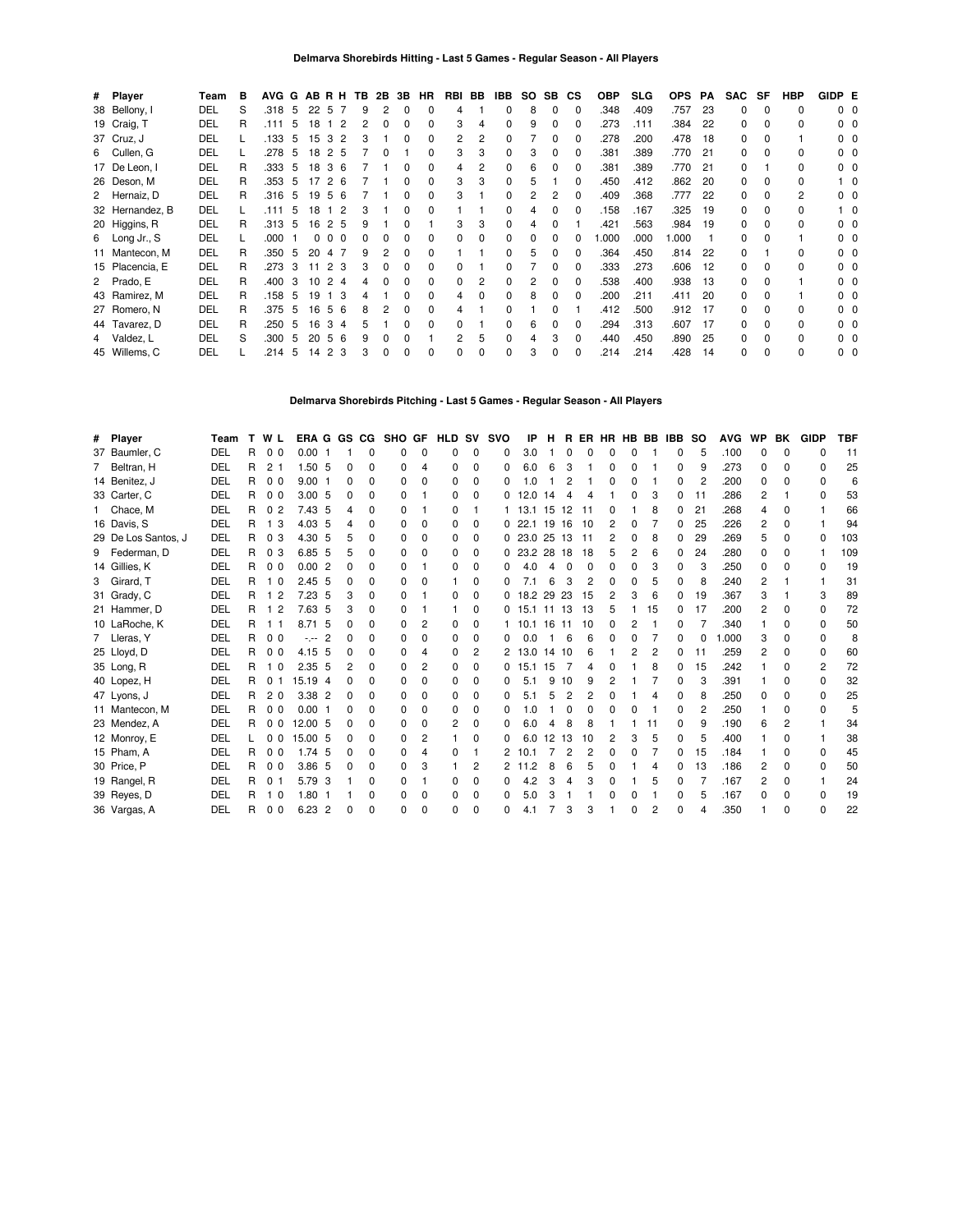| # Player        | Team | в | <b>AVG</b> | G              |    | ABRH                | TB |   | 2B 3B        | HR           | RBI BB |   | IBB          | SO. | SB.          | СS       | <b>OBP</b> | <b>SLG</b> | <b>OPS</b> | <b>PA</b> | <b>SAC</b>   | SF           | HBP | GIDP E         |                |
|-----------------|------|---|------------|----------------|----|---------------------|----|---|--------------|--------------|--------|---|--------------|-----|--------------|----------|------------|------------|------------|-----------|--------------|--------------|-----|----------------|----------------|
| 38 Bellony, I   | DEL  | S | .318       | -5             | 22 | 5<br>-7             | 9  | 2 | $\Omega$     | 0            | 4      |   | 0            | 8   | $\Omega$     | $\Omega$ | .348       | .409       | .757       | 23        | 0            | $\Omega$     | 0   | $0\quad 0$     |                |
| 19 Craig, T     | DEL  | R | .111       | -5             | 18 | $\overline{2}$      | 2  | 0 | 0            | ŋ            | 3      | 4 | 0            | 9   | $\Omega$     | 0        | .273       | .111       | .384       | 22        | $\Omega$     | $\Omega$     | 0   | $0\quad 0$     |                |
| 37 Cruz, J      | DEL  |   | .133       | -5             | 15 | 3<br>$\overline{2}$ | 3  |   | $\Omega$     | 0            |        | 2 | 0            |     | 0            | 0        | .278       | .200       | .478       | 18        | 0            | $\Omega$     |     | 00             |                |
| 6 Cullen, G     | DEL  |   | .278       | 5              | 18 | 2<br>-5             |    | 0 |              | ŋ            | 3      | 3 | 0            | 3   | 0            | 0        | .381       | .389       | .770       | 21        | 0            | $\Omega$     | 0   | n n            |                |
| 17 De Leon, I   | DEL  | R | .333 5     |                | 18 | 3<br>6              |    |   | 0            | 0            | 4      | 2 | 0            | 6   | 0            |          | .381       | .389       | .770       | -21       | $\Omega$     |              | 0   | ი ი            |                |
| 26 Deson, M     | DEL  | R | .353       | 5 <sub>5</sub> | 17 | 2<br>-6             |    |   |              | 0            | 3      | 3 | 0            | 5   |              |          | .450       | .412       | .862       | 20        | $\Omega$     | 0            | 0   |                | 10             |
| 2 Hernaiz, D    | DEL  | R | .316       | - 5            | 19 | 5<br>6              |    |   | 0            | 0            | 3      |   | $\Omega$     | 2   | 2            |          | .409       | .368       | .777       | 22        | $\Omega$     | 0            | 2   | 0 <sub>0</sub> |                |
| 32 Hernandez, B | DEL  |   | .111       | 5 <sup>5</sup> | 18 | 2                   | 3  |   | 0            | O            |        |   | $\Omega$     | 4   | 0            |          | .158       | .167       | .325       | 19        | $\Omega$     |              | 0   |                | 1 0            |
| 20 Higgins, R   | DEL  | R | $.313 - 5$ |                | 16 | 2 5                 | 9  |   |              |              | 3      | 3 | 0            | 4   | <sup>0</sup> |          | .421       | .563       | .984       | 19        | $\Omega$     | $\Omega$     | 0   | $0\quad 0$     |                |
| 6 Long Jr., S   | DEL  |   | .000       |                | 0  | $\Omega$<br>0       |    |   | 0            | <sup>0</sup> |        | 0 | 0            | 0   | <sup>0</sup> |          | .000       | .000       | 1.000      |           | O.           |              |     | n n            |                |
| 11 Mantecon, M  | DEL  | R | .350 5     |                | 20 | 4                   | 9  |   |              | ŋ            |        |   | $\Omega$     | 5   | <sup>0</sup> |          | .364       | .450       | .814       | 22        | $\Omega$     |              | 0   | $0\quad 0$     |                |
| 15 Placencia, E | DEL  | R | .273       | 3              | 11 | 3<br>2              | 3  |   |              | 0            |        |   | 0            |     | 0            |          | .333       | .273       | .606       | 12        | 0            | $\Omega$     | 0   |                | 00             |
| 2 Prado, E      | DEL  | R | .400       | 3              | 10 | 2<br>Δ              |    |   |              | <sup>0</sup> |        | 2 | $\Omega$     |     | <sup>0</sup> |          | .538       | .400       | .938       | 13        | <sup>0</sup> | <sup>n</sup> |     |                | 0 <sub>0</sub> |
| 43 Ramirez, M   | DEL  | R | .158       | - 5            | 19 | 3                   |    |   | ŋ            | 0            |        |   | $\Omega$     | 8   | <sup>0</sup> |          | .200       | .211       | .411       | 20        | 0            |              |     | 0 <sub>0</sub> |                |
| 27 Romero, N    | DEL  | R | .375       | 5              | 16 | 5<br>6              | 8  |   | <sup>0</sup> | <sup>0</sup> |        |   | $\Omega$     |     |              |          | .412       | .500       | .912       | 17        | O.           |              | 0   |                | 0 <sub>0</sub> |
| 44 Tavarez, D   | DEL  | R | .250       | -5             | 16 | 3<br>4              |    |   | <sup>0</sup> | O            |        |   | <sup>0</sup> | 6   |              |          | .294       | .313       | .607       | 17        | 0            | <sup>0</sup> | 0   | 0 <sub>0</sub> |                |
| 4 Valdez, L     | DEL  | S | .300       | -5             | 20 | 5<br>6              | 9  |   | 0            |              |        | 5 | $\Omega$     |     | 3            |          | .440       | .450       | .890       | 25        | 0            | <sup>0</sup> | 0   | 0 <sub>0</sub> |                |
| 45 Willems, C   | DEL  |   | .214       | -5             | 14 | 2<br>3              | 3  |   | <sup>0</sup> |              |        | O | $\Omega$     | 3   | 0            |          | .214       | .214       | .428       | 14        | 0            | $\Omega$     | O   | n n            |                |

### **Delmarva Shorebirds Pitching - Last 5 Games - Regular Season - All Players**

| # | Player              | Team | T. | W L            | ERA G GS CG       |                |              |              | <b>SHO</b>   | GF | <b>HLD</b> | sv           | <b>SVO</b> | ΙP         | н     | R.           | ER           | HR HB BB |    |    | IBB.         | so | <b>AVG</b> | WP           | BK           | <b>GIDP</b>  | <b>TBF</b> |
|---|---------------------|------|----|----------------|-------------------|----------------|--------------|--------------|--------------|----|------------|--------------|------------|------------|-------|--------------|--------------|----------|----|----|--------------|----|------------|--------------|--------------|--------------|------------|
|   | 37 Baumler, C       | DEL  | R  | 0 <sub>0</sub> | 0.001             |                |              | O            |              | 0  | 0          | 0            | 0          | 3.0        |       |              |              |          |    |    | 0            | 5  | .100       | 0            | $\Omega$     | n            | 11         |
|   | 7 Beltran, H        | DEL  | R  | 2 <sub>1</sub> | 1.50 5            |                | 0            | O            | 0            |    | 0          | <sup>0</sup> | 0          | 6.0        | 6     | 3            |              | 0        |    |    | 0            | 9  | .273       | <sup>0</sup> | <sup>0</sup> | O            | 25         |
|   | 14 Benitez, J       | DEL  | R  | 0 <sub>0</sub> | 9.001             |                | 0            | <sup>0</sup> | 0            | n  | 0          | 0            | 0          | $\Omega$   |       | 2            |              | O        | 0  |    | <sup>0</sup> | 2  | .200       | <sup>0</sup> | <sup>n</sup> | <sup>0</sup> | 6          |
|   | 33 Carter, C        | DEL  | R  | 0 <sub>0</sub> | 3.00, 5           |                | <sup>0</sup> | O            | 0            |    | 0          | <sup>0</sup> |            | 12.0       | 14    | Δ            | Δ            |          |    |    | 0            | 11 | .286       | 2            |              | $\Omega$     | 53         |
|   | Chace, M            | DEL  | R  | 0 <sub>2</sub> | 7.43 5            |                | 4            | <sup>0</sup> | 0            |    | 0          |              |            | 13.1       | 15    | 12           | 11           | 0        |    | 8  | 0            | 21 | .268       | 4            |              |              | 66         |
|   | 16 Davis, S         | DEL  | R  | -3<br>1        | 4.03 5            |                | 4            | U            | 0            |    | 0          | 0            | 0          | 22.1       | 19    | 16           | 10           | 2        | 0  |    | 0            | 25 | .226       | 2            |              |              | 94         |
|   | 29 De Los Santos, J | DEL  | R  | 0 <sub>3</sub> | 4.30 5            |                | 5            | <sup>0</sup> | 0            |    | 0          | 0            | 0          | 23.0 25 13 |       |              | -11          | 2        | n. | 8  | 0            | 29 | .269       | 5            | <sup>0</sup> | 0            | 103        |
|   | 9 Federman, D       | DEL  | R  | 0 <sub>3</sub> | 6.85 5            |                | 5            | <sup>0</sup> | 0            |    | 0          | 0            | 0          | 23.2 28 18 |       |              | 18           |          |    |    | 0            | 24 | .280       | 0            | <sup>0</sup> |              | 109        |
|   | 14 Gillies, K       | DEL  | R  | 0 <sub>0</sub> | 0.002             |                | <sup>0</sup> | <sup>0</sup> | 0            |    | 0          | 0            | 0          | 4.0        | 4     | $\Omega$     | <sup>0</sup> | O        | 0  | 3  | O            | 3  | .250       | 0            | <sup>0</sup> | O            | 19         |
|   | 3 Girard, T         | DEL  | R  | 10             | 2.45 <sub>5</sub> |                | <sup>0</sup> | <sup>0</sup> | 0            |    |            | 0            | 0          | 7.1        | 6     | 3            | 2            | O        | 0  | 5  | 0            | 8  | .240       | 2            |              |              | 31         |
|   | 31 Grady, C         | DEL  | R  | $\overline{2}$ | $7.23\quad5$      |                | 3            | <sup>n</sup> | 0            |    | 0          | 0            | 0          | 18.2 29 23 |       |              | 15           | 2        | 3  | 6  | 0            | 19 | .367       | 3            |              | 3            | 89         |
|   | 21 Hammer, D        | DEL  | R  | 2              | 7.63 5            |                | 3            | <sup>0</sup> | <sup>0</sup> |    |            | 0            | 0          | 15.1 11    |       | 13           | 13           |          |    | 15 | 0            | 17 | .200       | 2            | n            | <sup>0</sup> | 72         |
|   | 10 LaRoche, K       | DEL  | R  |                | 8.71              | -5             | <sup>0</sup> | <sup>0</sup> | 0            |    | 0          | 0            |            | 10.1       | 16 11 |              | 10           | 0        |    |    | 0            |    | .340       |              |              | 0            | 50         |
|   | 7 Lleras, Y         | DEL  | R  | 0 <sub>0</sub> | $-1 - 1$          | $\overline{2}$ | <sup>0</sup> | U            | <sup>0</sup> |    | 0          | 0            | 0          | 0.0        |       | 6            | 6            | n        | 0  |    | 0            | 0  | 000.       | 3            |              | <sup>0</sup> | 8          |
|   | 25 Lloyd, D         | DEL  | R  | 0 <sub>0</sub> | 4.15 5            |                | <sup>0</sup> | O            | 0            |    | 0          | 2            | 2          | 13.0       | 14    | 10           | 6            |          |    | 2  | 0            | 11 | .259       | 2            |              | <sup>0</sup> | 60         |
|   | 35 Long, R          | DEL  | R  | 1 <sub>0</sub> | 2.35 <sub>5</sub> |                | 2            | <sup>0</sup> | $\Omega$     | 2  | 0          | $\Omega$     | 0          | 15.1 15    |       |              | Δ            | O        |    | 8  | 0            | 15 | .242       |              | <sup>n</sup> | 2            | 72         |
|   | 40 Lopez, H         | DEL  | R  | 0 <sub>1</sub> | 15.19 4           |                | <sup>0</sup> | O            | 0            |    | 0          | 0            | 0          | 5.1        | 9     | 10           | 9            | 2        |    |    | 0            | 3  | .391       |              | <sup>0</sup> | <sup>0</sup> | 32         |
|   | 47 Lyons, J         | DEL  | R  | 2 <sub>0</sub> | 3.38 2            |                | 0            | <sup>0</sup> | 0            |    | 0          | $\Omega$     | 0          | 5.1        | 5     | 2            | 2            | 0        |    | 4  | $\Omega$     | 8  | .250       | $\Omega$     | <sup>0</sup> | 0            | 25         |
|   | 11 Mantecon, M      | DEL  | R  | 0 <sub>0</sub> | 0.001             |                | <sup>0</sup> | <sup>n</sup> | 0            |    | 0          | <sup>0</sup> | 0          | 1.0        |       | <sup>0</sup> | ŋ            |          |    |    | 0            | 2  | .250       |              |              | ŋ            |            |
|   | 23 Mendez, A        | DEL  | R  | 0 <sub>0</sub> | 12.00 5           |                | 0            | <sup>0</sup> | 0            |    | 2          | 0            | 0          | 6.0        | 4     | 8            | 8            |          |    | 11 | 0            | 9  | .190       | հ            | 2            |              | 34         |
|   | 12 Monroy, E        | DEL  |    | 0 <sub>0</sub> | 15.00 5           |                | <sup>n</sup> | <sup>0</sup> | 0            | 2  |            | <sup>0</sup> | 0          | 6.0        | 12 13 |              | 10           | 2        | з  | 5  | 0            | 5  | .400       |              | n            |              | 38         |
|   | 15 Pham, A          | DEL  | R  | 0 <sub>0</sub> | 1.74 <sub>5</sub> |                | <sup>0</sup> | <sup>0</sup> | 0            |    | 0          |              |            | 10.1       |       | 2            | 2            | 0        |    |    | 0            | 15 | .184       |              | <sup>0</sup> | 0            | 45         |
|   | 30 Price, P         | DEL  | R  | 0 <sub>0</sub> | 3.86 5            |                | 0            | <sup>0</sup> | 0            |    |            | 2            | 2          | 11.2       | 8     | 6            | 5            | O        |    | 4  | 0            | 13 | .186       | 2            | <sup>n</sup> | O            | 50         |
|   | 19 Rangel, R        | DEL  | R  | 0 <sub>1</sub> | 5.79 3            |                |              | 0            | 0            |    | 0          | <sup>0</sup> | 0          | 4.2        | 3     |              |              | O        |    | 5  | 0            |    | .167       | 2            | $\Omega$     |              | 24         |
|   | 39 Reyes, D         | DEL  | R  | 1 <sub>0</sub> | 1.80              |                |              | O            | 0            |    | 0          | 0            | 0          | 5.0        | з     |              |              |          |    |    | 0            | 5  | .167       | n            | <sup>0</sup> | 0            | 19         |
|   | 36 Vargas, A        | DEL  | R  | 0 <sub>0</sub> | $6.23$ 2          |                | n            | $\Omega$     | O            | O  | O          | $\Omega$     | 0          | 4.1        |       | 3            | 3            |          | 0  | 2  | $\Omega$     | Δ  | .350       |              | $\Omega$     | $\Omega$     | 22         |
|   |                     |      |    |                |                   |                |              |              |              |    |            |              |            |            |       |              |              |          |    |    |              |    |            |              |              |              |            |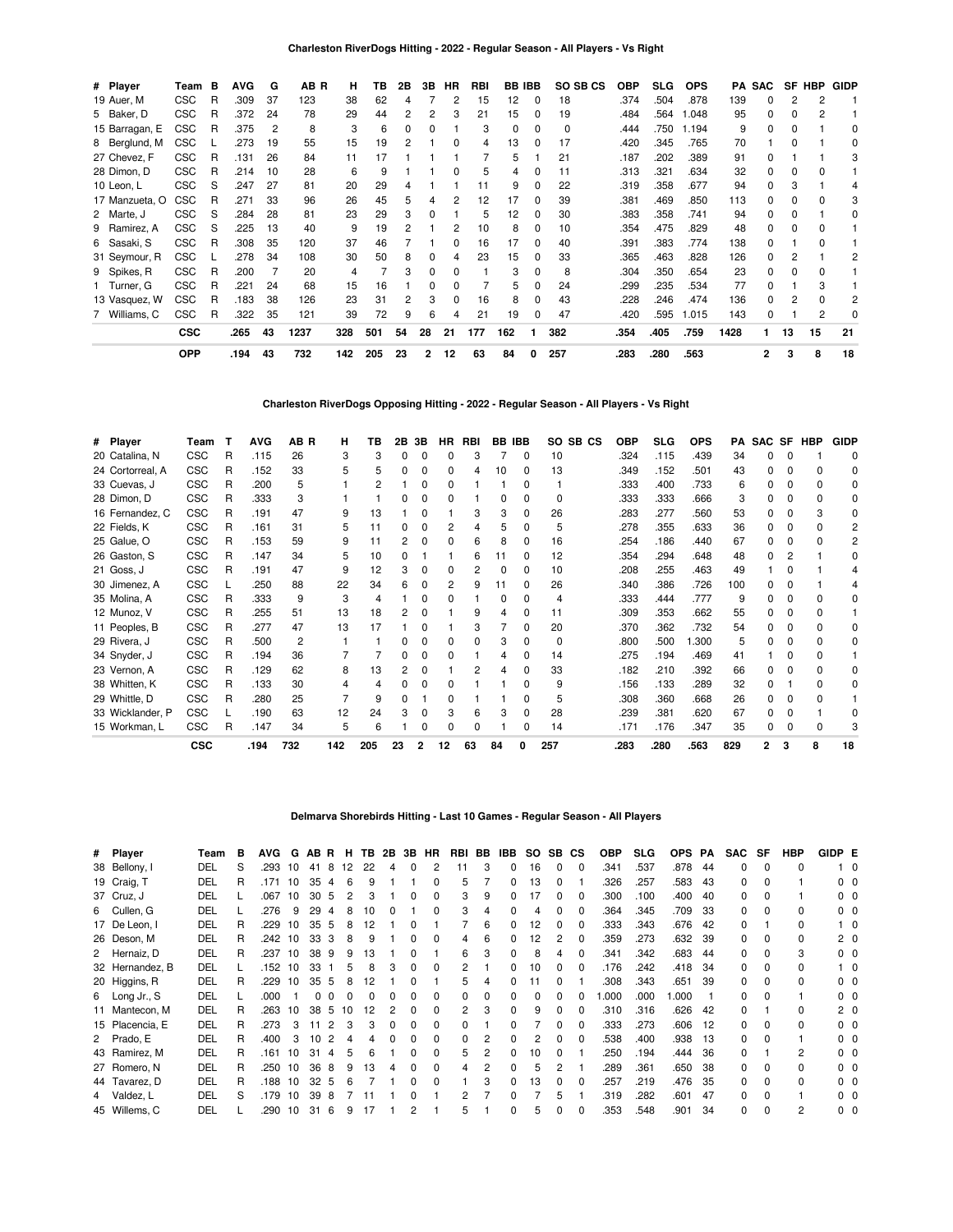| # Player       | Team       | в | <b>AVG</b> | G  | AB R | н   | ΤВ  | 2В | 3В             | НR | RBI | <b>BB IBB</b> |              | SO SB CS | OBP  | <b>SLG</b> | <b>OPS</b> | PA   | <b>SAC</b> | SF           | <b>HBP</b> | <b>GIDP</b>  |
|----------------|------------|---|------------|----|------|-----|-----|----|----------------|----|-----|---------------|--------------|----------|------|------------|------------|------|------------|--------------|------------|--------------|
| 19 Auer, M     | <b>CSC</b> | R | .309       | 37 | 123  | 38  | 62  | 4  |                | 2  | 15  | 12            | $\Omega$     | 18       | .374 | .504       | .878       | 139  | 0          |              | 2          |              |
| 5 Baker, D     | <b>CSC</b> | R | .372       | 24 | 78   | 29  | 44  |    | 2              | 3  | 21  | 15            | 0            | 19       | .484 | .564       | 1.048      | 95   | 0          |              | 2          |              |
| 15 Barragan, E | <b>CSC</b> | R | .375       | 2  | 8    | 3   | 6   |    |                |    | 3   | 0             |              | 0        | .444 | .750       | 1.194      | 9    | 0          |              |            |              |
| 8 Berglund, M  | <b>CSC</b> |   | .273       | 19 | 55   | 15  | 19  |    |                |    | 4   | 13            |              | 17       | .420 | .345       | .765       | 70   |            |              |            | <sup>0</sup> |
| 27 Chevez, F   | <b>CSC</b> | R | .131       | 26 | 84   | 11  | 17  |    |                |    |     | 5             |              | 21       | .187 | .202       | .389       | 91   | 0          |              |            | 3            |
| 28 Dimon, D    | CSC        | R | .214       | 10 | 28   | 6   | 9   |    |                |    | 5   | 4             |              | 11       | .313 | .321       | .634       | 32   | 0          |              |            |              |
| 10 Leon, L     | <b>CSC</b> | S | .247       | 27 | 81   | 20  | 29  |    |                |    | 11  | 9             |              | 22       | .319 | .358       | .677       | 94   | 0          |              |            |              |
| 17 Manzueta, O | <b>CSC</b> | R | .271       | 33 | 96   | 26  | 45  | 5  | 4              | 2  | 12  | 17            | <sup>0</sup> | 39       | .381 | .469       | .850       | 113  | 0          | <sup>0</sup> | o          | 3            |
| 2 Marte, J     | CSC        | S | .284       | 28 | 81   | 23  | 29  | 3  | 0              |    | 5   | 12            | 0            | 30       | .383 | .358       | .741       | 94   | 0          | <sup>0</sup> |            | 0            |
| 9 Ramirez, A   | <b>CSC</b> | S | .225       | 13 | 40   | 9   | 19  |    |                | 2  | 10  | 8             |              | 10       | .354 | .475       | .829       | 48   | 0          |              |            |              |
| 6 Sasaki, S    | <b>CSC</b> | R | .308       | 35 | 120  | 37  | 46  |    |                |    | 16  | 17            |              | 40       | .391 | .383       | .774       | 138  | 0          |              |            |              |
| 31 Seymour, R  | <b>CSC</b> |   | .278       | 34 | 108  | 30  | 50  |    |                |    | 23  | 15            |              | 33       | .365 | .463       | .828       | 126  | 0          |              |            | 2            |
| 9 Spikes, R    | CSC        | R | .200       |    | 20   | 4   |     |    |                | ŋ  |     | 3             |              | 8        | .304 | .350       | .654       | 23   | 0          |              | o          |              |
| 1 Turner, G    | <b>CSC</b> | R | .221       | 24 | 68   | 15  | 16  |    |                | ŋ  |     | 5             |              | 24       | .299 | .235       | .534       | 77   | 0          |              | 3          |              |
| 13 Vasquez, W  | <b>CSC</b> | R | .183       | 38 | 126  | 23  | 31  |    | 3              | 0  | 16  | 8             | <sup>0</sup> | 43       | .228 | .246       | .474       | 136  | 0          |              | ŋ          | 2            |
| 7 Williams, C  | CSC        | R | .322       | 35 | 121  | 39  | 72  | 9  | 6              | 4  | 21  | 19            | 0            | 47       | .420 | .595       | 1.015      | 143  | 0          |              | 2          | 0            |
|                | <b>CSC</b> |   | .265       | 43 | 1237 | 328 | 501 | 54 | 28             | 21 | 177 | 162           |              | 382      | .354 | .405       | .759       | 1428 |            | 13           | 15         | 21           |
|                | <b>OPP</b> |   | .194       | 43 | 732  | 142 | 205 | 23 | $\overline{2}$ | 12 | 63  | 84            | 0            | 257      | .283 | .280       | .563       |      | 2          | 3            | 8          | 18           |

**Charleston RiverDogs Opposing Hitting - 2022 - Regular Season - All Players - Vs Right**

| # Player         | Team       | т | <b>AVG</b> | AB R           | н   | ΤВ  | 2Β | 3В | <b>HR</b> | RBI |    | <b>BB IBB</b> | SO.          | SB <sub>CS</sub> | <b>OBP</b> | <b>SLG</b> | <b>OPS</b> | РA  | <b>SAC</b> | <b>SF</b> | <b>HBP</b>   | <b>GIDP</b>  |
|------------------|------------|---|------------|----------------|-----|-----|----|----|-----------|-----|----|---------------|--------------|------------------|------------|------------|------------|-----|------------|-----------|--------------|--------------|
| 20 Catalina, N   | <b>CSC</b> | R | .115       | 26             | 3   | 3   |    |    |           | 3   |    | $\Omega$      | 10           |                  | .324       | .115       | .439       | 34  | 0          | O         |              | 0            |
| 24 Cortorreal, A | <b>CSC</b> | R | .152       | 33             | 5   | 5   |    |    | 0         | 4   | 10 | $\Omega$      | 13           |                  | .349       | .152       | .501       | 43  | n.         | o         | <sup>0</sup> | 0            |
| 33 Cuevas, J     | <b>CSC</b> | R | .200       | 5              |     |     |    |    |           |     |    | 0             |              |                  | .333       | .400       | .733       | 6   | O.         |           |              | <sup>0</sup> |
| 28 Dimon, D      | <b>CSC</b> | R | .333       | 3              |     |     |    |    |           |     | n  | <sup>0</sup>  | <sup>0</sup> |                  | .333       | .333       | .666       | 3   | n.         |           |              | 0            |
| 16 Fernandez, C  | <b>CSC</b> | R | .191       | 47             | 9   | 13  |    |    |           | 3   | 3  | $\Omega$      | 26           |                  | .283       | .277       | .560       | 53  |            |           |              | <sup>0</sup> |
| 22 Fields, K     | <b>CSC</b> | R | .161       | 31             | 5   | 11  |    |    | 2         |     | 5  | $\Omega$      | 5            |                  | .278       | .355       | .633       | 36  | 0          |           |              |              |
| 25 Galue, O      | <b>CSC</b> | R | .153       | 59             | 9   | 11  |    |    | 0         | 6   | 8  | $\Omega$      | 16           |                  | .254       | .186       | .440       | 67  | O.         | o         |              |              |
| 26 Gaston, S     | <b>CSC</b> | R | .147       | 34             | 5   | 10  |    |    |           | 6   | 11 | $\Omega$      | 12           |                  | .354       | .294       | .648       | 48  | 0          |           |              | O            |
| 21 Goss, J       | <b>CSC</b> | R | .191       | 47             | 9   | 12  |    |    |           | 2   | 0  | <sup>0</sup>  | 10           |                  | .208       | .255       | .463       | 49  |            |           |              |              |
| 30 Jimenez, A    | <b>CSC</b> |   | .250       | 88             | 22  | 34  |    |    | 2         | 9   | 11 | $\Omega$      | 26           |                  | .340       | .386       | .726       | 100 | 0          |           |              |              |
| 35 Molina, A     | <b>CSC</b> | R | .333       | 9              | 3   | 4   |    |    |           |     | 0  | 0             | 4            |                  | .333       | .444       | .777       | 9   | 0          |           |              | O            |
| 12 Munoz, V      | <b>CSC</b> | R | .255       | 51             | 13  | 18  |    |    |           | 9   | 4  | <sup>0</sup>  | 11           |                  | .309       | .353       | .662       | 55  | 0          |           |              |              |
| 11 Peoples, B    | <b>CSC</b> | R | .277       | 47             | 13  | 17  |    |    |           | 3   |    | $\Omega$      | 20           |                  | .370       | .362       | .732       | 54  | O.         |           |              | <sup>0</sup> |
| 29 Rivera, J     | <b>CSC</b> | R | .500       | $\overline{2}$ |     |     |    |    | ŋ         | 0   | 3  | $\Omega$      | 0            |                  | .800       | .500       | 1.300      | 5   | n          |           |              | <sup>0</sup> |
| 34 Snyder, J     | <b>CSC</b> | R | .194       | 36             |     |     |    |    | n         |     | 4  | $\Omega$      | 14           |                  | .275       | .194       | .469       | 41  |            | o         |              |              |
| 23 Vernon, A     | <b>CSC</b> | R | .129       | 62             | 8   | 13  |    |    |           |     | 4  | U             | 33           |                  | .182       | .210       | .392       | 66  | O.         |           |              | <sup>0</sup> |
| 38 Whitten, K    | <b>CSC</b> | R | .133       | 30             |     |     |    |    |           |     |    | <sup>0</sup>  | 9            |                  | .156       | .133       | .289       | 32  | 0          |           |              | 0            |
| 29 Whittle, D    | <b>CSC</b> | R | .280       | 25             |     | 9   | n  |    | U         |     |    | <sup>0</sup>  | 5            |                  | .308       | .360       | .668       | 26  | 0          |           |              |              |
| 33 Wicklander, P | <b>CSC</b> |   | .190       | 63             | 12  | 24  |    |    |           | 6   | 3  | <sup>0</sup>  | 28           |                  | .239       | .381       | .620       | 67  | 0          |           |              |              |
| 15 Workman, L    | CSC        | R | .147       | 34             | 5   | 6   |    |    |           | ŋ   |    | <sup>0</sup>  | 14           |                  | .171       | .176       | .347       | 35  | 0          |           | $\Omega$     |              |
|                  | <b>CSC</b> |   | .194       | 732            | 142 | 205 | 23 | 2  | 12        | 63  | 84 |               | 257          |                  | .283       | .280       | .563       | 829 |            | 3         | 8            | 18           |

## **Delmarva Shorebirds Hitting - Last 10 Games - Regular Season - All Players**

| # Player        | Team       | в | AVG. | G  |    |                |    |    |   |          | ABR H TB 2B 3B HR | RBI | BB       | IBB          | SO. | SB. | CS       | <b>OBP</b> | SLG  | OPS PA |    | <b>SAC</b> | SF       | HBP | GIDP E |                |
|-----------------|------------|---|------|----|----|----------------|----|----|---|----------|-------------------|-----|----------|--------------|-----|-----|----------|------------|------|--------|----|------------|----------|-----|--------|----------------|
| 38 Bellony, I   | DEL        | S | .293 | 10 | 41 | 8              | 12 | 22 | 4 | $\Omega$ |                   | 11  | 3        | 0            | 16  | 0   | n        | .341       | .537 | .878   | 44 | 0          | $\Omega$ | 0   |        | 10             |
| 19 Craig, T     | DEL        | R | .171 | 10 | 35 | 4              | 6  |    |   |          | O                 | 5   |          | 0            | 13  | 0   |          | .326       | .257 | 583.   | 43 | O.         |          |     |        | 00             |
| 37 Cruz, J      | DEL        |   | .067 | 10 | 30 | -5             | 2  |    |   |          |                   | 3   | 9        | 0            | 17  | 0   |          | .300       | .100 | .400   | 40 | O.         |          |     |        | 00             |
| 6 Cullen, G     | DEL        |   | .276 | 9  | 29 | 4              | 8  | 10 |   |          | 0                 | 3   | 4        | 0            |     | 0   |          | .364       | .345 | .709   | 33 | O.         |          | 0   |        | $0\quad 0$     |
| 17 De Leon, I   | DEL        | R | .229 | 10 | 35 | 5              | 8  | 12 |   |          |                   |     | 6        | 0            | 12  | 0   |          | .333       | .343 | .676   | 42 | 0          |          | 0   |        | 10             |
| 26 Deson, M     | <b>DEL</b> | R | .242 | 10 | 33 | 3              | 8  |    |   |          |                   |     | 6        | 0            | 12  | 2   |          | .359       | .273 | .632   | 39 | O.         |          |     |        | $2\quad0$      |
| 2 Hernaiz, D    | DEL        | R | .237 | 10 | 38 | 9              | 9  | 13 |   |          |                   | 6   | 3        | 0            |     | 4   |          | .341       | .342 | .683   | 44 | O.         |          | 3   |        | $0\quad 0$     |
| 32 Hernandez, B | DEL        |   | .152 | 10 | 33 |                | 5  | 8  |   |          |                   |     |          | 0            | 10  | ŋ   |          | .176       | .242 | .418   | 34 | O.         |          |     |        | 10             |
| 20 Higgins, R   | DEL        | R | .229 | 10 | 35 | 5              | 8  | 12 |   |          |                   |     |          | 0            |     | 0   |          | .308       | .343 | .651   | 39 | O.         |          | 0   |        | 00             |
| 6 Long Jr., S   | DEL        |   | .000 |    | 0  |                |    |    |   |          |                   |     | $\Omega$ | 0            |     | 0   |          | .000       | .000 | .000   |    | U          |          |     |        | $0\quad 0$     |
| 11 Mantecon, M  | DEL        | R | .263 | 10 | 38 | -5             | 10 | 12 |   |          |                   |     | 3        | 0            | 9   | 0   |          | .310       | .316 | .626   | 42 | 0          |          | 0   |        | 20             |
| 15 Placencia, E | DEL        | R | .273 | 3  |    | $\overline{2}$ | 3  |    |   |          |                   |     |          | 0            |     | 0   |          | .333       | .273 | .606   | 12 | O.         | n        | 0   |        | 0 <sub>0</sub> |
| 2 Prado, E      | <b>DEL</b> | R | .400 | 3  | 10 | 2              | 4  |    |   |          |                   |     |          | O.           | 2   | 0   |          | .538       | .400 | .938   | 13 | 0          | $\Omega$ |     |        | 00             |
| 43 Ramirez, M   | <b>DEL</b> | R | .161 | 10 | 31 | 4              | 5  | 6  |   |          |                   | 5   | 2        | <sup>0</sup> | 10  | 0   |          | .250       | .194 | .444   | 36 | 0          |          | 2   |        | 00             |
| 27 Romero, N    | DEL        | R | .250 | 10 | 36 | -8             | 9  | 13 | 4 |          |                   | 4   |          | O.           | 5   | 2   |          | .289       | .361 | .650   | 38 | 0          | n        | 0   |        | 00             |
| 44 Tavarez, D   | <b>DEL</b> | R | .188 | 10 | 32 | -5             | 6  |    |   |          |                   |     | 3        | O.           | 13  | 0   | n        | .257       | .219 | .476   | 35 | 0          | $\Omega$ | 0   | n n    |                |
| 4 Valdez, L     | <b>DEL</b> | S | .179 | 10 | 39 | 8              |    | 11 |   |          |                   |     |          | <sup>0</sup> |     | 5   |          | .319       | .282 | .601   | 47 | 0          | $\Omega$ |     |        | 00             |
| 45 Willems, C   | <b>DEL</b> |   | .290 | 10 | 31 | 6              | 9  | 17 |   |          |                   | 5   |          | 0            | 5   | 0   | $\Omega$ | .353       | .548 | .901   | 34 | 0          | $\Omega$ | 2   |        | 00             |
|                 |            |   |      |    |    |                |    |    |   |          |                   |     |          |              |     |     |          |            |      |        |    |            |          |     |        |                |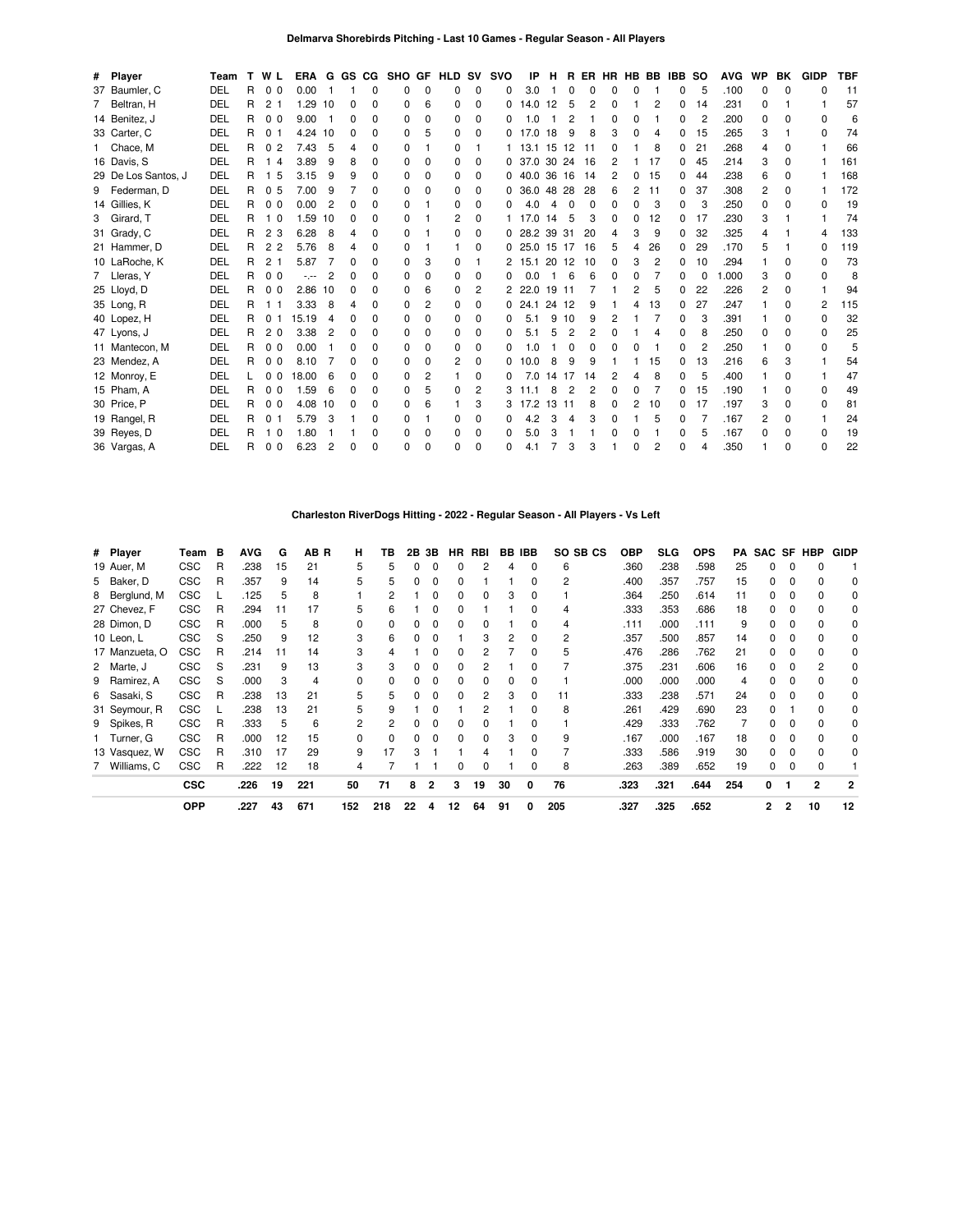| # Player            | Team       |   | <b>TWL</b>           |         |    |              |          | ERA G GS CG SHO GF |          | <b>HLD SV</b> |              | <b>SVO</b> | IP          | н     |                |                |              |   |    | R ER HR HB BB IBB SO |    | <b>AVG</b> | <b>WP</b> | BK           | <b>GIDP</b>  | <b>TBF</b> |
|---------------------|------------|---|----------------------|---------|----|--------------|----------|--------------------|----------|---------------|--------------|------------|-------------|-------|----------------|----------------|--------------|---|----|----------------------|----|------------|-----------|--------------|--------------|------------|
| 37 Baumler, C       | DEL        | R | 0 <sub>0</sub>       | 0.00    |    |              | 0        | 0                  | $\Omega$ | 0             | 0            | 0          | 3.0         |       | 0              | C              |              | ი |    | 0                    | 5  | .100       | $\Omega$  | $\Omega$     | <sup>0</sup> | 11         |
| 7 Beltran, H        | DEL        | R | 2 <sub>1</sub>       | 1.29    | 10 | $\Omega$     | O        | 0                  | 6        | $\Omega$      | $\Omega$     | 0          | 14.0        | 12    | 5              | 2              | <sup>0</sup> |   | 2  | 0                    | 14 | .231       | $\Omega$  |              |              | 57         |
| 14 Benitez, J       | DEL        | R | 0 <sub>0</sub>       | 9.00    | 1  | 0            | 0        | 0                  | $\Omega$ | $\Omega$      | $\Omega$     | 0          | 1.0         |       | 2              |                | 0            | 0 |    | 0                    | 2  | .200       | 0         | $\Omega$     | 0            | 6          |
| 33 Carter, C        | DEL        | R | 0 <sub>1</sub>       | 4.24 10 |    | 0            | 0        | 0                  | 5        | $\Omega$      | $\Omega$     | 0          | 17.0        | 18    | 9              | 8              | 3            | 0 | Δ  | 0                    | 15 | .265       | 3         |              | <sup>0</sup> | 74         |
| 1 Chace, M          | DEL        | R | $\overline{2}$<br>0  | 7.43    | 5  | 4            | O        | 0                  |          | $\Omega$      |              |            | 13.1        | 15    | 12             | 11             |              |   | 8  | 0                    | 21 | .268       | 4         | $\Omega$     |              | 66         |
| 16 Davis, S         | DEL        | R | 4                    | 3.89    | 9  | 8            | O        | <sup>0</sup>       | $\Omega$ | <sup>0</sup>  | <sup>0</sup> |            | 0, 37.0, 30 |       | 24             | 16             |              |   | 17 | 0                    | 45 | .214       | 3         | $\Omega$     |              | 161        |
| 29 De Los Santos, J | DEL        | R | 5                    | 3.15    | 9  | 9            | $\Omega$ | 0                  | $\Omega$ | $\Omega$      | $\Omega$     |            | 0.40.0      | 36    | 16             | 14             | 2            | 0 | 15 | 0                    | 44 | .238       | 6         | 0            |              | 168        |
| 9 Federman, D       | DEL        | R | 0 <sub>5</sub>       | 7.00    | 9  |              | 0        | 0                  | $\Omega$ | $\Omega$      | $\Omega$     | 0          | 36.0        | 48    | -28            | 28             | 6            | 2 | 11 | 0                    | 37 | .308       | 2         | 0            |              | 172        |
| 14 Gillies, K       | DEL        | R | 0 <sub>0</sub>       | 0.00    | 2  | ŋ            | $\Omega$ | 0                  |          | $\Omega$      | $\Omega$     | O          | 4.0         | 4     | 0              | 0              | 0            | 0 | 3  | 0                    | 3  | .250       | $\Omega$  | O            | n            | 19         |
| 3 Girard, T         | DEL        | R | 10                   | 1.59    | 10 | 0            | O        | 0                  |          | 2             | $\Omega$     |            | 17.0        | 14    | 5              | 3              | <sup>0</sup> | 0 | 12 | 0                    | 17 | .230       | 3         |              |              | 74         |
| 31 Grady, C         | DEL        | R | 23                   | 6.28    | 8  |              | 0        | 0                  |          | n             | <sup>0</sup> | 0          | 28.2        | 39 31 |                | 20             | 4            | 3 | 9  | 0                    | 32 | .325       | 4         |              |              | 133        |
| 21 Hammer, D        | DEL        | R | 2<br>$\overline{2}$  | 5.76    | 8  | Δ            | 0        | 0                  |          |               | $\Omega$     |            | 025.0       | 15    | 17             | 16             | 5            | 4 | 26 | 0                    | 29 | .170       | 5         |              | 0            | 119        |
| 10 LaRoche, K       | DEL        | R | 2 <sub>1</sub>       | 5.87    |    | ŋ            | O        | 0                  | 3        | 0             |              | 2          | 15.1        | 20    | 12             | 10             | <sup>0</sup> | 3 | 2  | 0                    | 10 | .294       |           | <sup>0</sup> | <sup>0</sup> | 73         |
| 7 Lleras, Y         | DEL        | R | 0 <sub>0</sub>       | -.--    |    | ŋ            | $\Omega$ | <sup>0</sup>       | $\Omega$ | $\Omega$      | 0            | 0          | 0.0         |       | 6              | 6              | <sup>0</sup> | n |    | 0                    | 0  | 1.000      | 3         | $\Omega$     | <sup>0</sup> | 8          |
| 25 Lloyd, D         | DEL        | R | 0 <sub>0</sub>       | 2.86    | 10 | <sup>0</sup> | O        | <sup>0</sup>       | 6        | $\Omega$      | 2            |            | 22.0        | 19 11 |                |                |              | 2 | 5  | 0                    | 22 | .226       | 2         | <sup>0</sup> |              | 94         |
| 35 Long, R          | DEL        | R |                      | 3.33    | 8  | Δ            | 0        | $\Omega$           | 2        | $\Omega$      | $\Omega$     | 0          | 24.1        | 24    | 12             | 9              |              | 4 | 13 | 0                    | 27 | .247       |           | O            | 2            | 115        |
| 40 Lopez, H         | DEL        | R | $\Omega$             | 15.19   | 4  | ŋ            | $\Omega$ | 0                  | $\Omega$ | $\Omega$      | $\Omega$     | 0          | 5.1         | 9     | 10             | 9              | 2            |   |    | 0                    | 3  | .391       |           | <sup>0</sup> | 0            | 32         |
| 47 Lyons, J         | DEL        | R | 2<br>0               | 3.38    | 2  | O            | O        | 0                  | $\Omega$ | 0             | 0            | 0          | 5.1         | 5     | $\overline{2}$ | $\overline{2}$ | <sup>0</sup> |   | 4  | 0                    | 8  | .250       | 0         | <sup>0</sup> | 0            | 25         |
| 11 Mantecon, M      | DEL        | R | 0 <sub>0</sub>       | 0.00    |    | ŋ            | O        | <sup>0</sup>       | $\Omega$ | O             | <sup>0</sup> | O          | 1.0         |       | 0              | C              |              | n |    | <sup>0</sup>         | 2  | .250       |           | <sup>0</sup> | <sup>0</sup> | 5          |
| 23 Mendez, A        | <b>DEL</b> | R | 0 <sub>0</sub>       | 8.10    |    | 0            | $\Omega$ | 0                  | $\Omega$ | 2             | $\Omega$     | 0          | 10.0        | 8     | 9              | 9              |              |   | 15 | 0                    | 13 | .216       | 6         | 3            |              | 54         |
| 12 Monroy, E        | DEL        |   | 0<br>$\Omega$        | 18.00   | 6  | n            | 0        | $\Omega$           | 2        |               | $\Omega$     | 0          | 7.0         | 14    | 17             | 14             |              | Δ | 8  | 0                    | 5  | .400       |           | 0            |              | 47         |
| 15 Pham, A          | DEL        | R | 0 <sub>0</sub>       | 1.59    | 6  | ŋ            | O        | 0                  |          | O             | 2            | 3          | 11.1        | 8     | $\overline{c}$ | $\overline{2}$ | 0            | 0 |    | 0                    | 15 | .190       |           | O            | <sup>0</sup> | 49         |
| 30 Price, P         | DEL        | R | 0 <sub>0</sub>       | 4.08    | 10 | 0            | 0        | 0                  | 6        |               | 3            | 3          | 17.2        | 13    | -11            | 8              | <sup>0</sup> | 2 | 10 | 0                    | 17 | .197       | 3         | <sup>0</sup> | <sup>0</sup> | 81         |
| 19 Rangel, R        | DEL        | R | 0<br>-1              | 5.79    | 3  |              | 0        | <sup>0</sup>       |          | O             | <sup>0</sup> | 0          | 4.2         | 3     | 4              | З              |              |   | 5  | 0                    |    | .167       | 2         | $\Omega$     |              | 24         |
| 39 Reyes, D         | DEL        | R | $\Omega$             | 1.80    |    |              | 0        | 0                  | $\Omega$ | $\Omega$      | 0            | 0          | 5.0         | 3     |                |                |              | 0 |    | 0                    | 5  | .167       | 0         | 0            | 0            | 19         |
| 36 Vargas, A        | DEL        | R | $\Omega$<br>$\Omega$ | 6.23    | 2  |              | ŋ        | <sup>0</sup>       | n        | ŋ             | U            | U          | 4.1         |       | 3              | 3              |              | n | 2  | n                    |    | .350       |           | <sup>n</sup> | U            | 22         |

## **Charleston RiverDogs Hitting - 2022 - Regular Season - All Players - Vs Left**

| # Player       | Team       | в | <b>AVG</b> | G  | AB R | н   | TВ  | 2В | 3В             | HR. | RBI |    | BB IBB | SO SB CS | <b>OBP</b> | <b>SLG</b> | <b>OPS</b> | PA  |                |   | SAC SF HBP | <b>GIDP</b>    |
|----------------|------------|---|------------|----|------|-----|-----|----|----------------|-----|-----|----|--------|----------|------------|------------|------------|-----|----------------|---|------------|----------------|
| 19 Auer, M     | <b>CSC</b> | R | .238       | 15 | 21   | 5   | 5   |    | 0              |     | 2   |    | 0      | 6        | .360       | .238       | .598       | 25  | 0              | 0 |            |                |
| 5 Baker, D     | <b>CSC</b> | R | .357       | 9  | 14   | 5   | 5   |    | 0              | 0   |     |    |        | 2        | .400       | .357       | .757       | 15  | 0              | 0 |            | 0              |
| 8 Berglund, M  | <b>CSC</b> |   | .125       | 5  | 8    |     |     |    |                |     |     |    |        |          | .364       | .250       | .614       | 11  | 0              |   |            | 0              |
| 27 Chevez, F   | <b>CSC</b> | R | .294       | 11 | 17   | 5   | 6   |    |                |     |     |    |        |          | .333       | .353       | .686       | 18  |                |   |            | 0              |
| 28 Dimon, D    | <b>CSC</b> | R | .000       | 5  | 8    | 0   |     |    |                |     |     |    |        | 4        | .111       | .000       | .111       | 9   | 0              |   |            | 0              |
| 10 Leon, L     | CSC        | S | .250       | 9  | 12   | 3   | 6   |    |                |     |     |    | 0      | 2        | .357       | .500       | .857       | 14  |                |   |            | 0              |
| 17 Manzueta, O | <b>CSC</b> | R | .214       | 11 | 14   | 3   |     |    |                |     |     |    | 0      | 5        | .476       | .286       | .762       | 21  | 0              |   |            | 0              |
| 2 Marte, J     | CSC        | S | .231       | 9  | 13   | 3   | 3   |    |                |     |     |    |        |          | .375       | .231       | .606       | 16  | 0              |   |            | 0              |
| 9 Ramirez, A   | <b>CSC</b> | S | .000       |    | 4    | 0   |     |    |                | 0   | 0   |    | 0      |          | .000       | .000       | .000       | 4   |                |   |            | 0              |
| 6 Sasaki, S    | <b>CSC</b> | R | .238       | 13 | 21   | 5   | 5   |    | 0              | 0   | 2   | 3  | 0      | 11       | .333       | .238       | .571       | 24  | 0              |   |            | 0              |
| 31 Seymour, R  | <b>CSC</b> |   | .238       | 13 | 21   | 5   | 9   |    |                |     |     |    | 0      | 8        | .261       | .429       | .690       | 23  | 0              |   |            | 0              |
| 9 Spikes, R    | <b>CSC</b> | R | .333       | 5  | 6    | 2   | 2   | 0  | 0              |     |     |    |        |          | .429       | .333       | .762       |     | 0              |   |            | 0              |
| 1 Turner, G    | <b>CSC</b> | R | .000       | 12 | 15   | 0   |     |    |                | 0   | 0   |    | 0      | 9        | .167       | .000       | .167       | 18  | 0              |   |            | 0              |
| 13 Vasquez, W  | <b>CSC</b> | R | .310       | 17 | 29   | 9   | 17  | З  |                |     |     |    |        |          | .333       | .586       | .919       | 30  | 0              |   |            | 0              |
| 7 Williams, C  | <b>CSC</b> | R | .222       | 12 | 18   | 4   |     |    |                | 0   | 0   |    | 0      | 8        | .263       | .389       | .652       | 19  | 0              | 0 |            |                |
|                | <b>CSC</b> |   | .226       | 19 | 221  | 50  | 71  | 8  | $\overline{2}$ | 3   | 19  | 30 | 0      | 76       | .323       | .321       | .644       | 254 | 0              |   | 2          | $\overline{2}$ |
|                | <b>OPP</b> |   | .227       | 43 | 671  | 152 | 218 | 22 | 4              | 12  | 64  | 91 | 0      | 205      | .327       | .325       | .652       |     | $\overline{2}$ | 2 | 10         | 12             |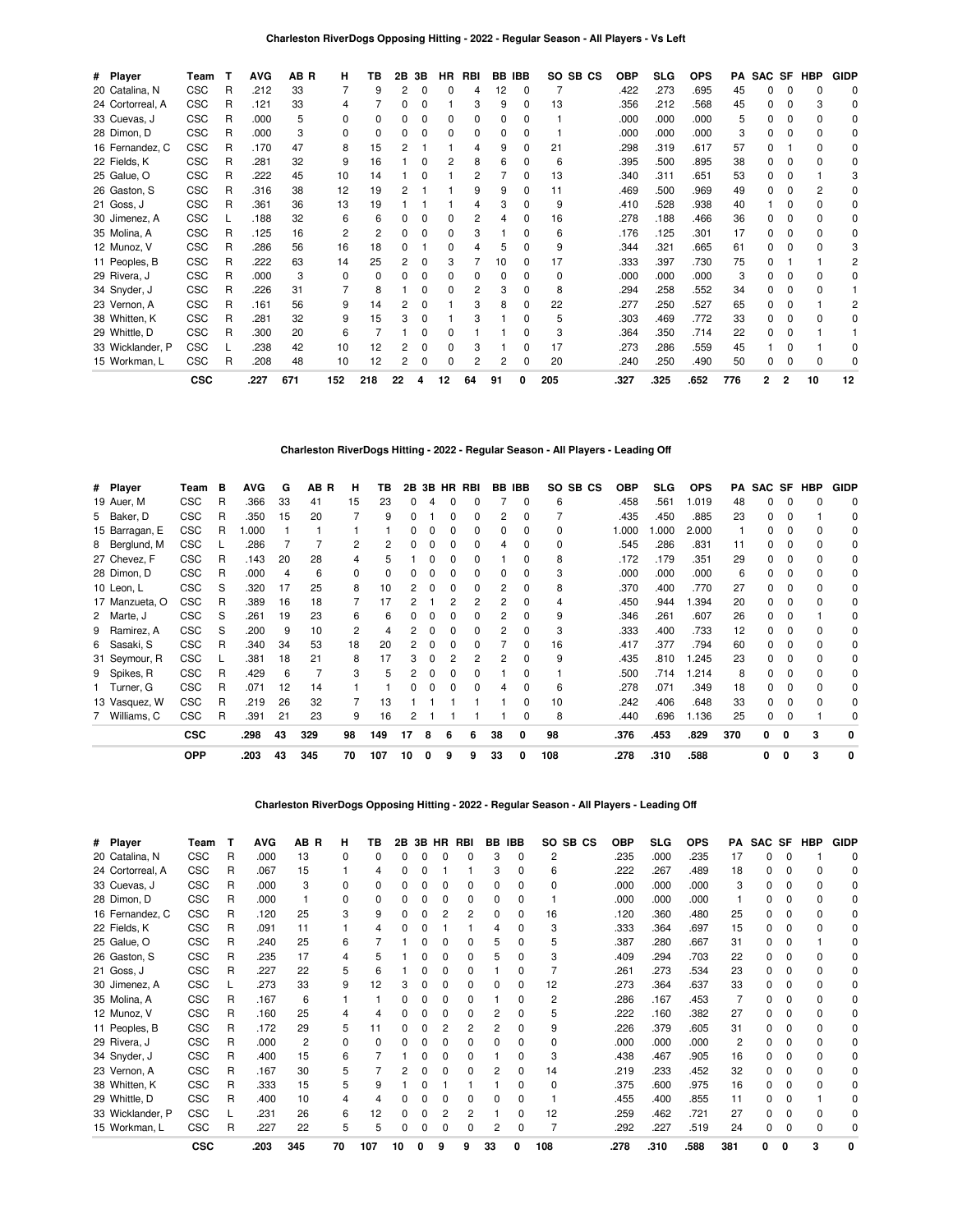| # Player         | Team       | т | <b>AVG</b> | AB R | н            | ΤВ  | 2Β | 3В | ΗR | RBI | BB. | <b>IBB</b>   |     | SO SB CS | <b>OBP</b> | <b>SLG</b> | <b>OPS</b> | РA  | <b>SAC</b> | SF | HBP          | <b>GIDP</b>  |
|------------------|------------|---|------------|------|--------------|-----|----|----|----|-----|-----|--------------|-----|----------|------------|------------|------------|-----|------------|----|--------------|--------------|
| 20 Catalina, N   | <b>CSC</b> | R | .212       | 33   | 7            | 9   |    |    |    | 4   | 12  | 0            |     |          | .422       | .273       | .695       | 45  | 0          |    | <sup>0</sup> | 0            |
| 24 Cortorreal, A | <b>CSC</b> | R | .121       | 33   | 4            |     |    |    |    | 3   | 9   | 0            | 13  |          | .356       | .212       | .568       | 45  |            |    | 3            | <sup>0</sup> |
| 33 Cuevas, J     | <b>CSC</b> | R | .000       | 5    | ŋ            |     |    |    |    | 0   | 0   | o            |     |          | .000       | .000       | .000       | 5   |            |    |              | <sup>0</sup> |
| 28 Dimon, D      | CSC        | R | .000       | 3    | n            |     |    |    |    | 0   | 0   | <sup>0</sup> |     |          | .000       | .000       | .000       | 3   | O.         |    |              | 0            |
| 16 Fernandez, C  | <b>CSC</b> | R | .170       | 47   | 8            | 15  |    |    |    |     | 9   | ŋ            | 21  |          | .298       | .319       | .617       | 57  | n          |    |              | <sup>0</sup> |
| 22 Fields, K     | <b>CSC</b> | R | .281       | 32   | 9            | 16  |    |    |    | 8   | 6   | 0            | 6   |          | .395       | .500       | .895       | 38  | 0          |    |              |              |
| 25 Galue, O      | <b>CSC</b> | R | .222       | 45   | 10           | 14  |    |    |    | 2   |     | <sup>0</sup> | 13  |          | .340       | .311       | .651       | 53  | 0          |    |              |              |
| 26 Gaston, S     | <b>CSC</b> | R | .316       | 38   | 12           | 19  |    |    |    | 9   | 9   | n            | 11  |          | .469       | .500       | .969       | 49  | n          |    |              | U            |
| 21 Goss, J       | <b>CSC</b> | R | .361       | 36   | 13           | 19  |    |    |    |     | 3   | 0            | 9   |          | .410       | .528       | .938       | 40  |            |    |              | 0            |
| 30 Jimenez, A    | <b>CSC</b> |   | .188       | 32   | 6            | 6   |    |    |    | 2   |     | <sup>0</sup> | 16  |          | .278       | .188       | .466       | 36  | 0          |    |              | 0            |
| 35 Molina, A     | <b>CSC</b> | R | .125       | 16   | 2            | 2   |    |    |    | 3   |     | <sup>0</sup> | 6   |          | .176       | .125       | .301       | 17  | O.         |    |              | n            |
| 12 Munoz, V      | <b>CSC</b> | R | .286       | 56   | 16           | 18  |    |    |    |     | 5   | 0            | 9   |          | .344       | .321       | .665       | 61  | 0          |    |              |              |
| 11 Peoples, B    | <b>CSC</b> | R | .222       | 63   | 14           | 25  |    |    |    |     | 10  | <sup>0</sup> | 17  |          | .333       | .397       | .730       | 75  | O.         |    |              |              |
| 29 Rivera, J     | <b>CSC</b> | R | .000       | 3    | <sup>0</sup> |     |    |    |    | n   | n   | n            | 0   |          | .000       | .000       | .000       | 3   |            |    |              | n            |
| 34 Snyder, J     | <b>CSC</b> | R | .226       | 31   |              | 8   |    |    |    | 2   | 3   | 0            | 8   |          | .294       | .258       | .552       | 34  | 0          |    |              |              |
| 23 Vernon, A     | <b>CSC</b> | R | .161       | 56   | 9            | 14  |    |    |    | 3   | 8   | <sup>0</sup> | 22  |          | .277       | .250       | .527       | 65  | O.         |    |              |              |
| 38 Whitten, K    | <b>CSC</b> | R | .281       | 32   | 9            | 15  |    |    |    | 3   |     | ŋ            | 5   |          | .303       | .469       | .772       | 33  | 0          |    |              |              |
| 29 Whittle, D    | <b>CSC</b> | R | .300       | 20   | 6            |     |    |    |    |     |     | O            | 3   |          | .364       | .350       | .714       | 22  | 0          |    |              |              |
| 33 Wicklander, P | <b>CSC</b> |   | .238       | 42   | 10           | 12  |    |    |    | 3   |     | 0            | 17  |          | .273       | .286       | .559       | 45  |            |    |              | <sup>0</sup> |
| 15 Workman, L    | <b>CSC</b> | R | .208       | 48   | 10           | 12  |    |    |    | 2   |     | n            | 20  |          | .240       | .250       | .490       | 50  | 0          |    |              |              |
|                  | <b>CSC</b> |   | .227       | 671  | 152          | 218 | 22 |    | 12 | 64  | 91  |              | 205 |          | .327       | .325       | .652       | 776 | 2          | 2  | 10           | 12           |

## **Charleston RiverDogs Hitting - 2022 - Regular Season - All Players - Leading Off**

| # Player       | Team       | в | <b>AVG</b> | G  | AB R | н              | ΤВ           |    |   |   | 2B 3B HR RBI |    | BB IBB       |          | SO SB CS | <b>OBP</b> | SLG. | <b>OPS</b> | PA  | SAC SF |              | HBP          | <b>GIDP</b> |
|----------------|------------|---|------------|----|------|----------------|--------------|----|---|---|--------------|----|--------------|----------|----------|------------|------|------------|-----|--------|--------------|--------------|-------------|
| 19 Auer, M     | <b>CSC</b> | R | .366       | 33 | 41   | 15             | 23           | 0  | 4 |   |              |    | 0            | 6        |          | .458       | .561 | 1.019      | 48  | 0      |              |              | 0           |
| 5 Baker, D     | <b>CSC</b> | R | .350       | 15 | 20   |                | 9            |    |   |   |              | 2  | $\Omega$     |          |          | .435       | .450 | .885       | 23  | 0      |              |              | 0           |
| 15 Barragan, E | <b>CSC</b> | R | 1.000      |    |      |                |              |    |   |   | 0            | 0  | $\Omega$     | $\Omega$ |          | 1.000      | .000 | 2.000      |     | O.     |              |              | 0           |
| 8 Berglund, M  | CSC        |   | .286       |    |      | 2              |              |    |   |   |              | 4  | <sup>0</sup> | 0        |          | .545       | .286 | .831       | 11  | 0      |              |              | 0           |
| 27 Chevez, F   | <b>CSC</b> | R | .143       | 20 | 28   |                |              |    |   | n | 0            |    |              | 8        |          | .172       | .179 | .351       | 29  | 0      |              |              | 0           |
| 28 Dimon, D    | <b>CSC</b> | R | .000       | 4  | 6    | <sup>0</sup>   | <sup>0</sup> |    |   |   | <sup>0</sup> | 0  | $\Omega$     | 3        |          | .000       | .000 | .000       | 6   | O.     | <sup>0</sup> | <sup>0</sup> | 0           |
| 10 Leon, L     | <b>CSC</b> | S | .320       | 17 | 25   | 8              | 10           |    | O | O | 0            | 2  | $\Omega$     | 8        |          | .370       | .400 | .770       | 27  | 0      | 0            |              | 0           |
| 17 Manzueta, O | <b>CSC</b> | R | .389       | 16 | 18   |                | 17           |    |   |   | 2            | 2  |              | 4        |          | .450       | .944 | 1.394      | 20  | 0      |              |              | 0           |
| 2 Marte, J     | <b>CSC</b> | S | .261       | 19 | 23   | 6              | 6            |    |   |   |              |    |              | 9        |          | .346       | .261 | .607       | 26  | 0      |              |              | 0           |
| 9 Ramirez, A   | <b>CSC</b> | S | .200       | 9  | 10   | $\overline{2}$ |              |    |   |   |              | 2  | <sup>0</sup> | 3        |          | .333       | .400 | .733       | 12  | 0      |              |              | 0           |
| 6 Sasaki, S    | <b>CSC</b> | R | .340       | 34 | 53   | 18             | 20           |    |   |   |              |    | $\Omega$     | 16       |          | .417       | .377 | .794       | 60  | 0      |              |              | 0           |
| 31 Seymour, R  | <b>CSC</b> |   | .381       | 18 | 21   | 8              | 17           |    |   |   | 2            | 2  |              | 9        |          | .435       | .810 | 1.245      | 23  | O.     |              |              | 0           |
| 9 Spikes, R    | <b>CSC</b> | R | .429       | 6  |      | 3              |              |    |   |   |              |    |              |          |          | .500       | .714 | 1.214      | 8   | 0      |              |              | 0           |
| Turner, G      | <b>CSC</b> | R | .071       | 12 | 14   |                |              |    |   |   | n            |    | <sup>0</sup> | 6        |          | .278       | .071 | .349       | 18  | 0      |              |              | 0           |
| 13 Vasquez, W  | <b>CSC</b> | R | .219       | 26 | 32   |                | 13           |    |   |   |              |    | $\Omega$     | 10       |          | .242       | .406 | .648       | 33  | 0      |              |              | 0           |
| 7 Williams, C  | CSC        | R | .391       | 21 | 23   | 9              | 16           | 2  |   |   |              |    | $\Omega$     | 8        |          | .440       | .696 | 1.136      | 25  | 0      | 0            |              |             |
|                | <b>CSC</b> |   | .298       | 43 | 329  | 98             | 149          | 17 | 8 | 6 | 6            | 38 |              | 98       |          | .376       | .453 | .829       | 370 | 0      | o            | 3            |             |
|                | <b>OPP</b> |   | .203       | 43 | 345  | 70             | 107          | 10 | 0 | 9 | 9            | 33 |              | 108      |          | .278       | .310 | .588       |     | O      | 0            | 3            | 0           |

## **Charleston RiverDogs Opposing Hitting - 2022 - Regular Season - All Players - Leading Off**

| # Player         | Team       | т | AVG  | AB R | н        | ΤВ  | 2В | 3В | HR. | RBI | BB. | IBB          | SO SB CS     | <b>OBP</b> | SLG  | <b>OPS</b> | PA  | SAC SF |   | HBP | <b>GIDP</b> |
|------------------|------------|---|------|------|----------|-----|----|----|-----|-----|-----|--------------|--------------|------------|------|------------|-----|--------|---|-----|-------------|
| 20 Catalina, N   | <b>CSC</b> | R | .000 | 13   | 0        |     |    |    |     |     | 3   | 0            | 2            | .235       | .000 | .235       | 17  |        |   |     |             |
| 24 Cortorreal, A | <b>CSC</b> | R | .067 | 15   |          | 4   |    |    |     |     | 3   | ŋ            | 6            | .222       | .267 | .489       | 18  |        |   |     |             |
| 33 Cuevas, J     | <b>CSC</b> | R | .000 | 3    | n        |     |    |    |     |     |     |              |              | .000       | .000 | .000       | 3   |        |   |     | O           |
| 28 Dimon, D      | <b>CSC</b> | R | .000 |      |          |     |    |    |     |     |     |              |              | .000       | .000 | .000       |     |        |   |     |             |
| 16 Fernandez, C  | <b>CSC</b> | R | .120 | 25   | 3        | 9   |    |    |     |     |     |              | 16           | .120       | .360 | .480       | 25  |        |   |     | 0           |
| 22 Fields, K     | <b>CSC</b> | R | .091 | 11   |          |     |    |    |     |     | 4   | 0            | 3            | .333       | .364 | .697       | 15  |        |   |     |             |
| 25 Galue, O      | <b>CSC</b> | R | .240 | 25   | 6        |     |    |    |     |     |     |              | 5            | .387       | .280 | .667       | 31  |        |   |     |             |
| 26 Gaston, S     | <b>CSC</b> | R | .235 | 17   | 4        |     |    |    |     |     |     |              | 3            | .409       | .294 | .703       | 22  | n      |   |     |             |
| 21 Goss, J       | <b>CSC</b> | R | .227 | 22   | 5        |     |    |    |     |     |     |              |              | .261       | .273 | .534       | 23  |        |   |     |             |
| 30 Jimenez, A    | <b>CSC</b> |   | .273 | 33   | 9        | 12  |    |    |     |     |     |              | 12           | .273       | .364 | .637       | 33  |        |   |     |             |
| 35 Molina, A     | <b>CSC</b> | R | .167 | 6    |          |     |    |    |     |     |     | <sup>n</sup> | 2            | .286       | .167 | .453       |     |        |   |     | 0           |
| 12 Munoz, V      | <b>CSC</b> | R | .160 | 25   |          |     |    |    |     |     |     |              | 5            | .222       | .160 | .382       | 27  |        |   |     |             |
| 11 Peoples, B    | <b>CSC</b> | R | .172 | 29   | 5        | 11  |    |    |     |     | 2   |              | 9            | .226       | .379 | .605       | 31  |        |   |     |             |
| 29 Rivera, J     | <b>CSC</b> | R | .000 | 2    | $\Omega$ |     |    |    |     |     |     |              | o            | .000       | .000 | .000       | 2   |        |   |     | 0           |
| 34 Snyder, J     | <b>CSC</b> | R | .400 | 15   | 6        |     |    |    |     |     |     |              | 3            | .438       | .467 | .905       | 16  |        |   |     |             |
| 23 Vernon, A     | <b>CSC</b> | R | .167 | 30   |          |     |    |    |     |     |     |              | 14           | .219       | .233 | .452       | 32  |        |   |     |             |
| 38 Whitten, K    | <b>CSC</b> | R | .333 | 15   | 5        |     |    |    |     |     |     |              | <sup>0</sup> | .375       | .600 | .975       | 16  |        |   |     |             |
| 29 Whittle, D    | <b>CSC</b> | R | .400 | 10   | 4        |     |    |    |     |     |     |              |              | .455       | .400 | .855       | 11  | n.     |   |     |             |
| 33 Wicklander, P | <b>CSC</b> |   | .231 | 26   | 6        | 12  |    |    |     |     |     |              | 12           | .259       | .462 | .721       | 27  |        |   |     |             |
| 15 Workman, L    | <b>CSC</b> | R | .227 | 22   | 5        | 5   |    |    |     |     |     | 0            |              | .292       | .227 | .519       | 24  | n.     |   |     |             |
|                  | <b>CSC</b> |   | .203 | 345  | 70       | 107 | 10 |    |     | 9   | 33  |              | 108          | .278       | .310 | .588       | 381 | o      | 0 | 3   |             |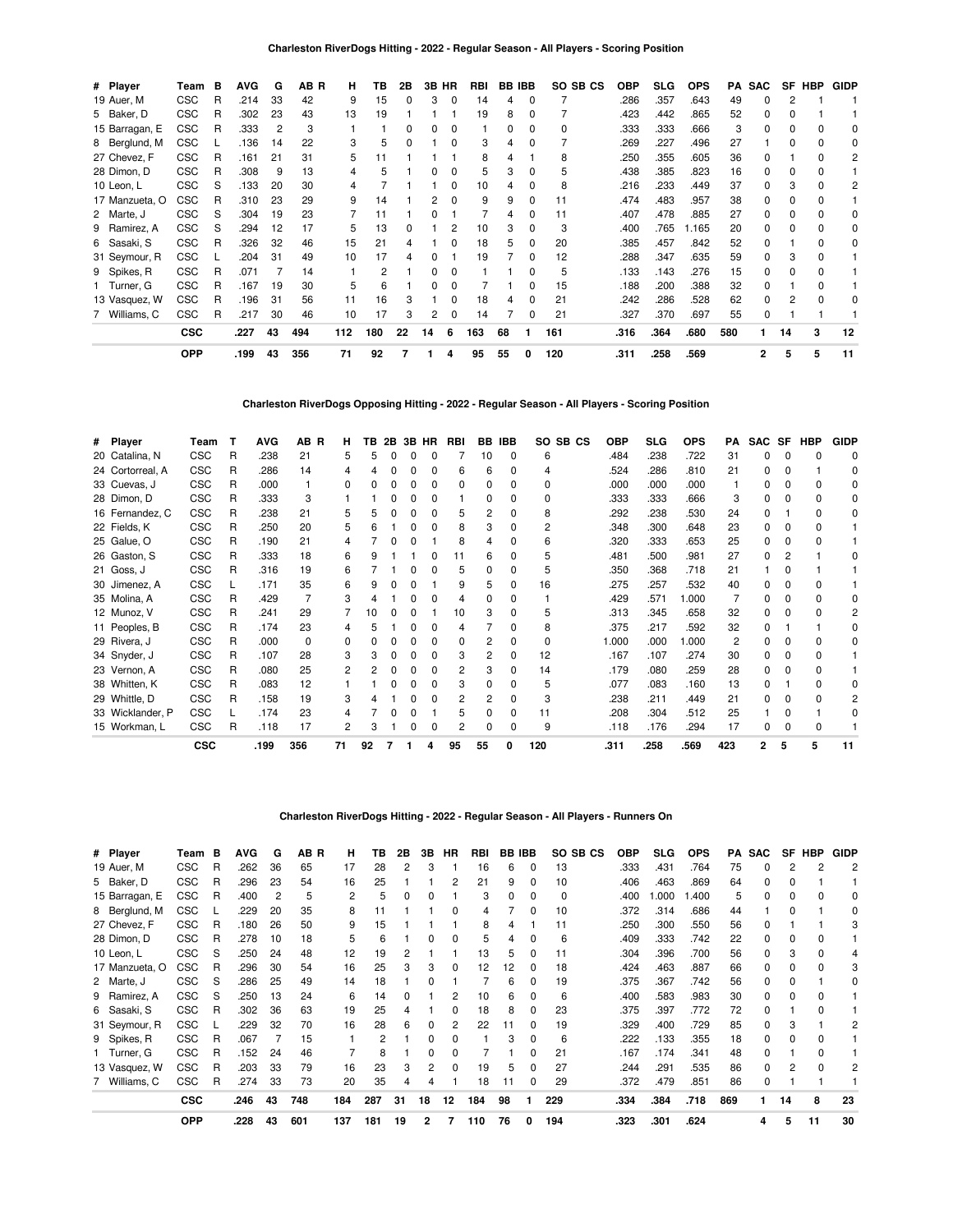| # Player       | Team       | в | <b>AVG</b> | G  | AB R | н   | ΤВ  | 2Β | 3В. | HR       | RBI | <b>BB IBB</b> |              | SO.<br>SB CS | <b>OBP</b> | <b>SLG</b> | <b>OPS</b> | PA  | <b>SAC</b>   | SF | HBP | <b>GIDP</b>  |
|----------------|------------|---|------------|----|------|-----|-----|----|-----|----------|-----|---------------|--------------|--------------|------------|------------|------------|-----|--------------|----|-----|--------------|
| 19 Auer, M     | <b>CSC</b> | R | .214       | 33 | 42   | 9   | 15  | 0  | 3   | 0        | 14  | 4             | 0            |              | .286       | .357       | .643       | 49  | $\Omega$     | 2  |     |              |
| 5 Baker, D     | <b>CSC</b> | R | .302       | 23 | 43   | 13  | 19  |    |     |          | 19  | 8             | 0            |              | .423       | .442       | .865       | 52  | 0            | 0  |     |              |
| 15 Barragan, E | <b>CSC</b> | R | .333       | 2  | 3    |     |     |    |     |          |     |               |              | 0            | .333       | .333       | .666       |     |              |    |     |              |
| 8 Berglund, M  | <b>CSC</b> |   | .136       | 14 | 22   | 3   | 5   |    |     |          | 3   |               |              |              | .269       | .227       | .496       | 27  |              |    |     | <sup>0</sup> |
| 27 Chevez, F   | <b>CSC</b> | R | .161       | 21 | 31   | 5   | 11  |    |     |          | 8   |               |              | 8            | .250       | .355       | .605       | 36  | $\Omega$     |    |     | 2            |
| 28 Dimon, D    | <b>CSC</b> | R | .308       | 9  | 13   | 4   | 5   |    |     |          | 5   |               | $\Omega$     | 5            | .438       | .385       | .823       | 16  | <sup>0</sup> | 0  |     |              |
| 10 Leon, L     | <b>CSC</b> | S | .133       | 20 | 30   | 4   |     |    |     |          | 10  |               | $\Omega$     | 8            | .216       | .233       | .449       | 37  | $\Omega$     | 3  |     |              |
| 17 Manzueta, O | <b>CSC</b> | R | .310       | 23 | 29   | 9   | 14  |    |     | 0        | 9   | 9             | $\Omega$     | 11           | .474       | .483       | .957       | 38  | $\Omega$     | 0  |     |              |
| 2 Marte, J     | <b>CSC</b> | S | .304       | 19 | 23   |     | 11  |    |     |          |     | 4             | $\Omega$     | 11           | .407       | .478       | .885       | 27  | 0            | 0  |     | 0            |
| 9 Ramirez, A   | <b>CSC</b> | S | .294       | 12 | 17   | 5   | 13  |    |     | 2        | 10  | З             | 0            | 3            | .400       | .765       | 1.165      | 20  | 0            |    |     | 0            |
| 6 Sasaki, S    | <b>CSC</b> | R | .326       | 32 | 46   | 15  | 21  |    |     |          | 18  |               |              | 20           | .385       | .457       | .842       | 52  | 0            |    |     | 0            |
| 31 Seymour, R  | <b>CSC</b> |   | .204       | 31 | 49   | 10  | 17  |    |     |          | 19  |               | <sup>0</sup> | 12           | .288       | .347       | .635       | 59  | 0            | 3  |     |              |
| 9 Spikes, R    | <b>CSC</b> | R | .071       |    | 14   |     | 2   |    |     |          |     |               |              | 5            | .133       | .143       | .276       | 15  | 0            | 0  |     |              |
| 1 Turner, G    | <b>CSC</b> | R | .167       | 19 | 30   | 5   | 6   |    |     |          |     |               |              | 15           | .188       | .200       | .388       | 32  | 0            |    |     |              |
| 13 Vasquez, W  | <b>CSC</b> | R | .196       | 31 | 56   | 11  | 16  |    |     |          | 18  |               | $\Omega$     | 21           | .242       | .286       | .528       | 62  | 0            | 2  |     |              |
| 7 Williams, C  | <b>CSC</b> | R | .217       | 30 | 46   | 10  | 17  | 3  | 2   | $\Omega$ | 14  |               | $\Omega$     | 21           | .327       | .370       | .697       | 55  | $\Omega$     |    |     |              |
|                | <b>CSC</b> |   | .227       | 43 | 494  | 112 | 180 | 22 | 14  | 6        | 163 | 68            |              | 161          | .316       | .364       | .680       | 580 |              | 14 | 3   | 12           |
|                | <b>OPP</b> |   | .199       | 43 | 356  | 71  | 92  |    |     | 4        | 95  | 55            | 0            | 120          | .311       | .258       | .569       |     | $\mathbf{2}$ | 5  | 5   | 11           |

## **Charleston RiverDogs Opposing Hitting - 2022 - Regular Season - All Players - Scoring Position**

| # Player         | Team       | т | <b>AVG</b> | AB R | н  | ΤВ | 2Β | 3B HR | <b>RBI</b> | BB           | <b>IBB</b> | SB CS<br>SO. | <b>OBP</b> | <b>SLG</b> | <b>OPS</b> | PА             | <b>SAC</b> | SF           | <b>HBP</b>   | <b>GIDP</b>  |
|------------------|------------|---|------------|------|----|----|----|-------|------------|--------------|------------|--------------|------------|------------|------------|----------------|------------|--------------|--------------|--------------|
| 20 Catalina, N   | <b>CSC</b> | R | .238       | 21   | 5  | 5  |    |       |            | 10           | $\Omega$   | 6            | .484       | .238       | .722       | 31             | $\Omega$   | <sup>0</sup> | $\Omega$     | 0            |
| 24 Cortorreal, A | <b>CSC</b> | R | .286       | 14   |    |    |    |       | 6          | 6            | 0          | 4            | .524       | .286       | .810       | 21             | 0          | 0            |              | 0            |
| 33 Cuevas, J     | CSC        | R | .000       |      |    |    |    |       | o          | <sup>0</sup> | 0          | 0            | .000       | .000       | .000       |                |            |              | 0            | 0            |
| 28 Dimon, D      | <b>CSC</b> | R | .333       | 3    |    |    |    |       |            | <sup>0</sup> | 0          | $\Omega$     | .333       | .333       | .666       | 3              |            |              | $\Omega$     | 0            |
| 16 Fernandez, C  | <b>CSC</b> | R | .238       | 21   |    |    |    |       | 5          | 2            | 0          | 8            | .292       | .238       | .530       | 24             |            |              | <sup>0</sup> | <sup>0</sup> |
| 22 Fields, K     | <b>CSC</b> | R | .250       | 20   |    |    |    |       | 8          | 3            | 0          | 2            | .348       | .300       | .648       | 23             | 0          |              | 0            |              |
| 25 Galue, O      | <b>CSC</b> | R | .190       | 21   | 4  |    |    |       | 8          |              | 0          | 6            | .320       | .333       | .653       | 25             | O          | <sup>0</sup> | <sup>0</sup> |              |
| 26 Gaston, S     | <b>CSC</b> | R | .333       | 18   | 6  |    |    |       |            | 6            | 0          | 5            | .481       | .500       | .981       | 27             | 0          |              |              |              |
| 21 Goss, J       | <b>CSC</b> | R | .316       | 19   |    |    |    |       | 5          | ŋ            | 0          | 5            | .350       | .368       | .718       | 21             |            |              |              |              |
| 30 Jimenez, A    | <b>CSC</b> |   | .171       | 35   | 6  |    |    |       | 9          | 5            | 0          | 16           | .275       | .257       | .532       | 40             |            |              | $\Omega$     |              |
| 35 Molina, A     | CSC        | R | .429       |      |    |    |    |       |            | 0            | 0          |              | .429       | .571       | .000       |                | O          |              | 0            |              |
| 12 Munoz, V      | <b>CSC</b> | R | .241       | 29   |    | 10 |    |       | 10         | 3            | 0          | 5            | .313       | .345       | .658       | 32             | O          | <sup>0</sup> | <sup>0</sup> |              |
| 11 Peoples, B    | <b>CSC</b> | R | .174       | 23   |    |    |    |       | 4          |              | 0          | 8            | .375       | .217       | .592       | 32             |            |              |              | <sup>0</sup> |
| 29 Rivera, J     | <b>CSC</b> | R | .000       | 0    |    |    |    |       | 0          | 2            | 0          | 0            | 1.000      | .000       | .000       | $\overline{2}$ | O          |              | <sup>0</sup> |              |
| 34 Snyder, J     | <b>CSC</b> | R | .107       | 28   |    |    |    |       | 3          | 2            | 0          | 12           | .167       | .107       | .274       | 30             | O          | <sup>0</sup> | <sup>0</sup> |              |
| 23 Vernon, A     | <b>CSC</b> | R | .080       | 25   |    |    |    |       | 2          |              | 0          | 14           | .179       | .080       | .259       | 28             | O          |              | <sup>0</sup> |              |
| 38 Whitten, K    | <b>CSC</b> | R | .083       | 12   |    |    |    |       | 3          | <sup>0</sup> | 0          | 5            | .077       | .083       | .160       | 13             |            |              | <sup>0</sup> |              |
| 29 Whittle, D    | CSC        | R | .158       | 19   | 3  |    |    |       | 2          | 2            | 0          | 3            | .238       | .211       | .449       | 21             | ŋ          | <sup>0</sup> | <sup>0</sup> |              |
| 33 Wicklander, P | <b>CSC</b> |   | .174       | 23   |    |    |    |       | 5          | <sup>0</sup> | 0          | 11           | .208       | .304       | .512       | 25             |            |              |              |              |
| 15 Workman, L    | <b>CSC</b> | R | .118       | 17   |    |    |    |       | 2          |              | 0          | 9            | .118       | .176       | .294       | 17             | 0          |              | 0            |              |
|                  | <b>CSC</b> |   | .199       | 356  | 71 | 92 |    |       | 95         | 55           | 0          | 120          | .311       | .258       | .569       | 423            | 2          | 5            | 5            | 11           |

### **Charleston RiverDogs Hitting - 2022 - Regular Season - All Players - Runners On**

| # Player       | Team       | в | <b>AVG</b> | G              | AB R | н   | ΤВ  | 2В | 3В | HR | RBI |    | <b>BB IBB</b> | SO SB CS | OBP  | <b>SLG</b> | <b>OPS</b> | PA  | <b>SAC</b>   | SF             | HBP | <b>GIDP</b> |
|----------------|------------|---|------------|----------------|------|-----|-----|----|----|----|-----|----|---------------|----------|------|------------|------------|-----|--------------|----------------|-----|-------------|
| 19 Auer, M     | <b>CSC</b> | R | .262       | 36             | 65   | 17  | 28  | 2  | 3  |    | 16  | 6  | 0             | 13       | .333 | .431       | .764       | 75  | <sup>0</sup> | 2              |     | 2           |
| 5 Baker, D     | <b>CSC</b> | R | .296       | 23             | 54   | 16  | 25  |    |    |    | 21  |    | 0             | 10       | .406 | .463       | .869       | 64  | $\Omega$     | 0              |     |             |
| 15 Barragan, E | <b>CSC</b> | R | .400       | $\overline{2}$ | 5    | 2   | 5   |    | 0  |    | 3   |    | 0             | 0        | .400 | .000       | .400       | 5   | $\Omega$     | 0              |     | 0           |
| 8 Berglund, M  | <b>CSC</b> |   | .229       | 20             | 35   | 8   |     |    |    |    | 4   |    | 0             | 10       | .372 | .314       | .686       | 44  |              | 0              |     |             |
| 27 Chevez, F   | <b>CSC</b> | R | .180       | 26             | 50   | 9   | 15  |    |    |    | 8   |    |               | 11       | .250 | .300       | .550       | 56  | 0            |                |     |             |
| 28 Dimon, D    | <b>CSC</b> | R | .278       | 10             | 18   | 5   | 6   |    | ŋ  | ŋ  | 5   |    | 0             | 6        | .409 | .333       | .742       | 22  | $\Omega$     | 0              |     |             |
| 10 Leon, L     | <b>CSC</b> | S | .250       | 24             | 48   | 12  | 19  |    |    |    | 13  | 5  | 0             | 11       | .304 | .396       | .700       | 56  | $\Omega$     | 3              |     |             |
| 17 Manzueta, O | <b>CSC</b> | R | .296       | 30             | 54   | 16  | 25  |    | 3  | 0  | 12  | 12 | 0             | 18       | .424 | .463       | .887       | 66  | $\Omega$     | 0              |     |             |
| 2 Marte, J     | <b>CSC</b> | S | .286       | 25             | 49   | 14  | 18  |    | 0  |    |     | 6  | 0             | 19       | .375 | .367       | .742       | 56  | 0            | 0              |     | 0           |
| 9 Ramirez, A   | <b>CSC</b> | S | .250       | 13             | 24   | 6   | 14  |    |    | 2  | 10  | 6  | 0             | 6        | .400 | .583       | .983       | 30  | 0            | 0              |     |             |
| 6 Sasaki, S    | <b>CSC</b> | R | .302       | 36             | 63   | 19  | 25  |    |    |    | 18  |    | 0             | 23       | .375 | .397       | .772       | 72  | 0            |                |     |             |
| 31 Seymour, R  | <b>CSC</b> |   | .229       | 32             | 70   | 16  | 28  | 6  | 0  | 2  | 22  | 11 | 0             | 19       | .329 | .400       | .729       | 85  | $\Omega$     | 3              |     |             |
| 9 Spikes, R    | <b>CSC</b> | R | .067       |                | 15   |     | 2   |    | 0  |    |     |    | 0             | 6        | .222 | .133       | .355       | 18  | $\Omega$     | 0              |     |             |
| 1 Turner, G    | <b>CSC</b> | R | .152       | 24             | 46   |     | 8   |    | 0  |    |     |    | 0             | 21       | .167 | .174       | .341       | 48  | $\Omega$     |                |     |             |
| 13 Vasquez, W  | <b>CSC</b> | R | .203       | 33             | 79   | 16  | 23  |    | 2  |    | 19  |    | 0             | 27       | .244 | .291       | .535       | 86  | 0            | $\overline{c}$ |     |             |
| 7 Williams, C  | <b>CSC</b> | R | .274       | 33             | 73   | 20  | 35  |    |    |    | 18  |    | 0             | 29       | .372 | .479       | .851       | 86  | $\Omega$     |                |     |             |
|                | <b>CSC</b> |   | .246       | 43             | 748  | 184 | 287 | 31 | 18 | 12 | 184 | 98 |               | 229      | .334 | .384       | .718       | 869 |              | 14             | 8   | 23          |
|                | <b>OPP</b> |   | .228       | 43             | 601  | 137 | 181 | 19 | 2  | 7  | 110 | 76 | 0             | 194      | .323 | .301       | .624       |     | 4            | 5              | 11  | 30          |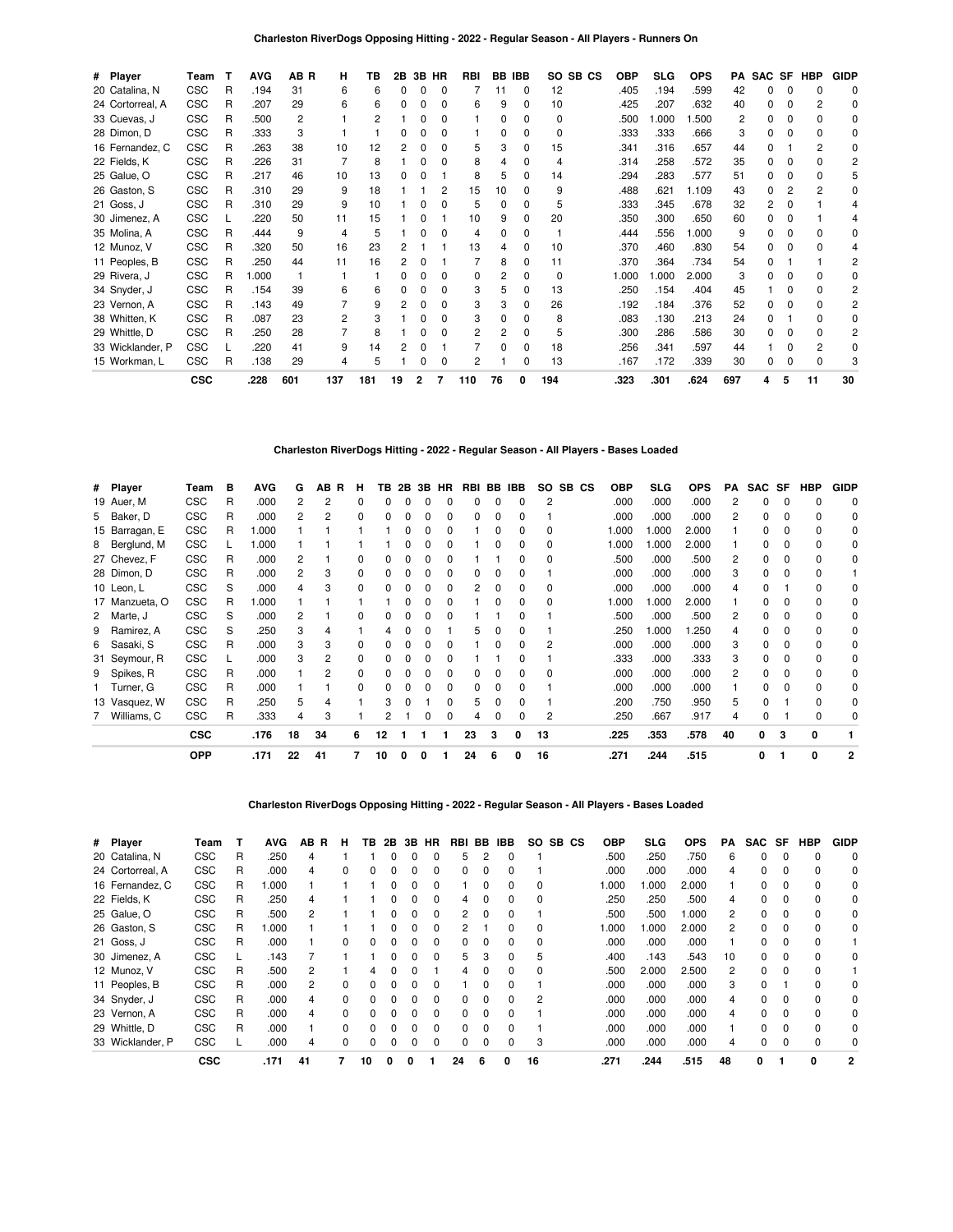| # Player         | Team       | т | <b>AVG</b> | AB R | н              | ΤВ  | 2В | 3В           | HR           | RBI | BB. | <b>IBB</b>   |              | SO SB CS | <b>OBP</b> | <b>SLG</b> | <b>OPS</b> | РA  | SAC SF |   | HBP          | <b>GIDP</b>  |
|------------------|------------|---|------------|------|----------------|-----|----|--------------|--------------|-----|-----|--------------|--------------|----------|------------|------------|------------|-----|--------|---|--------------|--------------|
| 20 Catalina, N   | CSC        | R | .194       | 31   | 6              | 6   | 0  | 0            | 0            |     | 11  | $\mathbf 0$  | 12           |          | .405       | .194       | .599       | 42  | U      |   | <sup>0</sup> | 0            |
| 24 Cortorreal, A | <b>CSC</b> | R | .207       | 29   | 6              | 6   | ŋ  |              | 0            | 6   | 9   | 0            | 10           |          | .425       | .207       | .632       | 40  | n.     |   | 2            | <sup>0</sup> |
| 33 Cuevas, J     | <b>CSC</b> | R | .500       | 2    |                |     |    |              | 0            |     | 0   | <sup>0</sup> | 0            |          | .500       | .000       | .500       | 2   | 0      |   |              | <sup>0</sup> |
| 28 Dimon, D      | <b>CSC</b> | R | .333       | 3    |                |     | o  |              | 0            |     | 0   | <sup>0</sup> | <sup>0</sup> |          | .333       | .333       | .666       | 3   | n      |   |              | 0            |
| 16 Fernandez, C  | <b>CSC</b> | R | .263       | 38   | 10             | 12  | 2  |              | <sup>0</sup> | 5   | 3   | <sup>0</sup> | 15           |          | .341       | .316       | .657       | 44  | n      |   |              | <sup>0</sup> |
| 22 Fields, K     | <b>CSC</b> | R | .226       | 31   |                | 8   |    |              | 0            | 8   |     | 0            | 4            |          | .314       | .258       | .572       | 35  | 0      |   |              |              |
| 25 Galue, O      | <b>CSC</b> | R | .217       | 46   | 10             | 13  | 0  |              |              | 8   | 5.  | <sup>0</sup> | 14           |          | .294       | .283       | .577       | 51  | 0      |   |              | 5            |
| 26 Gaston, S     | <b>CSC</b> | R | .310       | 29   | 9              | 18  |    |              | 2            | 15  | 10  | <sup>0</sup> | 9            |          | .488       | .621       | 1.109      | 43  | n.     |   |              | n            |
| 21 Goss, J       | <b>CSC</b> | R | .310       | 29   | 9              | 10  |    |              |              | 5   | 0   | 0            | 5            |          | .333       | .345       | .678       | 32  | 2      |   |              |              |
| 30 Jimenez, A    | <b>CSC</b> |   | .220       | 50   | 11             | 15  |    |              |              | 10  | 9   | <sup>0</sup> | 20           |          | .350       | .300       | .650       | 60  | 0      |   |              |              |
| 35 Molina, A     | <b>CSC</b> | R | .444       | 9    | $\overline{4}$ | 5   |    |              | n            | 4   | 0   | <sup>0</sup> |              |          | .444       | .556       | 1.000      | 9   |        |   |              | O            |
| 12 Munoz, V      | <b>CSC</b> | R | .320       | 50   | 16             | 23  |    |              |              | 13  | 4   | 0            | 10           |          | .370       | .460       | .830       | 54  | 0      |   |              |              |
| 11 Peoples, B    | <b>CSC</b> | R | .250       | 44   | 11             | 16  |    |              |              |     | 8   | <sup>0</sup> | 11           |          | .370       | .364       | .734       | 54  | O.     |   |              |              |
| 29 Rivera, J     | <b>CSC</b> | R | 1.000      |      |                |     |    |              | <sup>0</sup> | ŋ   | 2   | <sup>0</sup> | 0            |          | 1.000      | 000.       | 2.000      | 3   |        |   |              | O            |
| 34 Snyder, J     | <b>CSC</b> | R | .154       | 39   | 6              | 6   |    |              | 0            | 3   | 5   | 0            | 13           |          | .250       | .154       | .404       | 45  |        |   |              |              |
| 23 Vernon, A     | <b>CSC</b> | R | .143       | 49   |                | 9   |    |              | 0            | 3   | з   | <sup>0</sup> | 26           |          | .192       | .184       | .376       | 52  | O.     |   |              | 2            |
| 38 Whitten, K    | <b>CSC</b> | R | .087       | 23   | 2              |     |    |              | <sup>0</sup> | 3   | 0   | <sup>0</sup> | 8            |          | .083       | .130       | .213       | 24  | n.     |   |              | n            |
| 29 Whittle, D    | <b>CSC</b> | R | .250       | 28   |                | 8   |    |              | 0            | 2   | 2   | 0            | 5            |          | .300       | .286       | .586       | 30  | 0      |   |              |              |
| 33 Wicklander, P | <b>CSC</b> |   | .220       | 41   | 9              | 14  |    |              |              |     | 0   | 0            | 18           |          | .256       | .341       | .597       | 44  |        |   |              | <sup>0</sup> |
| 15 Workman, L    | <b>CSC</b> | R | .138       | 29   | 4              | 5   |    |              | $\Omega$     | 2   |     | O            | 13           |          | .167       | .172       | .339       | 30  | O.     |   | $\Omega$     |              |
|                  | <b>CSC</b> |   | .228       | 601  | 137            | 181 | 19 | $\mathbf{2}$ |              | 110 | 76  |              | 194          |          | .323       | .301       | .624       | 697 | 4      | 5 | 11           | 30           |

## **Charleston RiverDogs Hitting - 2022 - Regular Season - All Players - Bases Loaded**

| # Player       | Team       | в | <b>AVG</b> | G  | AB. | R<br>н | ΤВ | 2B |   | 3B HR | RBI BB |   | IBB | SO. | SB CS | <b>OBP</b> | SLG   | <b>OPS</b> | PA             | SAC SF |              | <b>HBP</b>   | <b>GIDP</b> |
|----------------|------------|---|------------|----|-----|--------|----|----|---|-------|--------|---|-----|-----|-------|------------|-------|------------|----------------|--------|--------------|--------------|-------------|
| 19 Auer, M     | <b>CSC</b> | R | .000       | 2  | 2   | 0      |    |    |   |       |        |   |     | 2   |       | .000       | .000  | .000       |                | 0      |              | <sup>0</sup> | 0           |
| 5 Baker, D     | <b>CSC</b> | R | .000       | 2  |     | 0      |    |    |   |       | ŋ      |   |     |     |       | .000       | .000  | .000       | 2              | 0      |              | $\Omega$     | $\Omega$    |
| 15 Barragan, E | <b>CSC</b> | R | 000.1      |    |     |        |    |    |   |       |        | 0 |     | ŋ   |       | 1.000      | 1.000 | 2.000      |                |        |              | $\Omega$     | 0           |
| 8 Berglund, M  | <b>CSC</b> |   | .000       |    |     |        |    |    |   |       |        |   |     | 0   |       | 1.000      | 1.000 | 2.000      |                |        |              | $\Omega$     | 0           |
| 27 Chevez, F   | <b>CSC</b> | R | .000       | 2  |     |        |    |    |   |       |        |   |     | 0   |       | .500       | .000  | .500       | $\overline{c}$ | ŋ      |              | $\Omega$     | 0           |
| 28 Dimon, D    | <b>CSC</b> | R | .000       | 2  | 3   | 0      |    |    |   |       | 0      | 0 |     |     |       | .000       | .000  | .000       | 3              | 0      | O            | $\Omega$     |             |
| 10 Leon, L     | <b>CSC</b> | S | .000       | 4  | 3   | 0      |    |    |   |       | 2      | 0 |     | 0   |       | .000       | .000  | .000       | 4              | ŋ      |              | $\Omega$     | 0           |
| 17 Manzueta, O | <b>CSC</b> | R | 1.000      |    |     |        |    |    | O |       |        | 0 |     | 0   |       | 1.000      | 1.000 | 2.000      |                | ŋ      |              | 0            | 0           |
| 2 Marte, J     | <b>CSC</b> | S | .000       | 2  |     | 0      |    |    |   |       |        |   |     |     |       | .500       | .000  | .500       | 2              | 0      |              | $\Omega$     | 0           |
| 9 Ramirez, A   | <b>CSC</b> | S | .250       | 3  |     |        |    |    |   |       | 5      |   |     |     |       | .250       | 1.000 | .250       | 4              | 0      |              | 0            | 0           |
| 6 Sasaki, S    | <b>CSC</b> | R | .000       | 3  | 3   | 0      |    |    |   |       |        |   |     |     |       | .000       | .000  | .000       | 3              |        |              | 0            | 0           |
| 31 Seymour, R  | <b>CSC</b> |   | .000       | 3  |     | 0      |    |    |   |       |        |   |     |     |       | .333       | .000  | .333       | 3              | 0      | <sup>0</sup> | $\Omega$     | 0           |
| 9 Spikes, R    | CSC        | R | .000       |    | 2   | 0      |    |    |   |       | ŋ      |   |     | O   |       | .000       | .000  | .000       | 2              |        | <sup>0</sup> | $\Omega$     | 0           |
| 1 Turner, G    | <b>CSC</b> | R | .000       |    |     | 0      |    |    |   |       | 0      |   |     |     |       | .000       | .000  | .000       |                |        |              | 0            | 0           |
| 13 Vasquez, W  | <b>CSC</b> | R | .250       | 5  |     |        |    |    |   |       | 5      | 0 |     |     |       | .200       | .750  | .950       | 5              | 0      |              | $\Omega$     | 0           |
| 7 Williams, C  | <b>CSC</b> | R | .333       | 4  | 3   |        |    |    |   |       | 4      | ŋ |     | 2   |       | .250       | .667  | .917       | 4              | ŋ      |              | $\Omega$     | 0           |
|                | <b>CSC</b> |   | .176       | 18 | 34  | 6      | 12 |    |   |       | 23     | з | 0   | 13  |       | .225       | .353  | .578       | 40             | 0      | 3            | 0            |             |
|                | <b>OPP</b> |   | .171       | 22 | 41  |        | 10 |    | 0 |       | 24     | 6 | 0   | 16  |       | .271       | .244  | .515       |                | 0      |              | 0            | 2           |

### **Charleston RiverDogs Opposing Hitting - 2022 - Regular Season - All Players - Bases Loaded**

| # Player         | Team       |   | <b>AVG</b> | AВ<br>B | н            | ΤВ | 2B | 3В | <b>HR</b>    | <b>RBI</b>   | BB | <b>IBB</b> | SO.            | SB CS | <b>OBP</b> | SLG   | <b>OPS</b> | <b>PA</b> | <b>SAC</b> | SF           | <b>HBP</b>   | <b>GIDP</b> |
|------------------|------------|---|------------|---------|--------------|----|----|----|--------------|--------------|----|------------|----------------|-------|------------|-------|------------|-----------|------------|--------------|--------------|-------------|
| 20 Catalina, N   | <b>CSC</b> | R | .250       | 4       |              |    |    |    |              | .h           |    |            |                |       | .500       | .250  | .750       | 6         |            |              | $\Omega$     | $\Omega$    |
| 24 Cortorreal, A | <b>CSC</b> | R | .000       | 4       | $\Omega$     |    |    |    | 0            |              |    |            |                |       | .000       | .000  | .000       | 4         |            | 0            | 0            | 0           |
| 16 Fernandez, C  | <b>CSC</b> | R | 1.000      |         |              |    | ი  |    | <sup>0</sup> |              |    |            | 0              |       | 000.1      | 1.000 | 2.000      |           | 0          | 0            | $\Omega$     | 0           |
| 22 Fields, K     | <b>CSC</b> | R | .250       | 4       |              |    |    |    |              | 4            |    |            | <sup>0</sup>   |       | .250       | .250  | .500       | 4         |            | 0            | $\Omega$     | 0           |
| 25 Galue, O      | <b>CSC</b> | R | .500       |         |              |    |    |    | 0            | 2            |    |            |                |       | .500       | .500  | 000.1      | 2         |            | 0            | 0            | 0           |
| 26 Gaston, S     | <b>CSC</b> | R | 1.000      |         |              |    |    |    | <sup>0</sup> | 2            |    |            | 0              |       | 000.1      | 1.000 | 2.000      | 2         | 0          | 0            | $\Omega$     | 0           |
| 21 Goss, J       | <b>CSC</b> | R | .000       |         | $\Omega$     |    |    |    |              |              |    |            | <sup>0</sup>   |       | .000       | .000  | .000       |           | 0          | <sup>0</sup> | $\Omega$     |             |
| 30 Jimenez, A    | <b>CSC</b> |   | .143       |         |              |    |    |    | <sup>0</sup> | 5.           | 3  |            | 5              |       | .400       | .143  | .543       | 10        |            | 0            | <sup>0</sup> | 0           |
| 12 Munoz, V      | <b>CSC</b> | R | .500       | 2       |              | 4  |    |    |              | 4            |    | $\Omega$   | 0              |       | .500       | 2.000 | 2.500      | 2         | 0          | $\Omega$     | $\Omega$     |             |
| 11 Peoples, B    | <b>CSC</b> | R | .000       | 2       | $\Omega$     | U  |    |    | n            |              |    |            |                |       | .000       | .000  | .000       | 3         | 0          |              | $\Omega$     | 0           |
| 34 Snyder, J     | <b>CSC</b> | R | .000       | 4       | $\Omega$     |    |    |    |              |              |    |            | $\overline{c}$ |       | .000       | .000  | .000       | 4         |            | 0            | $\Omega$     | 0           |
| 23 Vernon, A     | <b>CSC</b> | R | .000       | 4       | $\Omega$     | 0  | ŋ  |    | <sup>0</sup> | <sup>0</sup> |    |            |                |       | .000       | .000  | .000       | 4         | 0          | 0            | $\Omega$     | 0           |
| 29 Whittle, D    | <b>CSC</b> | R | .000       |         | <sup>0</sup> |    |    |    | <sup>n</sup> |              |    |            |                |       | .000       | .000  | .000       |           | n          | <sup>0</sup> | $\Omega$     | $\Omega$    |
| 33 Wicklander, P | <b>CSC</b> |   | .000       | 4       | $\Omega$     |    |    |    |              |              |    |            | 3              |       | .000       | .000  | .000       | 4         |            | O            |              | 0           |
|                  | <b>CSC</b> |   | .171       | 41      |              | 10 | 0  | 0  |              | 24           | 6  | 0          | 16             |       | .271       | .244  | .515       | 48        | 0          |              | 0            | 2           |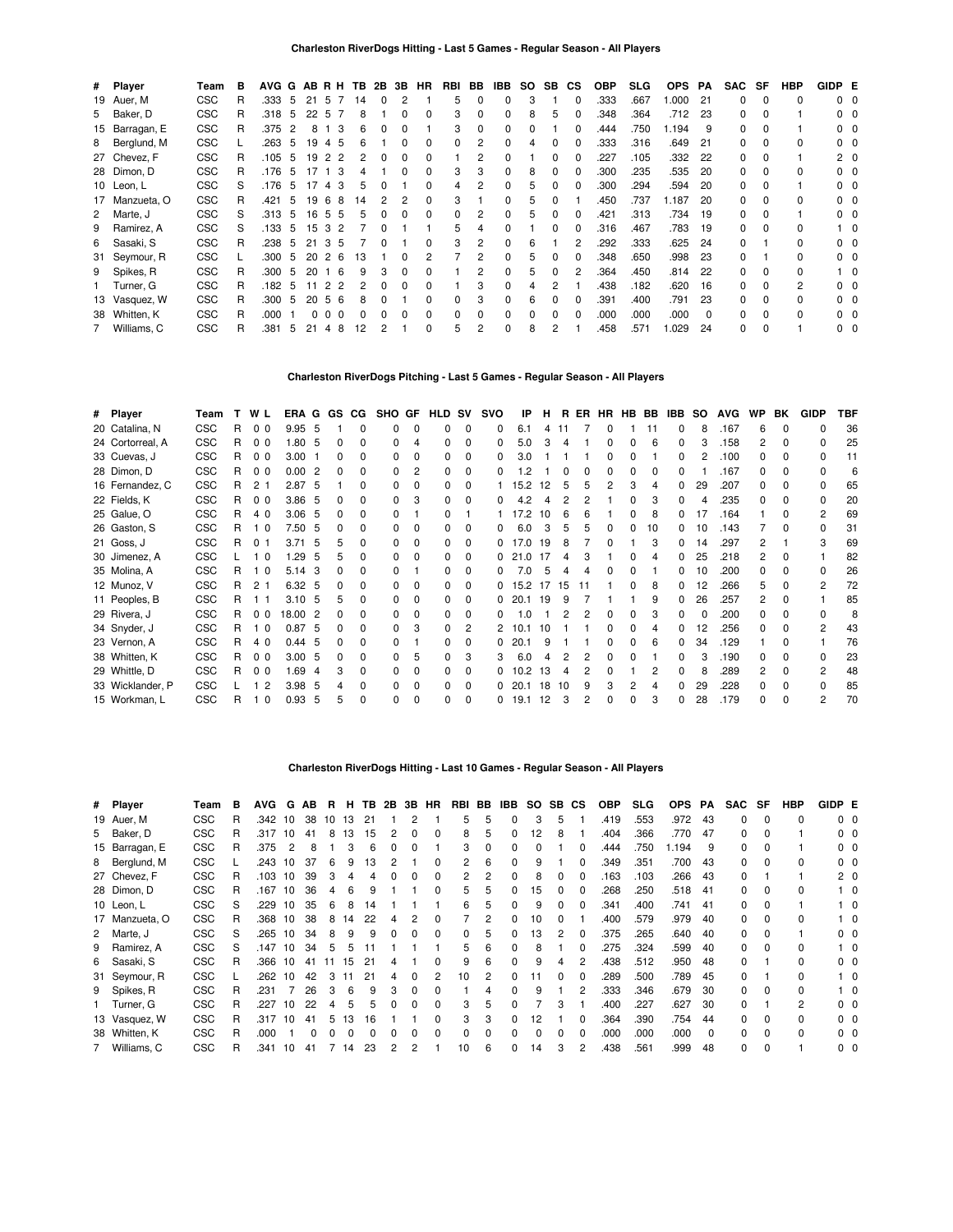|    | # Player       | Team       | в | AVG G AB R H TB |    |          |                      |    | 2B | 3B           | HR       | RBI          | BB             | IBB      | SO. | SB. | СS           | <b>OBP</b> | <b>SLG</b> | <b>OPS</b> | PA       | <b>SAC</b>   | SF           | <b>HBP</b> | GIDP E |                |
|----|----------------|------------|---|-----------------|----|----------|----------------------|----|----|--------------|----------|--------------|----------------|----------|-----|-----|--------------|------------|------------|------------|----------|--------------|--------------|------------|--------|----------------|
|    | 19 Auer, M     | <b>CSC</b> | R | .333            | -5 | 21       | - 5<br>-7            | 14 | 0  | 2            |          | 5            | 0              | 0        | 3   |     | $\Omega$     | .333       | .667       | 1.000      | 21       | 0            | 0            | 0          |        | $0\quad 0$     |
|    | 5 Baker, D     | <b>CSC</b> | R | .318            | -5 | 22       | -5<br>-7             | 8  |    | 0            | $\Omega$ | 3            | 0              | $\Omega$ | 8   | 5   | <sup>0</sup> | .348       | .364       | .712       | -23      | 0            | 0            |            |        | 0 0            |
|    | 15 Barragan, E | <b>CSC</b> | R | .375            | -2 | 8        | 3                    | 6  | 0  | 0            |          | 3            | 0              | $\Omega$ |     |     |              | .444       | .750       | 1.194      | 9        | 0            | 0            |            |        | 0 0            |
|    | 8 Berglund, M  | <b>CSC</b> |   | .263            | 5  | 19       | -5<br>$\overline{4}$ | 6  |    | 0            |          | <sup>0</sup> | 2              | $\Omega$ | 4   | 0   |              | .333       | .316       | .649       | 21       | 0            | <sup>0</sup> | 0          |        | $0\quad 0$     |
|    | 27 Chevez, F   | <b>CSC</b> | R | .105            | 5  | 19       | 2 2                  | 2  | 0  | 0            |          |              | $\overline{2}$ | 0        |     | 0   |              | .227       | .105       | .332       | -22      | 0            | 0            |            |        | $2\quad 0$     |
|    | 28 Dimon, D    | <b>CSC</b> | R | .176            | 5  | 17       | 3                    |    |    | 0            |          | 3            | 3              | $\Omega$ | 8   | 0   |              | .300       | .235       | .535       | -20      | 0            | <sup>0</sup> | $\Omega$   |        | 0 <sub>0</sub> |
|    | 10 Leon, L     | <b>CSC</b> | S | .176            | -5 | 17       | 3<br>$\overline{4}$  | 5  | 0  |              |          |              | 2              | 0        |     |     |              | .300       | .294       | .594       | -20      | <sup>0</sup> | <sup>0</sup> |            |        | $0\quad 0$     |
|    | 17 Manzueta, O | <b>CSC</b> | R | .421            | 5  | 19       | 6<br>-8              | 14 |    |              |          | з            |                | 0        |     |     |              | .450       | .737       | 1.187      | 20       | 0            | <sup>0</sup> | $\Omega$   |        | $0\quad 0$     |
|    | 2 Marte, J     | <b>CSC</b> | S | .313            | 5  | 16       | 55                   | 5  |    | ŋ            |          |              | 2              | $\Omega$ | 5   |     |              | .421       | .313       | .734       | 19       | 0            |              |            |        | 0 <sub>0</sub> |
| 9  | Ramirez, A     | <b>CSC</b> | S | .133            | 5  | 15       | 3<br>$\overline{c}$  |    | n  |              |          | 5            |                | 0        |     |     |              | .316       | .467       | .783       | 19       | <sup>0</sup> | <sup>0</sup> |            |        | $1\quad$ 0     |
|    | 6 Sasaki, S    | <b>CSC</b> | R | .238            | -5 | 21       | 3<br>5               |    |    |              |          | 3            | 2              | $\Omega$ | 6   |     |              | .292       | .333       | .625       | 24       | <sup>n</sup> |              |            |        | $0\quad 0$     |
|    | 31 Seymour, R  | <b>CSC</b> |   | .300            | -5 | 20       | 2<br>-6              | 13 |    | ŋ            |          |              | 2              | 0        | 5   |     |              | .348       | .650       | .998       | -23      | 0            |              |            |        | 0 <sub>0</sub> |
|    | 9 Spikes, R    | <b>CSC</b> | R | .300            | 5  | 20       | -6<br>$\mathbf{1}$   | 9  | 3  | <sup>0</sup> |          |              | 2              | $\Omega$ | 5   |     | 2            | .364       | .450       | .814       | -22      | <sup>n</sup> |              |            |        | 10             |
|    | Turner, G      | <b>CSC</b> | R | .182            | 5  | 11       | 2<br>-2              |    |    | ŋ            |          |              | 3              | $\Omega$ | 4   | 2   |              | .438       | .182       | .620       | -16      | <sup>0</sup> |              | 2          |        | $0\quad 0$     |
|    | 13 Vasquez, W  | <b>CSC</b> | R | .300            | -5 | 20       | -5<br>- 6            | 8  |    |              |          | 0            | 3              | $\Omega$ | 6   | 0   |              | .391       | .400       | .791       | -23      | 0            |              |            |        | $0\quad 0$     |
| 38 | Whitten, K     | <b>CSC</b> | R | .000            |    | $\Omega$ | $\Omega$<br>$\Omega$ | 0  |    | 0            |          | 0            | 0              | $\Omega$ | 0   | 0   | 0            | .000       | .000       | .000       | $\Omega$ |              | 0            |            |        | $0\quad 0$     |
|    | Williams, C    | <b>CSC</b> | R | .381            | 5  | 21       | 8<br>4               | 12 | 2  |              |          | 5            | 2              | $\Omega$ | 8   | 2   |              | .458       | .571       | 1.029      | 24       | 0            | 0            |            |        | $0\quad 0$     |

# **Charleston RiverDogs Pitching - Last 5 Games - Regular Season - All Players**

| # Player         | Team       |    | W L            | ERA               |     |              | G GS CG      | SHO GF |              | <b>HLD SV</b> |              | <b>SVO</b> | ΙP   | н  | R. | ER | HR | HB BB | IBB          | SO. | <b>AVG</b> | <b>WP</b>    | BK           | <b>GIDP</b>  | TBF |
|------------------|------------|----|----------------|-------------------|-----|--------------|--------------|--------|--------------|---------------|--------------|------------|------|----|----|----|----|-------|--------------|-----|------------|--------------|--------------|--------------|-----|
| 20 Catalina, N   | <b>CSC</b> | R  | 0 <sub>0</sub> | 9.95 5            |     |              | $\Omega$     | 0      | <sup>0</sup> | 0             | <sup>0</sup> | 0          | 6.1  | 4  | 11 |    |    | 11    |              | 8   | 167        | 6            | <sup>0</sup> | O            | 36  |
| 24 Cortorreal, A | <b>CSC</b> | R  | 0 <sub>0</sub> | 1.80              | - 5 | 0            | 0            | ŋ      |              | 0             | 0            | 0          | 5.0  |    |    |    |    |       |              |     | .158       |              | 0            |              | 25  |
| 33 Cuevas, J     | <b>CSC</b> | R. | 0 <sub>0</sub> | 3.00              |     | 0            | <sup>0</sup> | ŋ      | <sup>0</sup> | 0             | <sup>0</sup> | 0          | 3.0  |    |    |    |    |       | 0            |     | .100       | 0            | <sup>0</sup> | <sup>0</sup> | 11  |
| 28 Dimon, D      | <b>CSC</b> | R. | 0 <sub>0</sub> | 0.002             |     | 0            | 0            | 0      | 2            | 0             | 0            |            | .2   |    |    |    |    |       |              |     | 167        | 0            | 0            |              | 6   |
| 16 Fernandez, C  | <b>CSC</b> | R. | 2 <sub>1</sub> | 2.87 <sub>5</sub> |     |              | 0            | n      |              | 0             |              |            | 15.2 | 12 |    |    |    |       |              | 29  | .207       | <sup>n</sup> |              |              | 65  |
| 22 Fields, K     | <b>CSC</b> | R  | 0 <sub>0</sub> | 3.86              | - 5 | ŋ            | 0            | 0      | 3            | 0             |              |            | 4.2  |    |    |    |    |       |              |     | .235       | U            |              |              | 20  |
| 25 Galue, O      | <b>CSC</b> | R. | 4 0            | 3.06              | - 5 | 0            | n.           | ŋ      |              | 0             |              |            | 17.2 | 10 |    |    |    |       |              | 17  | .164       |              |              | 2            | 69  |
| 26 Gaston, S     | <b>CSC</b> | R. | 10             | 7.50 5            |     | 0            | 0            | ŋ      | 0            | 0             | 0            | 0          | 6.0  |    | 5  | 5  |    | 10    | 0            | 10  | .143       |              | o            | 0            | 31  |
| 21 Goss, J       | <b>CSC</b> | R. | $\Omega$       | 3.71              | - 5 | 5            | <sup>0</sup> | 0      | 0            | 0             | O            | 0          | 17 O | 19 |    |    |    |       | <sup>0</sup> | 14  | .297       |              |              |              | 69  |
| 30 Jimenez, A    | <b>CSC</b> |    | 10             | 1.29              | .5  | 5            | n.           | ŋ      | O            | 0             | O            | 0          | 21.0 | 17 |    |    |    |       |              | 25  | .218       | 2            |              |              | 82  |
| 35 Molina, A     | <b>CSC</b> | R  | 1 <sub>0</sub> | 5.14              | 3   | ŋ            | 0            | ŋ      |              | 0             | 0            |            | 7 በ  |    |    |    |    |       |              | 10  | .200       |              |              | <sup>0</sup> | 26  |
| 12 Munoz, V      | <b>CSC</b> | R. | 2 <sub>1</sub> | 6.32 5            |     | 0            | 0            | 0      | 0            | 0             | 0            | 0          | 15.2 | 17 | 15 |    |    | 8     | 0            | 12  | .266       | 5            | <sup>0</sup> | 2            | 72  |
| 11 Peoples, B    | <b>CSC</b> | R. | 11             | 3.10 <sub>5</sub> |     | 5            | 0            | ŋ      | 0            | 0             | 0            | 0          | 20.1 | 19 | 9  |    |    | 9     | 0            | 26  | .257       | 2            | 0            |              | 85  |
| 29 Rivera, J     | <b>CSC</b> | R. | 0 <sub>0</sub> | 18.00             | -2  | o            | <sup>n</sup> | n      | O            | 0             | O            | 0          | 1 በ  |    |    |    |    |       |              |     | .200       | <sup>n</sup> |              |              | 8   |
| 34 Snyder, J     | <b>CSC</b> | R  | 1 <sub>0</sub> | 0.87              | - 5 | 0            | 0            | 0      | 3            | 0             | 2            |            | 10.1 |    |    |    |    |       |              | 12  | .256       |              |              | 2            | 43  |
| 23 Vernon, A     | <b>CSC</b> | R. | 4 0            | $0.44\quad 5$     |     | <sup>0</sup> | <sup>0</sup> | n      |              | 0             | O            | 0          | 20.1 | 9  |    |    |    | 6     | <sup>0</sup> | 34  | .129       |              | 0            |              | 76  |
| 38 Whitten, K    | <b>CSC</b> | R. | 0 <sub>0</sub> | 3.00, 5           |     | 0            | 0            | 0      | 5            | 0             | 3            |            | 6.0  |    |    |    |    |       |              | З   | .190       | o            | o            |              | 23  |
| 29 Whittle, D    | <b>CSC</b> | R. | 0 <sub>0</sub> | 1.69              | -4  | 3            | <sup>0</sup> | o      | 0            | 0             |              | 0          | 10.2 | 13 |    |    |    |       |              | 8   | 289        | 2            |              |              | 48  |
| 33 Wicklander, P | <b>CSC</b> |    | $\overline{2}$ | 3.98              | - 5 |              | <sup>0</sup> | ŋ      |              | O             | 0            | 0          | 20.1 | 18 | 10 |    |    |       |              | 29  | .228       | U            |              |              | 85  |
| 15 Workman, L    | <b>CSC</b> | R  | 1 <sub>0</sub> | 0.93, 5           |     | 5            | $\Omega$     | 0      | $\Omega$     | O             | $\Omega$     | 0          | 19.1 | 12 | З  | 2  |    |       |              | 28  | .179       | U            | $\Omega$     | 2            | 70  |
|                  |            |    |                |                   |     |              |              |        |              |               |              |            |      |    |    |    |    |       |              |     |            |              |              |              |     |

### **Charleston RiverDogs Hitting - Last 10 Games - Regular Season - All Players**

| # Player       | Team       | в | <b>AVG</b> | G  | AB. | В. | н. | TB. | 2B | 3В. | HR       | RBI | BB | IBB          |    | SO SB CS     |              | <b>OBP</b> | <b>SLG</b> | <b>OPS</b> | PA       | <b>SAC</b> | SF       | HBP | GIDP E |                |
|----------------|------------|---|------------|----|-----|----|----|-----|----|-----|----------|-----|----|--------------|----|--------------|--------------|------------|------------|------------|----------|------------|----------|-----|--------|----------------|
| 19 Auer, M     | <b>CSC</b> | R | .342       | 10 | 38  | 10 | 13 | 21  |    | 2   |          | 5   | 5  | 0            | 3  | 5            |              | .419       | .553       | .972       | 43       | 0          |          | 0   |        | 0 <sub>0</sub> |
| 5 Baker, D     | <b>CSC</b> | R | .317       | 10 | 41  | 8  | 13 | 15  |    | n   | 0        | 8   | 5  | 0            | 12 | 8            |              | .404       | .366       | .770       | 47       | O.         |          |     |        | $0\quad 0$     |
| 15 Barragan, E | <b>CSC</b> | R | .375       | 2  | 8   |    |    |     |    |     |          | 3   |    | 0            | 0  |              | 0            | .444       | .750       | .194       | 9        | 0          |          |     |        | 00             |
| 8 Berglund, M  | <b>CSC</b> |   | .243       | 10 | 37  | 6  | 9  | з   |    |     |          | 2   | 6  | 0            | 9  |              | <sup>0</sup> | .349       | .351       | .700       | 43       | 0          | $\Omega$ | 0   |        | $0\quad 0$     |
| 27 Chevez, F   | <b>CSC</b> | R | .103       | 10 | 39  |    |    |     |    |     |          | 2   |    | 0            | 8  |              |              | .163       | .103       | .266       | -43      | 0          |          |     |        | 20             |
| 28 Dimon, D    | <b>CSC</b> | R | .167       | 10 | 36  | 4  | 6  |     |    |     | 0        | 5   | 5  | 0            | 15 | <sup>0</sup> |              | 268        | .250       | .518       | 41       | 0          | $\Omega$ | 0   |        | 10             |
| 10 Leon, L     | <b>CSC</b> | S | .229       | 10 | 35  |    | 8  |     |    |     |          | 6   | 5  | 0            | 9  |              |              | .341       | .400       | .741       | 41       | O.         |          |     |        | 10             |
| 17 Manzueta, O | <b>CSC</b> | R | .368       | 10 | 38  | 8  | 14 | 22  |    |     |          |     |    | 0            | 10 |              |              | .400       | .579       | .979       | 40       | O.         |          | 0   |        | - 0            |
| 2 Marte, J     | CSC        | S | .265       | 10 | 34  | 8  | 9  |     |    |     |          | 0   | 5  | 0            | 13 | 2            |              | .375       | .265       | .640       | 40       | O.         |          |     |        | 00             |
| 9 Ramirez, A   | <b>CSC</b> | S | .147       | 10 | 34  | 5  | 5  |     |    |     |          | 5   | 6  | 0            | 8  |              |              | .275       | .324       | .599       | 40       | 0          |          |     |        | 10             |
| 6 Sasaki, S    | <b>CSC</b> | R | .366       | 10 | 41  | 11 | 15 | 21  | 4  |     | $\Omega$ | 9   | 6  | 0            | 9  |              |              | .438       | .512       | .950       | 48       | 0          |          |     |        | 00             |
| 31 Seymour, R  | <b>CSC</b> |   | .262       | 10 | 42  | 3  | 11 | 21  | 4  | 0   | 2        | 10  | 2  | 0            |    | <sup>0</sup> | <sup>n</sup> | .289       | .500       | .789       | 45       | O.         |          | 0   |        | 10             |
| 9 Spikes, R    | <b>CSC</b> | R | .231       |    | 26  |    | 6  |     |    |     |          |     | 4  | 0            | 9  |              |              | .333       | .346       | .679       | 30       | 0          | $\Omega$ | 0   |        | 10             |
| 1 Turner, G    | <b>CSC</b> | R | .227       | 10 | 22  |    | 5  |     |    |     |          | 3   | 5  | <sup>0</sup> |    | 3            |              | .400       | .227       | .627       | 30       | 0          |          | 2   |        | 00             |
| 13 Vasquez, W  | <b>CSC</b> | R | .317       | 10 | 41  | 5  | 13 | 16  |    |     |          | 3   | 3  | 0            | 12 |              |              | 364        | .390       | .754       | 44       | O.         | n        | 0   |        | 00             |
| 38 Whitten, K  | <b>CSC</b> | R | .000       |    |     |    |    |     |    |     |          | 0   |    |              | U  |              |              | .000       | .000       | .000       | $\Omega$ | n          |          | 0   |        | 00             |
| 7 Williams, C  | <b>CSC</b> | R | .341       | 10 | 41  |    | 14 | 23  |    |     |          | 10  | 6  | 0            | 14 |              |              | .438       | .561       | .999       | 48       | 0          |          |     |        | 00             |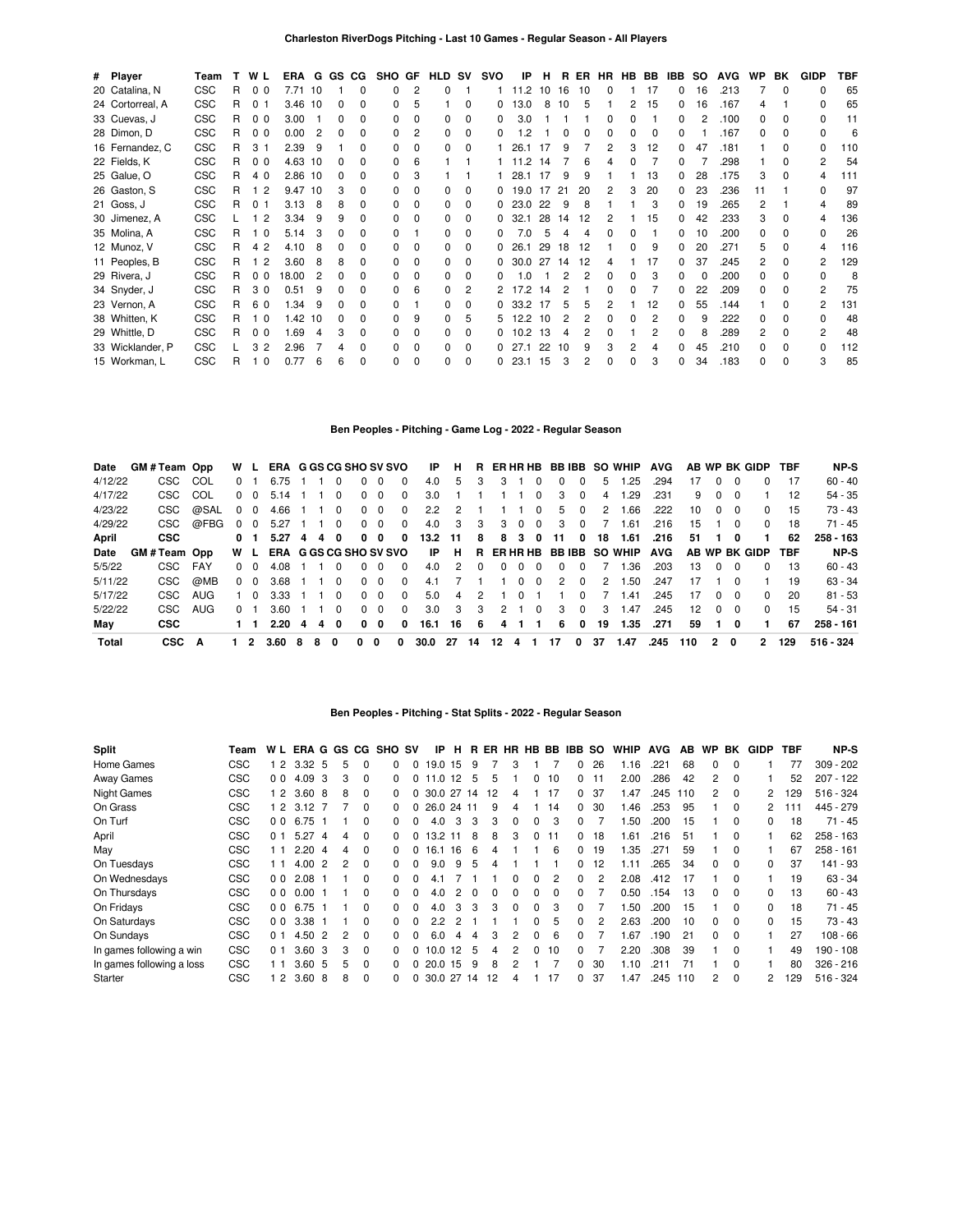| # Player         | Team       | т. | W L                 | ERA G GS CG |    |              |              | SHO GF HLD SV |                |              |              | <b>SVO</b>   | IP          | Н. |    | R ER | HR HB BB |              |          | IBB. | SO. | <b>AVG</b> | <b>WP</b> | BK           | <b>GIDP</b>  | TBF |
|------------------|------------|----|---------------------|-------------|----|--------------|--------------|---------------|----------------|--------------|--------------|--------------|-------------|----|----|------|----------|--------------|----------|------|-----|------------|-----------|--------------|--------------|-----|
| 20 Catalina, N   | <b>CSC</b> | R  | 0 <sub>0</sub>      | 7.71 10     |    |              | 0            | $\Omega$      | $\overline{2}$ | $\Omega$     |              |              | 11.2        | 10 | 16 | 10   | $\Omega$ |              | 17       | 0    | 16  | .213       |           | $\Omega$     | <sup>0</sup> | 65  |
| 24 Cortorreal, A | <b>CSC</b> | R  | 0 <sub>1</sub>      | 3.46 10     |    |              | 0            | $\Omega$      | 5              |              | 0            | 0            | 13.0        | 8  | 10 | 5    |          | 2            | 15       | 0    | 16  | .167       | 4         |              | 0            | 65  |
| 33 Cuevas, J     | <b>CSC</b> | R  | 0 <sub>0</sub>      | 3.00        |    |              |              | $\Omega$      | 0              | 0            | $\Omega$     | 0            | 3.0         |    |    |      |          |              |          |      |     | .100       |           | <sup>0</sup> | 0            | 11  |
| 28 Dimon, D      | <b>CSC</b> | R  | 0 <sub>0</sub>      | 0.00        | 2  | <sup>0</sup> | 0            | <sup>0</sup>  | 2              | <sup>0</sup> | $\Omega$     | 0            | $\cdot$     |    | 0  | 0    | $\Omega$ | <sup>n</sup> | $\Omega$ | 0    |     | .167       | $\Omega$  | <sup>0</sup> | <sup>0</sup> | 6   |
| 16 Fernandez, C  | <b>CSC</b> | R  | 3 <sub>1</sub>      | 2.39        | 9  |              | 0            | <sup>0</sup>  | 0              | 0            | $\Omega$     |              | 26.1        |    | 9  |      | 2        |              | 12       | 0    | 47  | .181       |           |              | 0            | 110 |
| 22 Fields, K     | <b>CSC</b> | R. | 0 <sub>0</sub>      | 4.63 10     |    |              |              | $\Omega$      | 6              |              |              |              | 11.2        | 14 |    | 6    |          |              |          | U    |     | .298       |           |              | 2            | 54  |
| 25 Galue, O      | <b>CSC</b> | R  | 4 0                 | 2.86 10     |    |              |              | $\Omega$      |                |              |              |              | 28.1        |    | q  | ċ    |          |              | 13       | 0    | 28  | .175       |           | <sup>0</sup> | 4            | 111 |
| 26 Gaston, S     | <b>CSC</b> | R  | $\overline{2}$      | 9.47        | 10 |              |              | 0             |                | <sup>0</sup> | $\Omega$     |              | 19.0        | 17 | 21 | 20   | 2        |              | 20       | 0    | 23  | .236       |           |              | <sup>0</sup> | 97  |
| 21 Goss, J       | <b>CSC</b> | R  | 0 <sub>1</sub>      | 3.13        | 8  | 8            | 0            | 0             | $\Omega$       | <sup>0</sup> | $\Omega$     |              | 023.0       | 22 | 9  | 8    |          |              | 3        | 0    | 19  | .265       |           |              | 4            | 89  |
| 30 Jimenez, A    | <b>CSC</b> |    | 1 <sub>2</sub>      | 3.34        | 9  |              |              | <sup>0</sup>  | 0              | 0            | 0            | 0            | 32.1        | 28 | 14 | 12   | 2        |              | 15       |      | 42  | .233       |           |              | 4            | 136 |
| 35 Molina, A     | <b>CSC</b> | R  | $\Omega$            | 5.14        | 3  |              |              | $\Omega$      |                | <sup>0</sup> | <sup>0</sup> | <sup>o</sup> | 7.0         |    |    |      | $\Omega$ | n            |          | 0    | 10  | .200       | O.        | O            | $\Omega$     | 26  |
| 12 Munoz, V      | <b>CSC</b> | R  | $\overline{2}$<br>4 | 4.10        | 8  |              |              | <sup>0</sup>  | 0              | 0            | $\Omega$     |              | 26.1        | 29 | 18 | 12   |          |              | 9        | 0    | 20  | .271       | 5         | <sup>0</sup> | 4            | 116 |
| 11 Peoples, B    | <b>CSC</b> | R. | $\overline{2}$      | 3.60        | 8  | 8            | <sup>0</sup> | <sup>0</sup>  | $\Omega$       | <sup>0</sup> | $\Omega$     |              | 0.30.0      | 27 | 14 | 12   | 4        |              | 17       | 0    | 37  | .245       | 2         | <sup>0</sup> | 2            | 129 |
| 29 Rivera, J     | <b>CSC</b> | R  | 0 <sub>0</sub>      | 18.00       | 2  |              |              | <sup>0</sup>  | 0              | <sup>0</sup> | 0            |              | $\Omega$    |    |    | 2    | 0        | <sup>0</sup> |          | O.   |     | .200       |           | <sup>0</sup> | <sup>0</sup> | 8   |
| 34 Snyder, J     | <b>CSC</b> | R. | 30                  | 0.51        | 9  |              |              | <sup>0</sup>  | 6              | <sup>0</sup> | 2            |              | 17.2        | 14 |    |      | ŋ        |              |          | U    | 22  | .209       |           |              | 2            | 75  |
| 23 Vernon, A     | <b>CSC</b> | R  | 60                  | 1.34        | 9  |              |              | <sup>0</sup>  |                | 0            | <sup>0</sup> |              | 0.33.2      |    |    | 5    |          |              | 12       | n    | 55  | .144       |           | O            | 2            | 131 |
| 38 Whitten, K    | <b>CSC</b> | R  | $\Omega$            | 1.42        | 10 |              |              | <sup>n</sup>  | 9              | <sup>0</sup> | 5            | 5.           | 12.2        | 10 |    | 2    |          |              |          | 0    | 9   | .222       |           |              | U            | 48  |
| 29 Whittle, D    | <b>CSC</b> | R  | 0 <sub>0</sub>      | 1.69        | Δ  |              | 0            | 0             | $\Omega$       | <sup>0</sup> | $\Omega$     |              | 10.2        | 13 |    | 2    | O        |              |          | 0    | 8   | .289       | 2         | <sup>0</sup> | 2            | 48  |
| 33 Wicklander, P | <b>CSC</b> |    | 32                  | 2.96        |    |              | 0            | <sup>0</sup>  | $\Omega$       | <sup>0</sup> | $\Omega$     |              |             | 22 | 10 | 9    | 3        |              |          | 0    | 45  | .210       |           | $\Omega$     | 0            | 112 |
| 15 Workman, L    | <b>CSC</b> | R  | $\Omega$            | 0.77        | 6  | 6            | 0            | 0             | $\Omega$       | 0            | $\Omega$     |              | $0$ 23.1 15 |    | 3  | 2    | $\Omega$ | <sup>0</sup> | 3        | 0    | 34  | .183       |           | $\Omega$     | 3            | 85  |

## **Ben Peoples - Pitching - Game Log - 2022 - Regular Season**

| Date    | GM#Team Opp |      |          | W L             | ERA G GS CG SHO SV SVO        |   |   |              |              |          |          | ΙP   | H.                   |               |               |          |          |               |              |    | R ERHRHB BBIBB SO WHIP     | <b>AVG</b> |                 |          |           | AB WP BK GIDP     | TBF | NP-S      |
|---------|-------------|------|----------|-----------------|-------------------------------|---|---|--------------|--------------|----------|----------|------|----------------------|---------------|---------------|----------|----------|---------------|--------------|----|----------------------------|------------|-----------------|----------|-----------|-------------------|-----|-----------|
| 4/12/22 | CSC         | COL  |          | $^{\circ}$      | 6.75                          |   |   | 0            | 0            | $\Omega$ | 0        | 4.0  | 5                    | з             | 3             |          | 0        | 0             | $\Omega$     | 5  | .25                        | .294       |                 | 0        |           | 0                 | 17  | $60 - 40$ |
| 4/17/22 | CSC.        | COL  |          | $\Omega$<br>- 0 | 5.14                          |   |   | <sup>0</sup> | 0            | $\Omega$ | 0        | 3.0  |                      |               |               |          | 0        | 3             | $\Omega$     | 4  | .29                        | .231       | 9               | 0        |           |                   | 12  | 54 - 35   |
| 4/23/22 | CSC         | @SAL | $\Omega$ | $\Omega$        | 4.66                          |   |   | $\Omega$     | 0            | $\Omega$ | $\Omega$ | 2.2  | 2                    |               |               |          | $\Omega$ | 5.            | $\Omega$     | 2  | .66                        | .222       | 10              | $\Omega$ | - 0       | <sup>0</sup>      | 15  | 73 - 43   |
| 4/29/22 | CSC.        | @FBG | 0        | $\Omega$        | 5.27                          |   |   | $\Omega$     | 0            | $\Omega$ | $\Omega$ | 4.0  | 3                    | 3             | 3             | $\Omega$ | $\Omega$ | 3             | $\Omega$     |    | .61                        | .216       | 15              |          | $\Omega$  | $\Omega$          | 18  | $71 - 45$ |
| April   | <b>CSC</b>  |      | 0        |                 | 5.27                          | 4 | 4 | $\Omega$     | 0            | 0        | 0        | 13.2 | 11                   | 8             | 8             | -3       | 0        | 11            | 0            | 18 | 1.61                       | .216       | 51              |          | 0         |                   | 62  | 258 - 163 |
| Date    | GM#Team Opp |      |          | W L             | <b>ERA G GS CG SHO SV SVO</b> |   |   |              |              |          |          | IP   | Н.                   |               |               |          |          |               |              |    | R ERHRHB BBIBB SO WHIP AVG |            |                 |          |           | AB WP BK GIDP TBF |     | NP-S      |
| 5/5/22  | CSC.        | FAY  |          | 0 O             | 4.08                          |   |   | <sup>0</sup> | 0            | $\Omega$ | 0        | 4.0  | $\mathcal{P} \equiv$ |               | 0             | $^{(1)}$ | $\Omega$ | <sup>0</sup>  | <sup>0</sup> |    | .36                        | .203       | 13              | 0        | 0         | 0                 | 13  | $60 - 43$ |
| 5/11/22 | CSC         | @MB  |          | $0\quad 0$      | 3.68                          |   |   | $\Omega$     | <sup>0</sup> | $\Omega$ | $\Omega$ | 4.1  |                      |               |               | 0        | 0        | $\mathcal{P}$ | $\Omega$     | 2  | .50                        | .247       | 17              |          |           |                   | 19  | $63 - 34$ |
| 5/17/22 | CSC.        | AUG  |          | - 0             | 3.33                          |   |   | $\Omega$     | <sup>0</sup> | $\Omega$ | $\Omega$ | 5.0  | 4                    | $\mathcal{P}$ |               | $\Omega$ |          |               | $\Omega$     |    | 41.،                       | .245       | 17              | 0        | - 0       | 0                 | 20  | $81 - 53$ |
| 5/22/22 | CSC.        | AUG  |          | 0 1             | 3.60                          |   |   | $\Omega$     | <sup>0</sup> | $\Omega$ | $\Omega$ | 3.0  | $\mathbf{3}$         | 3             | $\mathcal{P}$ |          | $\Omega$ | 3             | $\Omega$     | 3  | 1.47                       | .245       | 12 <sup>2</sup> | $\Omega$ | <u>ິດ</u> | $\Omega$          | 15  | $54 - 31$ |
| May     | <b>CSC</b>  |      |          |                 | 2.20                          | 4 | 4 | $\Omega$     | 0            | 0        | 0        | 16.1 | 16                   | -6            | 4             |          |          | 6             | 0            | 19 | 1.35                       | .271       | 59              |          | 0         |                   | 67  | 258 - 161 |
| Total   | <b>CSC</b>  | A    |          |                 | 3.60                          | 8 | 8 | 0            | 0            | 0        | 0        | 30.0 | - 27                 | 14            | 12            | 4        |          | 17            | 0            | 37 | 1.47                       | .245       | 110             | 2        | 0         | 2                 | 129 | 516 - 324 |

## **Ben Peoples - Pitching - Stat Splits - 2022 - Regular Season**

| Split                     | Team       | W L            | ERA G GS CG       |                |   |          | <b>SHO SV</b> |              | IP             | н             | R.    |    |          |          |    | ER HR HB BB IBB SO |     | <b>WHIP</b> | <b>AVG</b> | AВ  | <b>WP</b>      | BK.      | <b>GIDP</b> | TBF | NP-S        |
|---------------------------|------------|----------------|-------------------|----------------|---|----------|---------------|--------------|----------------|---------------|-------|----|----------|----------|----|--------------------|-----|-------------|------------|-----|----------------|----------|-------------|-----|-------------|
| Home Games                | <b>CSC</b> | 12             | 3.32              | -5             | 5 | 0        | 0             | 0            | 19.0 15        |               | 9     |    | 3        |          |    | 0                  | 26  | 1.16        | .221       | 68  | $\Omega$       | $\Omega$ |             | 77  | $309 - 202$ |
| Away Games                | <b>CSC</b> | 0 <sub>0</sub> | 4.09              | 3              | 3 | $\Omega$ | 0             | 0            | $\Omega$<br>11 | 12            | 5     | 5  |          | 0        | 10 | 0                  | 11  | 2.00        | .286       | 42  | 2              | $\Omega$ |             | 52  | $207 - 122$ |
| <b>Night Games</b>        | <b>CSC</b> | 12             | 3.60 <sub>8</sub> |                | 8 | $\Omega$ | 0             | 0            | 30.0 27 14     |               |       | 12 | 4        |          | 17 | 0                  | -37 | .47         | .245       | 110 | $\overline{2}$ | $\Omega$ | 2           | 129 | $516 - 324$ |
| On Grass                  | <b>CSC</b> | 12             | 3.12              |                |   | $\Omega$ | 0             | 0            | 26.0           |               | 24 11 | 9  | 4        |          | 14 | 0                  | 30  | l.46        | .253       | 95  |                | $\Omega$ | 2           | 111 | 445 - 279   |
| On Turf                   | <b>CSC</b> | 0 <sub>0</sub> | 6.75              |                |   | $\Omega$ | 0             | 0            | 4.0            | 3             | 3     | 3  | $\Omega$ | 0        | 3  | 0                  |     | .50         | .200       | 15  |                | $\Omega$ | 0           | 18  | 71 - 45     |
| April                     | <b>CSC</b> | 0 <sub>1</sub> | 5.27              | 4              | 4 | $\Omega$ | 0             | 0            | 13.2           | 11            | 8     | 8  | 3        | $\Omega$ | 11 | 0                  | 18  | .61         | .216       | 51  |                | $\Omega$ |             | 62  | $258 - 163$ |
| May                       | <b>CSC</b> | 11             | 2.20              | 4              | 4 | $\Omega$ | 0             | 0            | 16.1           | - 16          | 6     | 4  |          |          | 6  | 0                  | 19  | .35         | .271       | 59  |                | $\Omega$ |             | 67  | $258 - 161$ |
| On Tuesdays               | <b>CSC</b> | 11             | 4.00              | $\overline{2}$ | 2 | $\Omega$ | 0             | 0            | 9.0            | 9             | 5     | 4  |          |          |    | 0                  | 12  | 1.11        | .265       | 34  | $\Omega$       | $\Omega$ | 0           | 37  | 141 - 93    |
| On Wednesdays             | <b>CSC</b> | 0 <sub>0</sub> | 2.08              |                |   | $\Omega$ | 0             | U            | 41             |               |       |    | $\Omega$ | 0        | 2  | 0                  | 2   | 2.08        | .412       | 17  |                | $\Omega$ |             | 19  | $63 - 34$   |
| On Thursdays              | <b>CSC</b> | 0 <sub>0</sub> | 0.00              |                |   | $\Omega$ | 0             | 0            | 4.0            |               |       |    |          |          | 0  | 0                  |     | 0.50        | .154       | 13  | 0              | $\Omega$ | 0           | 13  | $60 - 43$   |
| On Fridays                | <b>CSC</b> | 0 <sub>0</sub> | 6.75              |                |   | $\Omega$ | 0             | <sup>0</sup> | 4.0            | 3             | 3     | 3  | $\Omega$ | $\Omega$ | 3  | 0                  |     | .50         | .200       | 15  |                | $\Omega$ | 0           | 18  | 71 - 45     |
| On Saturdays              | <b>CSC</b> | 0 <sub>0</sub> | 3.38              |                |   | $\Omega$ | 0             | 0            | 2.2            | $\mathcal{P}$ |       |    |          | $\Omega$ | 5  | $\Omega$           | 2   | 2.63        | .200       | 10  | $\Omega$       | $\Omega$ | 0           | 15  | 73 - 43     |
| On Sundays                | <b>CSC</b> | 0 <sub>1</sub> | 4.50              | 2              | 2 | $\Omega$ | O.            | 0            | 6.0            | 4             | 4     | 3  |          | $\Omega$ | 6  | 0                  |     | .67         | .190       | 21  | $\Omega$       | $\Omega$ |             | 27  | $108 - 66$  |
| In games following a win  | <b>CSC</b> | 0 <sub>1</sub> | 3.60              | 3              | 3 | $\Omega$ | 0             | 0            | 10.0           | 12            | 5     | 4  | 2        | $\Omega$ | 10 | 0                  |     | 2.20        | .308       | 39  |                | $\Omega$ |             | 49  | 190 - 108   |
| In games following a loss | <b>CSC</b> | $1\;1$         | 3.60              | -5             | 5 | $\Omega$ | 0             |              | 20.0           | 15            | 9     | 8  |          |          |    | 0                  | 30  | 1.10        | .211       | 71  |                | $\Omega$ |             | 80  | $326 - 216$ |
| Starter                   | <b>CSC</b> | 12             | 3.60 <sub>8</sub> |                | 8 | $\Omega$ | 0             | 0            | 30.0 27 14     |               |       | 12 | 4        |          | 17 | 0                  | 37  | 1.47        | .245 110   |     | $\overline{2}$ | $\Omega$ | 2           | 129 | $516 - 324$ |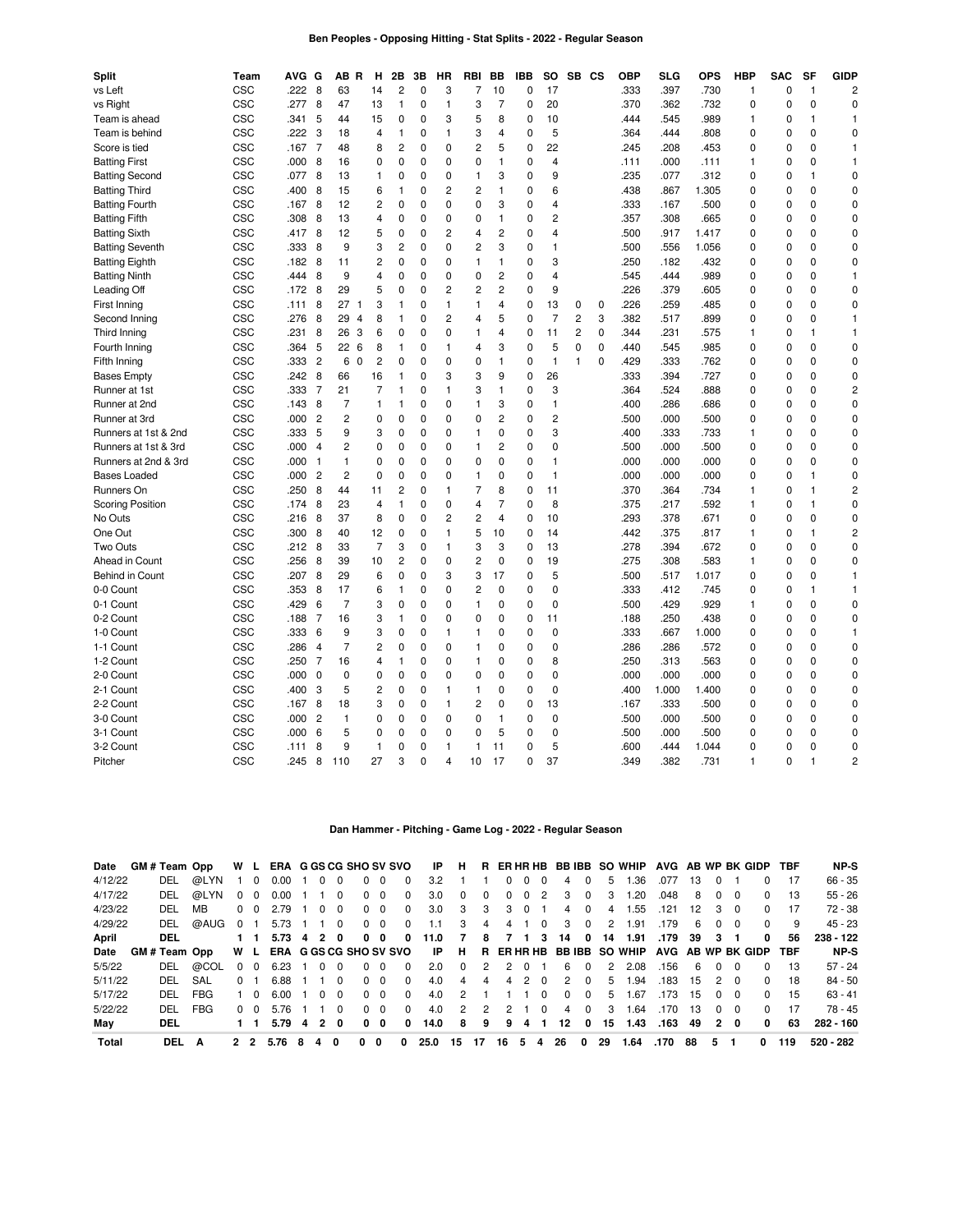### **Ben Peoples - Opposing Hitting - Stat Splits - 2022 - Regular Season**

| Split                   | Team | AVG. | G              | ΑВ             | R              | н              | 2Β             | 3В          | HR             | RBI            | BВ             | IBB         | so             |                | SB CS       | OBP  | SLG   | <b>OPS</b> | <b>HBP</b>   | <b>SAC</b>  | SF           | <b>GIDP</b>    |
|-------------------------|------|------|----------------|----------------|----------------|----------------|----------------|-------------|----------------|----------------|----------------|-------------|----------------|----------------|-------------|------|-------|------------|--------------|-------------|--------------|----------------|
| vs Left                 | CSC  | .222 | 8              | 63             |                | 14             | $\overline{c}$ | $\Omega$    | 3              | 7              | 10             | $\mathbf 0$ | 17             |                |             | .333 | .397  | .730       | 1            | 0           | $\mathbf{1}$ | $\overline{c}$ |
| vs Right                | CSC  | .277 | 8              | 47             |                | 13             | 1              | $\mathbf 0$ | $\mathbf{1}$   | 3              | $\overline{7}$ | 0           | 20             |                |             | .370 | .362  | .732       | $\mathbf 0$  | $\mathbf 0$ | 0            | 0              |
| Team is ahead           | CSC  | .341 | 5              | 44             |                | 15             | 0              | $\mathbf 0$ | 3              | 5              | 8              | 0           | 10             |                |             | .444 | .545  | .989       | 1            | 0           | 1            | 1              |
| Team is behind          | CSC  | .222 | 3              | 18             |                | 4              | 1              | $\mathbf 0$ | $\mathbf{1}$   | 3              | 4              | $\mathbf 0$ | 5              |                |             | .364 | .444  | .808       | $\mathbf 0$  | 0           | 0            | 0              |
| Score is tied           | CSC  | .167 | 7              | 48             |                | 8              | $\overline{c}$ | $\mathbf 0$ | 0              | $\overline{c}$ | 5              | 0           | 22             |                |             | .245 | .208  | .453       | $\mathbf 0$  | 0           | 0            | 1              |
| <b>Batting First</b>    | CSC  | .000 | 8              | 16             |                | 0              | 0              | 0           | $\mathbf 0$    | 0              | 1              | 0           | 4              |                |             | .111 | .000  | .111       | 1            | $\mathbf 0$ | 0            | 1              |
| <b>Batting Second</b>   | CSC  | .077 | 8              | 13             |                | 1              | 0              | $\mathbf 0$ | $\mathbf 0$    | 1              | 3              | 0           | 9              |                |             | .235 | .077  | .312       | $\mathbf 0$  | $\mathbf 0$ | $\mathbf{1}$ | $\mathbf 0$    |
| <b>Batting Third</b>    | CSC  | .400 | 8              | 15             |                | 6              | 1              | $\mathbf 0$ | $\overline{2}$ | $\overline{c}$ | 1              | 0           | 6              |                |             | .438 | .867  | 1.305      | $\mathbf 0$  | $\mathbf 0$ | 0            | 0              |
| <b>Batting Fourth</b>   | CSC  | .167 | 8              | 12             |                | 2              | 0              | $\mathbf 0$ | $\mathbf 0$    | 0              | 3              | 0           | 4              |                |             | .333 | .167  | .500       | $\mathbf 0$  | $\mathbf 0$ | 0            | 0              |
| <b>Batting Fifth</b>    | CSC  | .308 | 8              | 13             |                | 4              | 0              | $\mathbf 0$ | 0              | 0              | 1              | 0           | 2              |                |             | .357 | .308  | .665       | $\mathbf 0$  | 0           | 0            | 0              |
| <b>Batting Sixth</b>    | CSC  | .417 | 8              | 12             |                | 5              | 0              | $\mathbf 0$ | $\overline{c}$ | 4              | $\overline{c}$ | 0           | 4              |                |             | .500 | .917  | 1.417      | $\mathbf 0$  | 0           | 0            | 0              |
| <b>Batting Seventh</b>  | CSC  | .333 | 8              | 9              |                | 3              | $\overline{2}$ | $\Omega$    | $\Omega$       | $\overline{c}$ | 3              | $\Omega$    | 1              |                |             | .500 | .556  | 1.056      | $\Omega$     | $\mathbf 0$ | 0            | $\Omega$       |
| <b>Batting Eighth</b>   | CSC  | .182 | 8              | 11             |                | 2              | 0              | $\mathbf 0$ | $\mathbf{0}$   | 1              | $\mathbf{1}$   | $\mathbf 0$ | 3              |                |             | .250 | .182  | .432       | $\mathbf 0$  | $\mathbf 0$ | $\Omega$     | $\Omega$       |
| <b>Batting Ninth</b>    | CSC  | .444 | 8              | 9              |                | 4              | 0              | $\mathbf 0$ | $\mathbf{0}$   | $\mathbf 0$    | 2              | 0           | 4              |                |             | .545 | .444  | .989       | $\mathbf 0$  | $\mathbf 0$ | $\Omega$     | 1              |
| Leading Off             | CSC  | .172 | 8              | 29             |                | 5              | 0              | $\mathbf 0$ | $\overline{c}$ | $\overline{c}$ | $\overline{c}$ | 0           | 9              |                |             | .226 | .379  | .605       | $\mathbf 0$  | $\mathbf 0$ | 0            | 0              |
| First Inning            | CSC  | .111 | 8              | 27             | $\overline{1}$ | 3              | 1              | $\mathbf 0$ | $\mathbf{1}$   | 1              | 4              | 0           | 13             | 0              | $\mathbf 0$ | .226 | .259  | .485       | 0            | 0           | 0            | 0              |
| Second Inning           | CSC  | .276 | 8              | 29             | $\overline{4}$ | 8              | 1              | $\mathbf 0$ | $\overline{c}$ | 4              | 5              | 0           | $\overline{7}$ | $\overline{c}$ | 3           | .382 | .517  | .899       | $\mathbf 0$  | $\mathbf 0$ | 0            | 1              |
| Third Inning            | CSC  | .231 | 8              | 26             | 3              | 6              | 0              | $\Omega$    | $\mathbf 0$    | 1              | 4              | $\mathbf 0$ | 11             | $\overline{2}$ | $\mathbf 0$ | .344 | .231  | .575       | 1            | $\mathbf 0$ | 1            | 1              |
| Fourth Inning           | CSC  | .364 | 5              | 22             | 6              | 8              | $\mathbf{1}$   | $\mathbf 0$ | $\mathbf{1}$   | 4              | 3              | 0           | 5              | $\mathbf 0$    | $\mathbf 0$ | .440 | 545   | .985       | $\mathbf 0$  | $\mathbf 0$ | 0            | $\mathbf 0$    |
| Fifth Inning            | CSC  | .333 | $\overline{c}$ | 6              | $\mathbf 0$    | $\overline{c}$ | $\mathbf 0$    | $\mathbf 0$ | $\mathbf 0$    | 0              | $\mathbf{1}$   | 0           | $\mathbf{1}$   | $\mathbf{1}$   | $\Omega$    | .429 | .333  | .762       | $\mathbf 0$  | $\mathbf 0$ | $\mathbf 0$  | 0              |
| <b>Bases Empty</b>      | CSC  | .242 | 8              | 66             |                | 16             | 1              | $\mathbf 0$ | 3              | 3              | 9              | 0           | 26             |                |             | .333 | .394  | .727       | $\mathbf 0$  | $\mathbf 0$ | 0            | 0              |
| Runner at 1st           | CSC  | .333 | 7              | 21             |                | $\overline{7}$ | 1              | $\mathbf 0$ | $\mathbf{1}$   | 3              | 1              | 0           | 3              |                |             | .364 | 524   | .888       | $\mathbf 0$  | $\mathbf 0$ | 0            | 2              |
| Runner at 2nd           | CSC  | .143 | 8              | $\overline{7}$ |                | $\mathbf{1}$   | 1              | $\mathbf 0$ | $\mathbf 0$    | 1              | 3              | 0           | 1              |                |             | .400 | .286  | .686       | $\mathbf 0$  | $\mathbf 0$ | 0            | $\mathbf 0$    |
| Runner at 3rd           | CSC  | .000 | $\overline{2}$ | $\overline{2}$ |                | 0              | $\Omega$       | $\Omega$    | $\mathbf 0$    | $\Omega$       | 2              | $\Omega$    | $\overline{c}$ |                |             | .500 | .000  | .500       | $\Omega$     | $\Omega$    | 0            | $\Omega$       |
| Runners at 1st & 2nd    | CSC  | .333 | 5              | 9              |                | 3              | 0              | $\Omega$    | $\mathbf 0$    | 1              | $\Omega$       | $\Omega$    | 3              |                |             | .400 | .333  | .733       | $\mathbf{1}$ | $\mathbf 0$ | $\Omega$     | $\mathbf 0$    |
| Runners at 1st & 3rd    | CSC  | .000 | $\overline{4}$ | 2              |                | 0              | 0              | $\mathbf 0$ | $\mathbf 0$    | 1              | $\overline{c}$ | $\mathbf 0$ | $\Omega$       |                |             | .500 | .000  | .500       | $\mathbf 0$  | $\mathbf 0$ | $\Omega$     | 0              |
| Runners at 2nd & 3rd    | CSC  | .000 | $\mathbf{1}$   | $\mathbf{1}$   |                | $\mathbf 0$    | 0              | $\mathbf 0$ | $\mathbf{0}$   | 0              | 0              | 0           | $\mathbf{1}$   |                |             | .000 | .000  | .000       | $\mathbf 0$  | $\mathbf 0$ | $\Omega$     | 0              |
| <b>Bases Loaded</b>     | CSC  | .000 | $\overline{c}$ | 2              |                | 0              | 0              | $\mathbf 0$ | 0              | 1              | $\mathbf 0$    | 0           | $\mathbf{1}$   |                |             | .000 | .000  | .000       | $\mathbf 0$  | 0           | 1            | 0              |
| Runners On              | CSC  | .250 | 8              | 44             |                | 11             | 2              | 0           | $\mathbf{1}$   | 7              | 8              | 0           | 11             |                |             | .370 | .364  | .734       | $\mathbf{1}$ | 0           | 1            | 2              |
| <b>Scoring Position</b> | CSC  | .174 | 8              | 23             |                | 4              | $\mathbf{1}$   | $\Omega$    | $\mathbf{0}$   | $\overline{4}$ | $\overline{7}$ | $\Omega$    | 8              |                |             | .375 | .217  | .592       | $\mathbf{1}$ | $\mathbf 0$ | 1            | 0              |
| No Outs                 | CSC  | .216 | 8              | 37             |                | 8              | $\mathbf 0$    | $\mathbf 0$ | $\overline{c}$ | $\overline{c}$ | $\overline{4}$ | $\mathbf 0$ | 10             |                |             | .293 | .378  | .671       | $\mathbf 0$  | $\mathbf 0$ | $\Omega$     | $\mathbf 0$    |
| One Out                 | CSC  | .300 | 8              | 40             |                | 12             | $\mathbf 0$    | $\mathbf 0$ | $\mathbf{1}$   | 5              | 10             | $\mathbf 0$ | 14             |                |             | .442 | 375   | .817       | $\mathbf{1}$ | $\mathbf 0$ | $\mathbf{1}$ | 2              |
| Two Outs                | CSC  | .212 | 8              | 33             |                | $\overline{7}$ | 3              | $\mathbf 0$ | $\mathbf{1}$   | 3              | 3              | 0           | 13             |                |             | .278 | .394  | .672       | 0            | 0           | $\mathbf 0$  | 0              |
| Ahead in Count          | CSC  | .256 | 8              | 39             |                | 10             | 2              | $\mathbf 0$ | 0              | $\overline{c}$ | $\mathbf 0$    | 0           | 19             |                |             | .275 | .308  | .583       | $\mathbf{1}$ | $\mathbf 0$ | 0            | 0              |
| <b>Behind in Count</b>  | CSC  | .207 | 8              | 29             |                | 6              | 0              | $\mathbf 0$ | 3              | 3              | 17             | 0           | 5              |                |             | .500 | .517  | 1.017      | 0            | 0           | 0            | 1              |
| 0-0 Count               | CSC  | .353 | 8              | 17             |                | 6              | $\mathbf{1}$   | $\Omega$    | $\Omega$       | $\overline{c}$ | $\Omega$       | $\Omega$    | 0              |                |             | .333 | .412  | .745       | $\Omega$     | $\Omega$    | 1            | 1              |
| 0-1 Count               | CSC  | .429 | 6              | $\overline{7}$ |                | 3              | $\overline{0}$ | $\mathbf 0$ | $\mathbf{0}$   | 1              | $\Omega$       | $\Omega$    | $\mathbf 0$    |                |             | .500 | .429  | .929       | $\mathbf{1}$ | $\mathbf 0$ | $\Omega$     | $\mathbf 0$    |
| 0-2 Count               | CSC  | .188 | 7              | 16             |                | 3              | $\mathbf{1}$   | $\mathbf 0$ | $\mathbf{0}$   | $\mathbf 0$    | $\Omega$       | $\mathbf 0$ | 11             |                |             | .188 | .250  | .438       | $\mathbf 0$  | $\mathbf 0$ | $\Omega$     | $\mathbf 0$    |
| 1-0 Count               | CSC  | .333 | 6              | 9              |                | 3              | 0              | $\mathbf 0$ | $\mathbf{1}$   | 1              | 0              | 0           | 0              |                |             | .333 | .667  | 1.000      | $\mathbf 0$  | $\mathbf 0$ | 0            | 1              |
| 1-1 Count               | CSC  | .286 | $\overline{4}$ | $\overline{7}$ |                | $\overline{2}$ | 0              | $\mathbf 0$ | $\mathbf 0$    | 1              | 0              | 0           | 0              |                |             | .286 | .286  | .572       | $\mathbf 0$  | 0           | 0            | 0              |
| 1-2 Count               | CSC  | .250 | 7              | 16             |                | 4              | 1              | 0           | 0              | 1              | 0              | 0           | 8              |                |             | .250 | .313  | .563       | 0            | 0           | 0            | 0              |
| 2-0 Count               | CSC  | .000 | 0              | 0              |                | 0              | 0              | $\mathbf 0$ | 0              | 0              | 0              | 0           | 0              |                |             | .000 | .000  | .000       | 0            | 0           | 0            | 0              |
| 2-1 Count               | CSC  | .400 | 3              | 5              |                | $\overline{c}$ | 0              | $\mathbf 0$ | $\mathbf{1}$   | 1              | $\Omega$       | $\mathbf 0$ | $\mathbf 0$    |                |             | .400 | 1.000 | 1.400      | $\mathbf 0$  | $\mathbf 0$ | $\Omega$     | $\mathbf 0$    |
| 2-2 Count               | CSC  | .167 | 8              | 18             |                | 3              | $\mathbf 0$    | $\mathbf 0$ | $\mathbf{1}$   | $\overline{c}$ | 0              | $\mathbf 0$ | 13             |                |             | .167 | .333  | .500       | $\mathbf 0$  | $\mathbf 0$ | $\Omega$     | $\mathbf 0$    |
| 3-0 Count               | CSC  | .000 | $\overline{c}$ | 1              |                | 0              | 0              | $\mathbf 0$ | 0              | 0              | $\mathbf{1}$   | 0           | 0              |                |             | .500 | .000  | .500       | $\mathbf 0$  | $\mathbf 0$ | 0            | 0              |
| 3-1 Count               | CSC  | .000 | 6              | 5              |                | 0              | 0              | $\mathbf 0$ | $\mathbf 0$    | 0              | 5              | 0           | 0              |                |             | .500 | .000  | .500       | $\mathbf 0$  | 0           | 0            | 0              |
| 3-2 Count               | CSC  | .111 | 8              | 9              |                | 1              | 0              | $\mathbf 0$ | $\mathbf{1}$   | 1              | 11             | 0           | 5              |                |             | .600 | .444  | 1.044      | 0            | $\mathbf 0$ | 0            | 0              |
| Pitcher                 | CSC  | .245 | 8              | 110            |                | 27             | 3              | $\Omega$    | 4              | 10             | 17             | $\Omega$    | 37             |                |             | .349 | .382  | .731       | $\mathbf{1}$ | $\Omega$    | 1            | 2              |

### **Dan Hammer - Pitching - Game Log - 2022 - Regular Season**

| Date    | GM # Team Opp |            | W L          |          | ERA G GS CG SHO SV SVO        |   |                |          |          |            |          | IP.  | H.            |              |    |               |          |              |          |    | R ERHRHB BBIBB SO WHIP AVG AB WP BK GIDP TBF |                   |    |              |                |          |            | NP-S      |
|---------|---------------|------------|--------------|----------|-------------------------------|---|----------------|----------|----------|------------|----------|------|---------------|--------------|----|---------------|----------|--------------|----------|----|----------------------------------------------|-------------------|----|--------------|----------------|----------|------------|-----------|
| 4/12/22 | DEL           | @LYN       |              | $\Omega$ | 0.00                          |   |                | $\Omega$ | $\Omega$ | $\Omega$   | $\Omega$ | 3.2  |               |              | 0  | $\Omega$      | $\Omega$ | 4            |          | 5  | .36                                          | .077              | 13 |              |                | 0        | -17        | $66 - 35$ |
| 4/17/22 | DEL           | @LYN       | 0            | - 0      | 0.00                          |   |                | $\Omega$ |          | $0\quad 0$ | $\Omega$ | 3.0  | $\Omega$      | <sup>0</sup> | 0  | $\Omega$      | 2        | 3            | $\Omega$ | 3  | .20                                          | .048              | 8  | 0            | - 0            | $\Omega$ | 13         | $55 - 26$ |
| 4/23/22 | DEL           | MВ         | <sup>0</sup> | - 0      | 2.79                          |   |                | $\Omega$ | $\Omega$ | 0          | 0        | 3.0  | 3             | з            | 3  | $\Omega$      |          | 4            | 0        | 4  | .55                                          | .121              | 12 | 3            | - 0            | 0        | 17         | 72 - 38   |
| 4/29/22 | DEL           | @AUG       | $\Omega$     |          | 5.73                          |   |                | $\Omega$ |          | $0\quad 0$ | $\Omega$ | 1.1  | 3             | 4            | 4  |               | 0        | 3            | $\Omega$ | 2  | 1.91                                         | .179              | 6  | 0            | - 0            | $\Omega$ | 9          | $45 - 23$ |
| April   | DEL           |            |              |          | 5.73                          | 4 | $\overline{2}$ | 0        | 0        | 0          | 0        | 11.0 | 7             | 8            | 7  |               | 3        | 14           | 0        | 14 | 1.91                                         | .179              | 39 | 3            |                | 0        | 56         | 238 - 122 |
| Date    | GM#Team Opp   |            |              | W L      | <b>ERA G GS CG SHO SV SVO</b> |   |                |          |          |            |          | -IP  | <b>H</b>      |              |    |               |          |              |          |    | R ERHRHB BBIBB SO WHIP                       | AVG AB WP BK GIDP |    |              |                |          | <b>TBF</b> | NP-S      |
| 5/5/22  | DEL           | @COL       | <sup>0</sup> | $\Omega$ | 6.23                          |   |                |          | $\Omega$ | $\Omega$   | $\Omega$ | 2.0  | $\Omega$      |              |    |               |          | 6            | $\Omega$ | 2  | 2.08                                         | .156              | 6  | 0            | 0              | 0        | 13         | $57 - 24$ |
| 5/11/22 | DEL           | SAL        | $\Omega$     |          | 6.88                          |   |                | $\Omega$ |          | $0\quad 0$ | $\Omega$ | 4.0  | 4             | 4            | 4  | $\mathcal{P}$ | $\Omega$ | 2            | $\Omega$ | 5  | .94                                          | .183              | 15 |              | 2 0            | $\Omega$ | 18         | $84 - 50$ |
| 5/17/22 | DEL           | <b>FBG</b> |              | _ი       | 6.00                          |   | <sup>0</sup>   | $\Omega$ |          | $0\quad 0$ | $\Omega$ | 4.0  | $\mathcal{P}$ |              |    |               | $\Omega$ | <sup>0</sup> | $\Omega$ | 5  | .67                                          | .173              | 15 | $\Omega$     | $\overline{0}$ | $\Omega$ | 15         | $63 - 41$ |
| 5/22/22 | DEL           | <b>FBG</b> | $\Omega$     | - റ      | 5.76                          |   |                | $\Omega$ | $\Omega$ | $\Omega$   | $\Omega$ | 4.0  | $\mathcal{P}$ | 2            |    |               | $\Omega$ | 4            | $\Omega$ | 3  | .64                                          | .170              | 13 | 0            | - റ            | 0        | 17         | 78 - 45   |
| May     | DEL           |            |              |          | 5.79                          | 4 | 2              | $\Omega$ | 0        | 0          | 0        | 14.0 | 8             | 9            | 9  | 4             |          | 12           | 0        | 15 | 1.43                                         | .163              | 49 | $\mathbf{2}$ | 0              | 0        | 63         | 282 - 160 |
| Total   | DEL           | A          | 2 2          |          | 5.76                          | 8 | 4              | $\Omega$ | 0        | 0          | 0        | 25.0 | 15            | 17           | 16 | 5             | 4        | 26           | 0        | 29 | 1.64                                         | .170              | 88 | 5            |                | 0        | 119        | 520 - 282 |